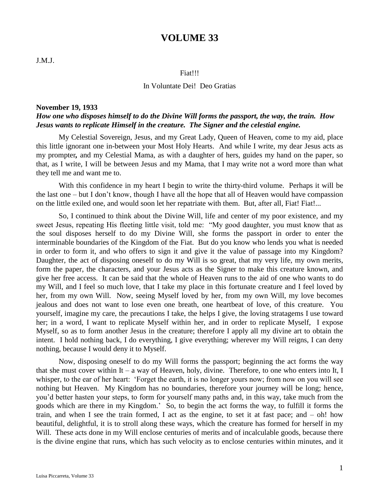## **VOLUME 33**

#### Fiat!!!

### In Voluntate Dei! Deo Gratias

#### **November 19, 1933**

### *How one who disposes himself to do the Divine Will forms the passport, the way, the train. How Jesus wants to replicate Himself in the creature. The Signer and the celestial engine.*

My Celestial Sovereign, Jesus, and my Great Lady, Queen of Heaven, come to my aid, place this little ignorant one in-between your Most Holy Hearts. And while I write, my dear Jesus acts as my prompter*,* and my Celestial Mama, as with a daughter of hers, guides my hand on the paper, so that, as I write, I will be between Jesus and my Mama, that I may write not a word more than what they tell me and want me to.

With this confidence in my heart I begin to write the thirty-third volume. Perhaps it will be the last one – but I don't know, though I have all the hope that all of Heaven would have compassion on the little exiled one, and would soon let her repatriate with them. But, after all, Fiat! Fiat!...

So, I continued to think about the Divine Will, life and center of my poor existence, and my sweet Jesus, repeating His fleeting little visit, told me: "My good daughter, you must know that as the soul disposes herself to do my Divine Will, she forms the passport in order to enter the interminable boundaries of the Kingdom of the Fiat. But do you know who lends you what is needed in order to form it, and who offers to sign it and give it the value of passage into my Kingdom? Daughter, the act of disposing oneself to do my Will is so great, that my very life, my own merits, form the paper, the characters, and your Jesus acts as the Signer to make this creature known, and give her free access. It can be said that the whole of Heaven runs to the aid of one who wants to do my Will, and I feel so much love, that I take my place in this fortunate creature and I feel loved by her, from my own Will. Now, seeing Myself loved by her, from my own Will, my love becomes jealous and does not want to lose even one breath, one heartbeat of love, of this creature. You yourself, imagine my care, the precautions I take, the helps I give, the loving stratagems I use toward her; in a word, I want to replicate Myself within her, and in order to replicate Myself, I expose Myself, so as to form another Jesus in the creature; therefore I apply all my divine art to obtain the intent. I hold nothing back, I do everything, I give everything; wherever my Will reigns, I can deny nothing, because I would deny it to Myself.

Now, disposing oneself to do my Will forms the passport; beginning the act forms the way that she must cover within It – a way of Heaven, holy, divine. Therefore, to one who enters into It, I whisper, to the ear of her heart: 'Forget the earth, it is no longer yours now; from now on you will see nothing but Heaven. My Kingdom has no boundaries, therefore your journey will be long; hence, you'd better hasten your steps, to form for yourself many paths and, in this way, take much from the goods which are there in my Kingdom.' So, to begin the act forms the way, to fulfill it forms the train, and when I see the train formed, I act as the engine, to set it at fast pace; and – oh! how beautiful, delightful, it is to stroll along these ways, which the creature has formed for herself in my Will. These acts done in my Will enclose centuries of merits and of incalculable goods, because there is the divine engine that runs, which has such velocity as to enclose centuries within minutes, and it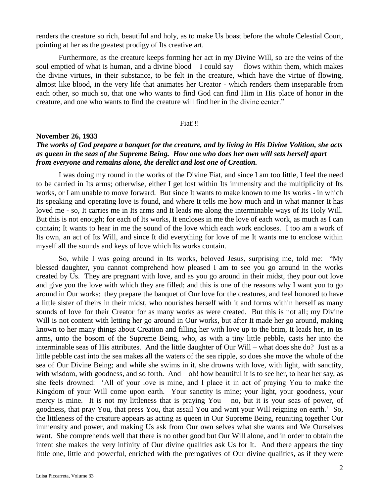renders the creature so rich, beautiful and holy, as to make Us boast before the whole Celestial Court, pointing at her as the greatest prodigy of Its creative art.

Furthermore, as the creature keeps forming her act in my Divine Will, so are the veins of the soul emptied of what is human, and a divine blood  $-$  I could say  $-$  flows within them, which makes the divine virtues, in their substance, to be felt in the creature, which have the virtue of flowing, almost like blood, in the very life that animates her Creator - which renders them inseparable from each other, so much so, that one who wants to find God can find Him in His place of honor in the creature, and one who wants to find the creature will find her in the divine center."

### Fiat!!!

### **November 26, 1933** *The works of God prepare a banquet for the creature, and by living in His Divine Volition, she acts as queen in the seas of the Supreme Being. How one who does her own will sets herself apart from everyone and remains alone, the derelict and lost one of Creation.*

I was doing my round in the works of the Divine Fiat, and since I am too little, I feel the need to be carried in Its arms; otherwise, either I get lost within Its immensity and the multiplicity of Its works, or I am unable to move forward. But since It wants to make known to me Its works - in which Its speaking and operating love is found, and where It tells me how much and in what manner It has loved me - so, It carries me in Its arms and It leads me along the interminable ways of Its Holy Will. But this is not enough; for each of Its works, It encloses in me the love of each work, as much as I can contain; It wants to hear in me the sound of the love which each work encloses. I too am a work of Its own, an act of Its Will, and since It did everything for love of me It wants me to enclose within myself all the sounds and keys of love which Its works contain.

So, while I was going around in Its works, beloved Jesus, surprising me, told me: "My blessed daughter, you cannot comprehend how pleased I am to see you go around in the works created by Us. They are pregnant with love, and as you go around in their midst, they pour out love and give you the love with which they are filled; and this is one of the reasons why I want you to go around in Our works: they prepare the banquet of Our love for the creatures, and feel honored to have a little sister of theirs in their midst, who nourishes herself with it and forms within herself as many sounds of love for their Creator for as many works as were created. But this is not all; my Divine Will is not content with letting her go around in Our works, but after It made her go around, making known to her many things about Creation and filling her with love up to the brim, It leads her, in Its arms, unto the bosom of the Supreme Being, who, as with a tiny little pebble, casts her into the interminable seas of His attributes. And the little daughter of Our Will – what does she do? Just as a little pebble cast into the sea makes all the waters of the sea ripple, so does she move the whole of the sea of Our Divine Being; and while she swims in it, she drowns with love, with light, with sanctity, with wisdom, with goodness, and so forth. And  $-$  oh! how beautiful it is to see her, to hear her say, as she feels drowned: 'All of your love is mine, and I place it in act of praying You to make the Kingdom of your Will come upon earth. Your sanctity is mine; your light, your goodness, your mercy is mine. It is not my littleness that is praying You – no, but it is your seas of power, of goodness, that pray You, that press You, that assail You and want your Will reigning on earth.' So, the littleness of the creature appears as acting as queen in Our Supreme Being, reuniting together Our immensity and power, and making Us ask from Our own selves what she wants and We Ourselves want. She comprehends well that there is no other good but Our Will alone, and in order to obtain the intent she makes the very infinity of Our divine qualities ask Us for It. And there appears the tiny little one, little and powerful, enriched with the prerogatives of Our divine qualities, as if they were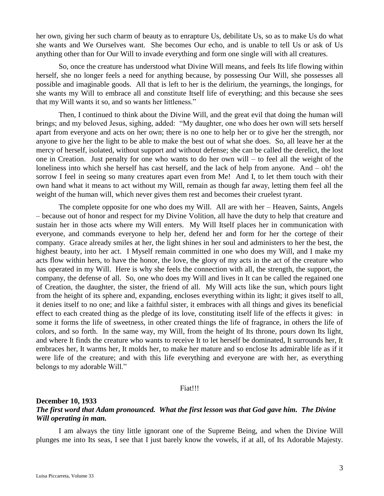her own, giving her such charm of beauty as to enrapture Us, debilitate Us, so as to make Us do what she wants and We Ourselves want. She becomes Our echo, and is unable to tell Us or ask of Us anything other than for Our Will to invade everything and form one single will with all creatures.

So, once the creature has understood what Divine Will means, and feels Its life flowing within herself, she no longer feels a need for anything because, by possessing Our Will, she possesses all possible and imaginable goods. All that is left to her is the delirium, the yearnings, the longings, for she wants my Will to embrace all and constitute Itself life of everything; and this because she sees that my Will wants it so, and so wants her littleness."

Then, I continued to think about the Divine Will, and the great evil that doing the human will brings; and my beloved Jesus, sighing, added: "My daughter, one who does her own will sets herself apart from everyone and acts on her own; there is no one to help her or to give her the strength, nor anyone to give her the light to be able to make the best out of what she does. So, all leave her at the mercy of herself, isolated, without support and without defense; she can be called the derelict, the lost one in Creation. Just penalty for one who wants to do her own will – to feel all the weight of the loneliness into which she herself has cast herself, and the lack of help from anyone. And – oh! the sorrow I feel in seeing so many creatures apart even from Me! And I, to let them touch with their own hand what it means to act without my Will, remain as though far away, letting them feel all the weight of the human will, which never gives them rest and becomes their cruelest tyrant.

The complete opposite for one who does my Will. All are with her – Heaven, Saints, Angels – because out of honor and respect for my Divine Volition, all have the duty to help that creature and sustain her in those acts where my Will enters. My Will Itself places her in communication with everyone, and commands everyone to help her, defend her and form for her the cortege of their company. Grace already smiles at her, the light shines in her soul and administers to her the best, the highest beauty, into her act. I Myself remain committed in one who does my Will, and I make my acts flow within hers, to have the honor, the love, the glory of my acts in the act of the creature who has operated in my Will. Here is why she feels the connection with all, the strength, the support, the company, the defense of all. So, one who does my Will and lives in It can be called the regained one of Creation, the daughter, the sister, the friend of all. My Will acts like the sun, which pours light from the height of its sphere and, expanding, encloses everything within its light; it gives itself to all, it denies itself to no one; and like a faithful sister, it embraces with all things and gives its beneficial effect to each created thing as the pledge of its love, constituting itself life of the effects it gives: in some it forms the life of sweetness, in other created things the life of fragrance, in others the life of colors, and so forth. In the same way, my Will, from the height of Its throne, pours down Its light, and where It finds the creature who wants to receive It to let herself be dominated, It surrounds her, It embraces her, It warms her, It molds her, to make her mature and so enclose Its admirable life as if it were life of the creature; and with this life everything and everyone are with her, as everything belongs to my adorable Will."

#### Fiat!!!

## **December 10, 1933** *The first word that Adam pronounced. What the first lesson was that God gave him. The Divine Will operating in man.*

I am always the tiny little ignorant one of the Supreme Being, and when the Divine Will plunges me into Its seas, I see that I just barely know the vowels, if at all, of Its Adorable Majesty.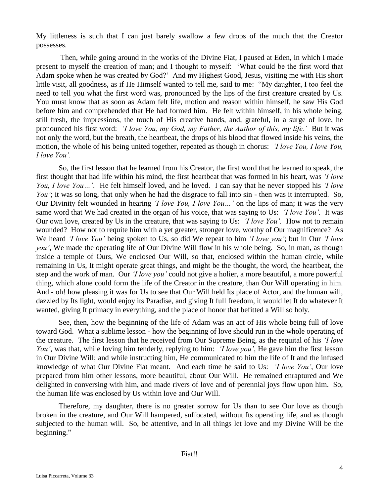My littleness is such that I can just barely swallow a few drops of the much that the Creator possesses.

Then, while going around in the works of the Divine Fiat, I paused at Eden, in which I made present to myself the creation of man; and I thought to myself: 'What could be the first word that Adam spoke when he was created by God?' And my Highest Good, Jesus, visiting me with His short little visit, all goodness, as if He Himself wanted to tell me, said to me: "My daughter, I too feel the need to tell you what the first word was, pronounced by the lips of the first creature created by Us. You must know that as soon as Adam felt life, motion and reason within himself, he saw His God before him and comprehended that He had formed him. He felt within himself, in his whole being, still fresh, the impressions, the touch of His creative hands, and, grateful, in a surge of love, he pronounced his first word: *'I love You, my God, my Father, the Author of this, my life.'* But it was not only the word, but the breath, the heartbeat, the drops of his blood that flowed inside his veins, the motion, the whole of his being united together, repeated as though in chorus: *'I love You, I love You, I love You'.*

So, the first lesson that he learned from his Creator, the first word that he learned to speak, the first thought that had life within his mind, the first heartbeat that was formed in his heart, was *'I love You, I love You…'*. He felt himself loved, and he loved. I can say that he never stopped his *'I love You'*; it was so long, that only when he had the disgrace to fall into sin - then was it interrupted. So, Our Divinity felt wounded in hearing *'I love You, I love You…'* on the lips of man; it was the very same word that We had created in the organ of his voice, that was saying to Us: *'I love You'.* It was Our own love, created by Us in the creature, that was saying to Us: *'I love You'.* How not to remain wounded? How not to requite him with a yet greater, stronger love, worthy of Our magnificence? As We heard *'I love You'* being spoken to Us, so did We repeat to him *'I love you'*; but in Our *'I love you'*, We made the operating life of Our Divine Will flow in his whole being. So, in man, as though inside a temple of Ours, We enclosed Our Will, so that, enclosed within the human circle, while remaining in Us, It might operate great things, and might be the thought, the word, the heartbeat, the step and the work of man. Our *'I love you'* could not give a holier, a more beautiful, a more powerful thing, which alone could form the life of the Creator in the creature, than Our Will operating in him. And - oh! how pleasing it was for Us to see that Our Will held Its place of Actor, and the human will, dazzled by Its light, would enjoy its Paradise, and giving It full freedom, it would let It do whatever It wanted, giving It primacy in everything, and the place of honor that befitted a Will so holy.

See, then, how the beginning of the life of Adam was an act of His whole being full of love toward God. What a sublime lesson - how the beginning of love should run in the whole operating of the creature. The first lesson that he received from Our Supreme Being, as the requital of his *'I love You'*, was that, while loving him tenderly, replying to him: *'I love you'*, He gave him the first lesson in Our Divine Will; and while instructing him, He communicated to him the life of It and the infused knowledge of what Our Divine Fiat meant. And each time he said to Us: *'I love You'*, Our love prepared from him other lessons, more beautiful, about Our Will. He remained enraptured and We delighted in conversing with him, and made rivers of love and of perennial joys flow upon him. So, the human life was enclosed by Us within love and Our Will.

Therefore, my daughter, there is no greater sorrow for Us than to see Our love as though broken in the creature, and Our Will hampered, suffocated, without Its operating life, and as though subjected to the human will. So, be attentive, and in all things let love and my Divine Will be the beginning."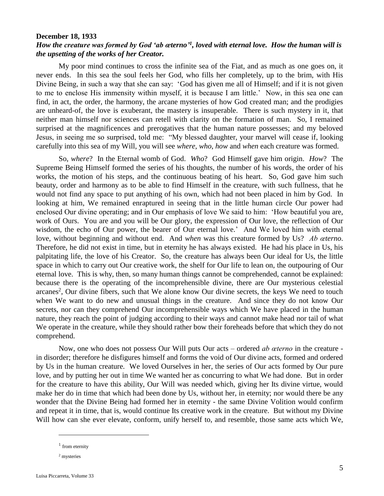#### **December 18, 1933**

## *How the creature was formed by God 'ab œterno' 1 , loved with eternal love. How the human will is the upsetting of the works of her Creator.*

My poor mind continues to cross the infinite sea of the Fiat, and as much as one goes on, it never ends. In this sea the soul feels her God, who fills her completely, up to the brim, with His Divine Being, in such a way that she can say: 'God has given me all of Himself; and if it is not given to me to enclose His immensity within myself, it is because I am little.' Now, in this sea one can find, in act, the order, the harmony, the arcane mysteries of how God created man; and the prodigies are unheard-of, the love is exuberant, the mastery is insuperable. There is such mystery in it, that neither man himself nor sciences can retell with clarity on the formation of man. So, I remained surprised at the magnificences and prerogatives that the human nature possesses; and my beloved Jesus, in seeing me so surprised, told me: "My blessed daughter, your marvel will cease if, looking carefully into this sea of my Will, you will see *where*, *who*, *how* and *when* each creature was formed.

So, *where*? In the Eternal womb of God. *Who*? God Himself gave him origin. *How*? The Supreme Being Himself formed the series of his thoughts, the number of his words, the order of his works, the motion of his steps, and the continuous beating of his heart. So, God gave him such beauty, order and harmony as to be able to find Himself in the creature, with such fullness, that he would not find any space to put anything of his own, which had not been placed in him by God. In looking at him, We remained enraptured in seeing that in the little human circle Our power had enclosed Our divine operating; and in Our emphasis of love We said to him: 'How beautiful you are, work of Ours. You are and you will be Our glory, the expression of Our love, the reflection of Our wisdom, the echo of Our power, the bearer of Our eternal love.' And We loved him with eternal love, without beginning and without end. And *when* was this creature formed by Us? *Ab œterno*. Therefore, he did not exist in time, but in eternity he has always existed. He had his place in Us, his palpitating life, the love of his Creator. So, the creature has always been Our ideal for Us, the little space in which to carry out Our creative work, the shelf for Our life to lean on, the outpouring of Our eternal love. This is why, then, so many human things cannot be comprehended, cannot be explained: because there is the operating of the incomprehensible divine, there are Our mysterious celestial arcanes<sup>2</sup>, Our divine fibers, such that We alone know Our divine secrets, the keys We need to touch when We want to do new and unusual things in the creature. And since they do not know Our secrets, nor can they comprehend Our incomprehensible ways which We have placed in the human nature, they reach the point of judging according to their ways and cannot make head nor tail of what We operate in the creature, while they should rather bow their foreheads before that which they do not comprehend.

Now, one who does not possess Our Will puts Our acts – ordered *ab œterno* in the creature in disorder; therefore he disfigures himself and forms the void of Our divine acts, formed and ordered by Us in the human creature. We loved Ourselves in her, the series of Our acts formed by Our pure love, and by putting her out in time We wanted her as concurring to what We had done. But in order for the creature to have this ability, Our Will was needed which, giving her Its divine virtue, would make her do in time that which had been done by Us, without her, in eternity; nor would there be any wonder that the Divine Being had formed her in eternity - the same Divine Volition would confirm and repeat it in time, that is, would continue Its creative work in the creature. But without my Divine Will how can she ever elevate, conform, unify herself to, and resemble, those same acts which We,

 $\overline{a}$ 

<sup>&</sup>lt;sup>1</sup> from eternity

<sup>2</sup> mysteries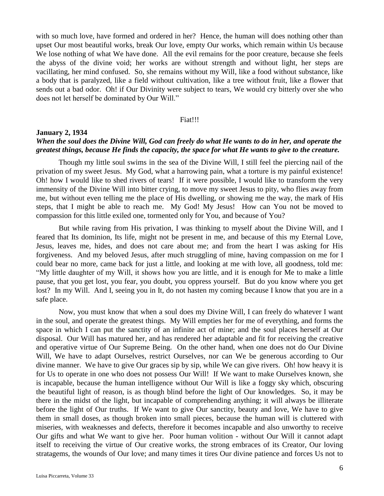with so much love, have formed and ordered in her? Hence, the human will does nothing other than upset Our most beautiful works, break Our love, empty Our works, which remain within Us because We lose nothing of what We have done. All the evil remains for the poor creature, because she feels the abyss of the divine void; her works are without strength and without light, her steps are vacillating, her mind confused. So, she remains without my Will, like a food without substance, like a body that is paralyzed, like a field without cultivation, like a tree without fruit, like a flower that sends out a bad odor. Oh! if Our Divinity were subject to tears, We would cry bitterly over she who does not let herself be dominated by Our Will."

#### Fiat!!!

### **January 2, 1934** *When the soul does the Divine Will, God can freely do what He wants to do in her, and operate the greatest things, because He finds the capacity, the space for what He wants to give to the creature.*

Though my little soul swims in the sea of the Divine Will, I still feel the piercing nail of the privation of my sweet Jesus. My God, what a harrowing pain, what a torture is my painful existence! Oh! how I would like to shed rivers of tears! If it were possible, I would like to transform the very immensity of the Divine Will into bitter crying, to move my sweet Jesus to pity, who flies away from me, but without even telling me the place of His dwelling, or showing me the way, the mark of His steps, that I might be able to reach me. My God! My Jesus! How can You not be moved to compassion for this little exiled one, tormented only for You, and because of You?

But while raving from His privation, I was thinking to myself about the Divine Will, and I feared that Its dominion, Its life, might not be present in me, and because of this my Eternal Love, Jesus, leaves me, hides, and does not care about me; and from the heart I was asking for His forgiveness. And my beloved Jesus, after much struggling of mine, having compassion on me for I could bear no more, came back for just a little, and looking at me with love, all goodness, told me: "My little daughter of my Will, it shows how you are little, and it is enough for Me to make a little pause, that you get lost, you fear, you doubt, you oppress yourself. But do you know where you get lost? In my Will. And I, seeing you in It, do not hasten my coming because I know that you are in a safe place.

Now, you must know that when a soul does my Divine Will, I can freely do whatever I want in the soul, and operate the greatest things. My Will empties her for me of everything, and forms the space in which I can put the sanctity of an infinite act of mine; and the soul places herself at Our disposal. Our Will has matured her, and has rendered her adaptable and fit for receiving the creative and operative virtue of Our Supreme Being. On the other hand, when one does not do Our Divine Will, We have to adapt Ourselves, restrict Ourselves, nor can We be generous according to Our divine manner. We have to give Our graces sip by sip, while We can give rivers. Oh! how heavy it is for Us to operate in one who does not possess Our Will! If We want to make Ourselves known, she is incapable, because the human intelligence without Our Will is like a foggy sky which, obscuring the beautiful light of reason, is as though blind before the light of Our knowledges. So, it may be there in the midst of the light, but incapable of comprehending anything; it will always be illiterate before the light of Our truths. If We want to give Our sanctity, beauty and love, We have to give them in small doses, as though broken into small pieces, because the human will is cluttered with miseries, with weaknesses and defects, therefore it becomes incapable and also unworthy to receive Our gifts and what We want to give her. Poor human volition - without Our Will it cannot adapt itself to receiving the virtue of Our creative works, the strong embraces of its Creator, Our loving stratagems, the wounds of Our love; and many times it tires Our divine patience and forces Us not to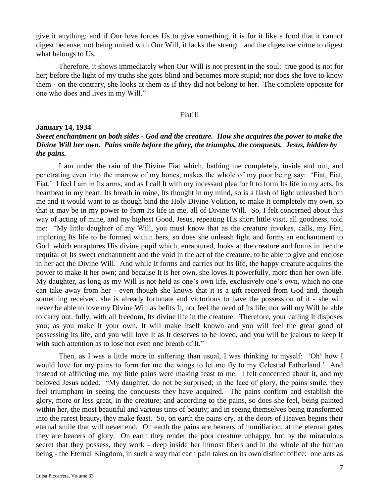give it anything; and if Our love forces Us to give something, it is for it like a food that it cannot digest because, not being united with Our Will, it lacks the strength and the digestive virtue to digest what belongs to Us.

Therefore, it shows immediately when Our Will is not present in the soul: true good is not for her; before the light of my truths she goes blind and becomes more stupid; nor does she love to know them - on the contrary, she looks at them as if they did not belong to her. The complete opposite for one who does and lives in my Will."

#### Fiat!!!

### **January 14, 1934**

## *Sweet enchantment on both sides - God and the creature. How she acquires the power to make the Divine Will her own. Pains smile before the glory, the triumphs, the conquests. Jesus, hidden by the pains.*

I am under the rain of the Divine Fiat which, bathing me completely, inside and out, and penetrating even into the marrow of my bones, makes the whole of my poor being say: 'Fiat, Fiat, Fiat.' I feel I am in Its arms, and as I call It with my incessant plea for It to form Its life in my acts, Its heartbeat in my heart, Its breath in mine, Its thought in my mind, so is a flash of light unleashed from me and it would want to as though bind the Holy Divine Volition, to make It completely my own, so that it may be in my power to form Its life in me, all of Divine Will. So, I felt concerned about this way of acting of mine, and my highest Good, Jesus, repeating His short little visit, all goodness, told me: "My little daughter of my Will, you must know that as the creature invokes, calls, my Fiat, imploring Its life to be formed within hers, so does she unleash light and forms an enchantment to God, which enraptures His divine pupil which, enraptured, looks at the creature and forms in her the requital of Its sweet enchantment and the void in the act of the creature, to be able to give and enclose in her act the Divine Will. And while It forms and carries out Its life, the happy creature acquires the power to make It her own; and because It is her own, she loves It powerfully, more than her own life. My daughter, as long as my Will is not held as one's own life, exclusively one's own, which no one can take away from her - even though she knows that it is a gift received from God and, though something received, she is already fortunate and victorious to have the possession of it - she will never be able to love my Divine Will as befits It, nor feel the need of Its life; nor will my Will be able to carry out, fully, with all freedom, Its divine life in the creature. Therefore, your calling It disposes you; as you make It your own, It will make Itself known and you will feel the great good of possessing Its life, and you will love It as It deserves to be loved, and you will be jealous to keep It with such attention as to lose not even one breath of It."

Then, as I was a little more in suffering than usual, I was thinking to myself: 'Oh! how I would love for my pains to form for me the wings to let me fly to my Celestial Fatherland.' And instead of afflicting me, my little pains were making feast to me. I felt concerned about it, and my beloved Jesus added: "My daughter, do not be surprised; in the face of glory, the pains smile, they feel triumphant in seeing the conquests they have acquired. The pains confirm and establish the glory, more or less great, in the creature; and according to the pains, so does she feel, being painted within her, the most beautiful and various tints of beauty; and in seeing themselves being transformed into the rarest beauty, they make feast. So, on earth the pains cry, at the doors of Heaven begins their eternal smile that will never end. On earth the pains are bearers of humiliation, at the eternal gates they are bearers of glory. On earth they render the poor creature unhappy, but by the miraculous secret that they possess, they work - deep inside her inmost fibers and in the whole of the human being - the Eternal Kingdom, in such a way that each pain takes on its own distinct office: one acts as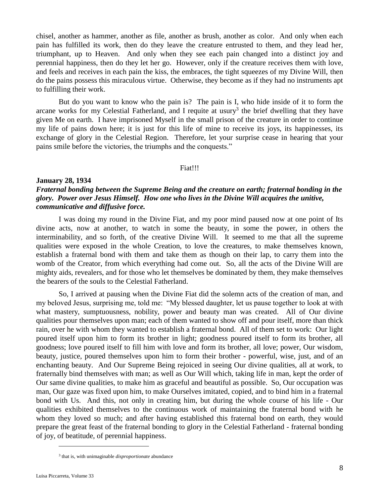chisel, another as hammer, another as file, another as brush, another as color. And only when each pain has fulfilled its work, then do they leave the creature entrusted to them, and they lead her, triumphant, up to Heaven. And only when they see each pain changed into a distinct joy and perennial happiness, then do they let her go. However, only if the creature receives them with love, and feels and receives in each pain the kiss, the embraces, the tight squeezes of my Divine Will, then do the pains possess this miraculous virtue. Otherwise, they become as if they had no instruments apt to fulfilling their work.

But do you want to know who the pain is? The pain is I, who hide inside of it to form the arcane works for my Celestial Fatherland, and I requite at usury<sup>3</sup> the brief dwelling that they have given Me on earth. I have imprisoned Myself in the small prison of the creature in order to continue my life of pains down here; it is just for this life of mine to receive its joys, its happinesses, its exchange of glory in the Celestial Region. Therefore, let your surprise cease in hearing that your pains smile before the victories, the triumphs and the conquests."

### Fiat!!!

### **January 28, 1934**

## *Fraternal bonding between the Supreme Being and the creature on earth; fraternal bonding in the glory. Power over Jesus Himself. How one who lives in the Divine Will acquires the unitive, communicative and diffusive force.*

I was doing my round in the Divine Fiat, and my poor mind paused now at one point of Its divine acts, now at another, to watch in some the beauty, in some the power, in others the interminability, and so forth, of the creative Divine Will. It seemed to me that all the supreme qualities were exposed in the whole Creation, to love the creatures, to make themselves known, establish a fraternal bond with them and take them as though on their lap, to carry them into the womb of the Creator, from which everything had come out. So, all the acts of the Divine Will are mighty aids, revealers, and for those who let themselves be dominated by them, they make themselves the bearers of the souls to the Celestial Fatherland.

So, I arrived at pausing when the Divine Fiat did the solemn acts of the creation of man, and my beloved Jesus, surprising me, told me: "My blessed daughter, let us pause together to look at with what mastery, sumptuousness, nobility, power and beauty man was created. All of Our divine qualities pour themselves upon man; each of them wanted to show off and pour itself, more than thick rain, over he with whom they wanted to establish a fraternal bond. All of them set to work: Our light poured itself upon him to form its brother in light; goodness poured itself to form its brother, all goodness; love poured itself to fill him with love and form its brother, all love; power, Our wisdom, beauty, justice, poured themselves upon him to form their brother - powerful, wise, just, and of an enchanting beauty. And Our Supreme Being rejoiced in seeing Our divine qualities, all at work, to fraternally bind themselves with man; as well as Our Will which, taking life in man, kept the order of Our same divine qualities, to make him as graceful and beautiful as possible. So, Our occupation was man, Our gaze was fixed upon him, to make Ourselves imitated, copied, and to bind him in a fraternal bond with Us. And this, not only in creating him, but during the whole course of his life - Our qualities exhibited themselves to the continuous work of maintaining the fraternal bond with he whom they loved so much; and after having established this fraternal bond on earth, they would prepare the great feast of the fraternal bonding to glory in the Celestial Fatherland - fraternal bonding of joy, of beatitude, of perennial happiness.

 $\overline{a}$ 

<sup>3</sup> that is, with unimaginable *disproportionate* abundance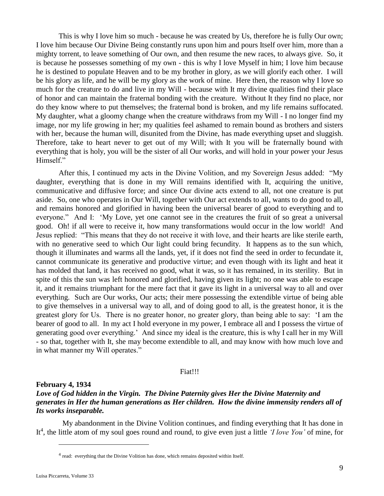This is why I love him so much - because he was created by Us, therefore he is fully Our own; I love him because Our Divine Being constantly runs upon him and pours Itself over him, more than a mighty torrent, to leave something of Our own, and then resume the new races, to always give. So, it is because he possesses something of my own - this is why I love Myself in him; I love him because he is destined to populate Heaven and to be my brother in glory, as we will glorify each other. I will be his glory as life, and he will be my glory as the work of mine. Here then, the reason why I love so much for the creature to do and live in my Will - because with It my divine qualities find their place of honor and can maintain the fraternal bonding with the creature. Without It they find no place, nor do they know where to put themselves; the fraternal bond is broken, and my life remains suffocated. My daughter, what a gloomy change when the creature withdraws from my Will - I no longer find my image, nor my life growing in her; my qualities feel ashamed to remain bound as brothers and sisters with her, because the human will, disunited from the Divine, has made everything upset and sluggish. Therefore, take to heart never to get out of my Will; with It you will be fraternally bound with everything that is holy, you will be the sister of all Our works, and will hold in your power your Jesus Himself."

After this, I continued my acts in the Divine Volition, and my Sovereign Jesus added: "My daughter, everything that is done in my Will remains identified with It, acquiring the unitive, communicative and diffusive force; and since Our divine acts extend to all, not one creature is put aside. So, one who operates in Our Will, together with Our act extends to all, wants to do good to all, and remains honored and glorified in having been the universal bearer of good to everything and to everyone." And I: 'My Love, yet one cannot see in the creatures the fruit of so great a universal good. Oh! if all were to receive it, how many transformations would occur in the low world! And Jesus replied: "This means that they do not receive it with love, and their hearts are like sterile earth, with no generative seed to which Our light could bring fecundity. It happens as to the sun which, though it illuminates and warms all the lands, yet, if it does not find the seed in order to fecundate it, cannot communicate its generative and productive virtue; and even though with its light and heat it has molded that land, it has received no good, what it was, so it has remained, in its sterility. But in spite of this the sun was left honored and glorified, having given its light; no one was able to escape it, and it remains triumphant for the mere fact that it gave its light in a universal way to all and over everything. Such are Our works, Our acts; their mere possessing the extendible virtue of being able to give themselves in a universal way to all, and of doing good to all, is the greatest honor, it is the greatest glory for Us. There is no greater honor, no greater glory, than being able to say: 'I am the bearer of good to all. In my act I hold everyone in my power, I embrace all and I possess the virtue of generating good over everything.' And since my ideal is the creature, this is why I call her in my Will - so that, together with It, she may become extendible to all, and may know with how much love and in what manner my Will operates."

### Fiat!!!

### **February 4, 1934**

## *Love of God hidden in the Virgin. The Divine Paternity gives Her the Divine Maternity and generates in Her the human generations as Her children. How the divine immensity renders all of Its works inseparable.*

 My abandonment in the Divine Volition continues, and finding everything that It has done in It<sup>4</sup>, the little atom of my soul goes round and round, to give even just a little *'I love You'* of mine, for

 $\overline{a}$ 

<sup>&</sup>lt;sup>4</sup> read: everything that the Divine Volition has done, which remains deposited within Itself.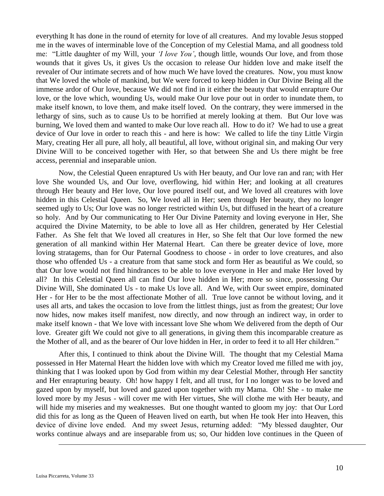everything It has done in the round of eternity for love of all creatures. And my lovable Jesus stopped me in the waves of interminable love of the Conception of my Celestial Mama, and all goodness told me: "Little daughter of my Will, your *'I love You'*, though little, wounds Our love, and from those wounds that it gives Us, it gives Us the occasion to release Our hidden love and make itself the revealer of Our intimate secrets and of how much We have loved the creatures. Now, you must know that We loved the whole of mankind, but We were forced to keep hidden in Our Divine Being all the immense ardor of Our love, because We did not find in it either the beauty that would enrapture Our love, or the love which, wounding Us, would make Our love pour out in order to inundate them, to make itself known, to love them, and make itself loved. On the contrary, they were immersed in the lethargy of sins, such as to cause Us to be horrified at merely looking at them. But Our love was burning, We loved them and wanted to make Our love reach all. How to do it? We had to use a great device of Our love in order to reach this - and here is how: We called to life the tiny Little Virgin Mary, creating Her all pure, all holy, all beautiful, all love, without original sin, and making Our very Divine Will to be conceived together with Her, so that between She and Us there might be free access, perennial and inseparable union.

Now, the Celestial Queen enraptured Us with Her beauty, and Our love ran and ran; with Her love She wounded Us, and Our love, overflowing, hid within Her; and looking at all creatures through Her beauty and Her love, Our love poured itself out, and We loved all creatures with love hidden in this Celestial Queen. So, We loved all in Her; seen through Her beauty, they no longer seemed ugly to Us; Our love was no longer restricted within Us, but diffused in the heart of a creature so holy. And by Our communicating to Her Our Divine Paternity and loving everyone in Her, She acquired the Divine Maternity, to be able to love all as Her children, generated by Her Celestial Father. As She felt that We loved all creatures in Her, so She felt that Our love formed the new generation of all mankind within Her Maternal Heart. Can there be greater device of love, more loving stratagems, than for Our Paternal Goodness to choose - in order to love creatures, and also those who offended Us - a creature from that same stock and form Her as beautiful as We could, so that Our love would not find hindrances to be able to love everyone in Her and make Her loved by all? In this Celestial Queen all can find Our love hidden in Her; more so since, possessing Our Divine Will, She dominated Us - to make Us love all. And We, with Our sweet empire, dominated Her - for Her to be the most affectionate Mother of all. True love cannot be without loving, and it uses all arts, and takes the occasion to love from the littlest things, just as from the greatest; Our love now hides, now makes itself manifest, now directly, and now through an indirect way, in order to make itself known - that We love with incessant love She whom We delivered from the depth of Our love. Greater gift We could not give to all generations, in giving them this incomparable creature as the Mother of all, and as the bearer of Our love hidden in Her, in order to feed it to all Her children."

After this, I continued to think about the Divine Will. The thought that my Celestial Mama possessed in Her Maternal Heart the hidden love with which my Creator loved me filled me with joy, thinking that I was looked upon by God from within my dear Celestial Mother, through Her sanctity and Her enrapturing beauty. Oh! how happy I felt, and all trust, for I no longer was to be loved and gazed upon by myself, but loved and gazed upon together with my Mama. Oh! She - to make me loved more by my Jesus - will cover me with Her virtues, She will clothe me with Her beauty, and will hide my miseries and my weaknesses. But one thought wanted to gloom my joy: that Our Lord did this for as long as the Queen of Heaven lived on earth, but when He took Her into Heaven, this device of divine love ended. And my sweet Jesus, returning added: "My blessed daughter, Our works continue always and are inseparable from us; so, Our hidden love continues in the Queen of

1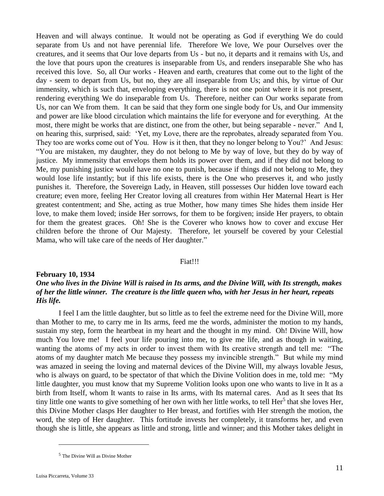Heaven and will always continue. It would not be operating as God if everything We do could separate from Us and not have perennial life. Therefore We love, We pour Ourselves over the creatures, and it seems that Our love departs from Us - but no, it departs and it remains with Us, and the love that pours upon the creatures is inseparable from Us, and renders inseparable She who has received this love. So, all Our works - Heaven and earth, creatures that come out to the light of the day - seem to depart from Us, but no, they are all inseparable from Us; and this, by virtue of Our immensity, which is such that, enveloping everything, there is not one point where it is not present, rendering everything We do inseparable from Us. Therefore, neither can Our works separate from Us, nor can We from them. It can be said that they form one single body for Us, and Our immensity and power are like blood circulation which maintains the life for everyone and for everything. At the most, there might be works that are distinct, one from the other, but being separable - never." And I, on hearing this, surprised, said: 'Yet, my Love, there are the reprobates, already separated from You. They too are works come out of You. How is it then, that they no longer belong to You?' And Jesus: "You are mistaken, my daughter, they do not belong to Me by way of love, but they do by way of justice. My immensity that envelops them holds its power over them, and if they did not belong to Me, my punishing justice would have no one to punish, because if things did not belong to Me, they would lose life instantly; but if this life exists, there is the One who preserves it, and who justly punishes it. Therefore, the Sovereign Lady, in Heaven, still possesses Our hidden love toward each creature; even more, feeling Her Creator loving all creatures from within Her Maternal Heart is Her greatest contentment; and She, acting as true Mother, how many times She hides them inside Her love, to make them loved; inside Her sorrows, for them to be forgiven; inside Her prayers, to obtain for them the greatest graces. Oh! She is the Coverer who knows how to cover and excuse Her children before the throne of Our Majesty. Therefore, let yourself be covered by your Celestial Mama, who will take care of the needs of Her daughter."

#### Fiat!!!

#### **February 10, 1934**

## *One who lives in the Divine Will is raised in Its arms, and the Divine Will, with Its strength, makes of her the little winner. The creature is the little queen who, with her Jesus in her heart, repeats His life.*

I feel I am the little daughter, but so little as to feel the extreme need for the Divine Will, more than Mother to me, to carry me in Its arms, feed me the words, administer the motion to my hands, sustain my step, form the heartbeat in my heart and the thought in my mind. Oh! Divine Will, how much You love me! I feel your life pouring into me, to give me life, and as though in waiting, wanting the atoms of my acts in order to invest them with Its creative strength and tell me: "The atoms of my daughter match Me because they possess my invincible strength." But while my mind was amazed in seeing the loving and maternal devices of the Divine Will, my always lovable Jesus, who is always on guard, to be spectator of that which the Divine Volition does in me, told me: "My little daughter, you must know that my Supreme Volition looks upon one who wants to live in It as a birth from Itself, whom It wants to raise in Its arms, with Its maternal cares. And as It sees that Its tiny little one wants to give something of her own with her little works, to tell Her<sup>5</sup> that she loves Her, this Divine Mother clasps Her daughter to Her breast, and fortifies with Her strength the motion, the word, the step of Her daughter. This fortitude invests her completely, it transforms her, and even though she is little, she appears as little and strong, little and winner; and this Mother takes delight in

 $\overline{a}$ 

<sup>5</sup> The Divine Will as Divine Mother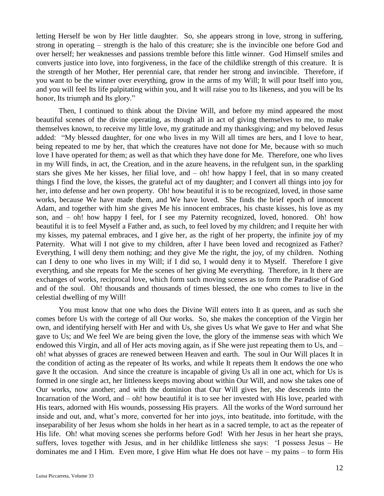letting Herself be won by Her little daughter. So, she appears strong in love, strong in suffering, strong in operating – strength is the halo of this creature; she is the invincible one before God and over herself; her weaknesses and passions tremble before this little winner. God Himself smiles and converts justice into love, into forgiveness, in the face of the childlike strength of this creature. It is the strength of her Mother, Her perennial care, that render her strong and invincible. Therefore, if you want to be the winner over everything, grow in the arms of my Will; It will pour Itself into you, and you will feel Its life palpitating within you, and It will raise you to Its likeness, and you will be Its honor, Its triumph and Its glory."

Then, I continued to think about the Divine Will, and before my mind appeared the most beautiful scenes of the divine operating, as though all in act of giving themselves to me, to make themselves known, to receive my little love, my gratitude and my thanksgiving; and my beloved Jesus added: "My blessed daughter, for one who lives in my Will all times are hers, and I love to hear, being repeated to me by her, that which the creatures have not done for Me, because with so much love I have operated for them; as well as that which they have done for Me. Therefore, one who lives in my Will finds, in act, the Creation, and in the azure heavens, in the refulgent sun, in the sparkling stars she gives Me her kisses, her filial love, and  $-$  oh! how happy I feel, that in so many created things I find the love, the kisses, the grateful act of my daughter; and I convert all things into joy for her, into defense and her own property. Oh! how beautiful it is to be recognized, loved, in those same works, because We have made them, and We have loved. She finds the brief epoch of innocent Adam, and together with him she gives Me his innocent embraces, his chaste kisses, his love as my son, and – oh! how happy I feel, for I see my Paternity recognized, loved, honored. Oh! how beautiful it is to feel Myself a Father and, as such, to feel loved by my children; and I requite her with my kisses, my paternal embraces, and I give her, as the right of her property, the infinite joy of my Paternity. What will I not give to my children, after I have been loved and recognized as Father? Everything, I will deny them nothing; and they give Me the right, the joy, of my children. Nothing can I deny to one who lives in my Will; if I did so, I would deny it to Myself. Therefore I give everything, and she repeats for Me the scenes of her giving Me everything. Therefore, in It there are exchanges of works, reciprocal love, which form such moving scenes as to form the Paradise of God and of the soul. Oh! thousands and thousands of times blessed, the one who comes to live in the celestial dwelling of my Will!

You must know that one who does the Divine Will enters into It as queen, and as such she comes before Us with the cortege of all Our works. So, she makes the conception of the Virgin her own, and identifying herself with Her and with Us, she gives Us what We gave to Her and what She gave to Us; and We feel We are being given the love, the glory of the immense seas with which We endowed this Virgin, and all of Her acts moving again, as if She were just repeating them to Us, and – oh! what abysses of graces are renewed between Heaven and earth. The soul in Our Will places It in the condition of acting as the repeater of Its works, and while It repeats them It endows the one who gave It the occasion. And since the creature is incapable of giving Us all in one act, which for Us is formed in one single act, her littleness keeps moving about within Our Will, and now she takes one of Our works, now another; and with the dominion that Our Will gives her, she descends into the Incarnation of the Word, and – oh! how beautiful it is to see her invested with His love, pearled with His tears, adorned with His wounds, possessing His prayers. All the works of the Word surround her inside and out, and, what's more, converted for her into joys, into beatitude, into fortitude, with the inseparability of her Jesus whom she holds in her heart as in a sacred temple, to act as the repeater of His life. Oh! what moving scenes she performs before God! With her Jesus in her heart she prays, suffers, loves together with Jesus, and in her childlike littleness she says: 'I possess Jesus – He dominates me and I Him. Even more, I give Him what He does not have – my pains – to form His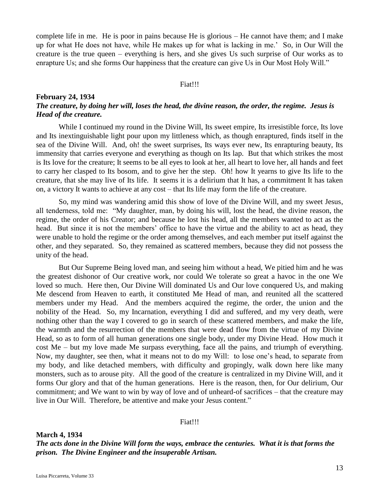complete life in me. He is poor in pains because He is glorious – He cannot have them; and I make up for what He does not have, while He makes up for what is lacking in me.' So, in Our Will the creature is the true queen – everything is hers, and she gives Us such surprise of Our works as to enrapture Us; and she forms Our happiness that the creature can give Us in Our Most Holy Will."

### Fiat!!!

### **February 24, 1934**  *The creature, by doing her will, loses the head, the divine reason, the order, the regime. Jesus is Head of the creature.*

While I continued my round in the Divine Will, Its sweet empire, Its irresistible force, Its love and Its inextinguishable light pour upon my littleness which, as though enraptured, finds itself in the sea of the Divine Will. And, oh! the sweet surprises, Its ways ever new, Its enrapturing beauty, Its immensity that carries everyone and everything as though on Its lap. But that which strikes the most is Its love for the creature; It seems to be all eyes to look at her, all heart to love her, all hands and feet to carry her clasped to Its bosom, and to give her the step. Oh! how It yearns to give Its life to the creature, that she may live of Its life. It seems it is a delirium that It has, a commitment It has taken on, a victory It wants to achieve at any cost – that Its life may form the life of the creature.

So, my mind was wandering amid this show of love of the Divine Will, and my sweet Jesus, all tenderness, told me: "My daughter, man, by doing his will, lost the head, the divine reason, the regime, the order of his Creator; and because he lost his head, all the members wanted to act as the head. But since it is not the members' office to have the virtue and the ability to act as head, they were unable to hold the regime or the order among themselves, and each member put itself against the other, and they separated. So, they remained as scattered members, because they did not possess the unity of the head.

But Our Supreme Being loved man, and seeing him without a head, We pitied him and he was the greatest dishonor of Our creative work, nor could We tolerate so great a havoc in the one We loved so much. Here then, Our Divine Will dominated Us and Our love conquered Us, and making Me descend from Heaven to earth, it constituted Me Head of man, and reunited all the scattered members under my Head. And the members acquired the regime, the order, the union and the nobility of the Head. So, my Incarnation, everything I did and suffered, and my very death, were nothing other than the way I covered to go in search of these scattered members, and make the life, the warmth and the resurrection of the members that were dead flow from the virtue of my Divine Head, so as to form of all human generations one single body, under my Divine Head. How much it cost Me – but my love made Me surpass everything, face all the pains, and triumph of everything. Now, my daughter, see then, what it means not to do my Will: to lose one's head, to separate from my body, and like detached members, with difficulty and gropingly, walk down here like many monsters, such as to arouse pity. All the good of the creature is centralized in my Divine Will, and it forms Our glory and that of the human generations. Here is the reason, then, for Our delirium, Our commitment; and We want to win by way of love and of unheard-of sacrifices – that the creature may live in Our Will. Therefore, be attentive and make your Jesus content."

### Fiat!!!

**March 4, 1934** 

*The acts done in the Divine Will form the ways, embrace the centuries. What it is that forms the prison. The Divine Engineer and the insuperable Artisan.*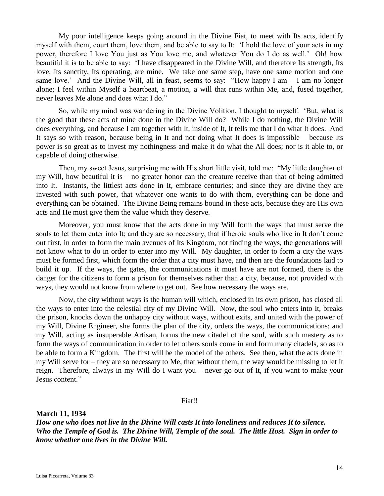My poor intelligence keeps going around in the Divine Fiat, to meet with Its acts, identify myself with them, court them, love them, and be able to say to It: 'I hold the love of your acts in my power, therefore I love You just as You love me, and whatever You do I do as well.' Oh! how beautiful it is to be able to say: 'I have disappeared in the Divine Will, and therefore Its strength, Its love, Its sanctity, Its operating, are mine. We take one same step, have one same motion and one same love.' And the Divine Will, all in feast, seems to say: "How happy I am – I am no longer alone; I feel within Myself a heartbeat, a motion, a will that runs within Me, and, fused together, never leaves Me alone and does what I do."

So, while my mind was wandering in the Divine Volition, I thought to myself: 'But, what is the good that these acts of mine done in the Divine Will do? While I do nothing, the Divine Will does everything, and because I am together with It, inside of It, It tells me that I do what It does. And It says so with reason, because being in It and not doing what It does is impossible – because Its power is so great as to invest my nothingness and make it do what the All does; nor is it able to, or capable of doing otherwise.

Then, my sweet Jesus, surprising me with His short little visit, told me: "My little daughter of my Will, how beautiful it is – no greater honor can the creature receive than that of being admitted into It. Instants, the littlest acts done in It, embrace centuries; and since they are divine they are invested with such power, that whatever one wants to do with them, everything can be done and everything can be obtained. The Divine Being remains bound in these acts, because they are His own acts and He must give them the value which they deserve.

Moreover, you must know that the acts done in my Will form the ways that must serve the souls to let them enter into It; and they are so necessary, that if heroic souls who live in It don't come out first, in order to form the main avenues of Its Kingdom, not finding the ways, the generations will not know what to do in order to enter into my Will. My daughter, in order to form a city the ways must be formed first, which form the order that a city must have, and then are the foundations laid to build it up. If the ways, the gates, the communications it must have are not formed, there is the danger for the citizens to form a prison for themselves rather than a city, because, not provided with ways, they would not know from where to get out. See how necessary the ways are.

Now, the city without ways is the human will which, enclosed in its own prison, has closed all the ways to enter into the celestial city of my Divine Will. Now, the soul who enters into It, breaks the prison, knocks down the unhappy city without ways, without exits, and united with the power of my Will, Divine Engineer, she forms the plan of the city, orders the ways, the communications; and my Will, acting as insuperable Artisan, forms the new citadel of the soul, with such mastery as to form the ways of communication in order to let others souls come in and form many citadels, so as to be able to form a Kingdom. The first will be the model of the others. See then, what the acts done in my Will serve for – they are so necessary to Me, that without them, the way would be missing to let It reign. Therefore, always in my Will do I want you – never go out of It, if you want to make your Jesus content."

### Fiat!!

**March 11, 1934**

*How one who does not live in the Divine Will casts It into loneliness and reduces It to silence. Who the Temple of God is. The Divine Will, Temple of the soul. The little Host. Sign in order to know whether one lives in the Divine Will.*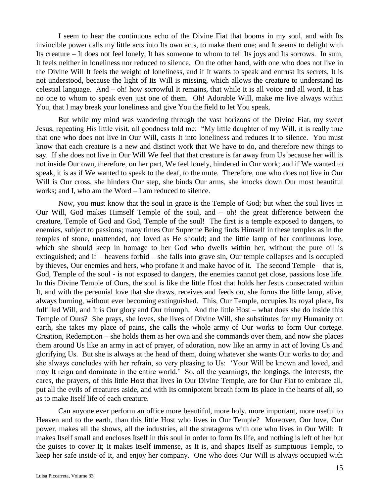I seem to hear the continuous echo of the Divine Fiat that booms in my soul, and with Its invincible power calls my little acts into Its own acts, to make them one; and It seems to delight with Its creature – It does not feel lonely, It has someone to whom to tell Its joys and Its sorrows. In sum, It feels neither in loneliness nor reduced to silence. On the other hand, with one who does not live in the Divine Will It feels the weight of loneliness, and if It wants to speak and entrust Its secrets, It is not understood, because the light of Its Will is missing, which allows the creature to understand Its celestial language. And – oh! how sorrowful It remains, that while It is all voice and all word, It has no one to whom to speak even just one of them. Oh! Adorable Will, make me live always within You, that I may break your loneliness and give You the field to let You speak.

But while my mind was wandering through the vast horizons of the Divine Fiat, my sweet Jesus, repeating His little visit, all goodness told me: "My little daughter of my Will, it is really true that one who does not live in Our Will, casts It into loneliness and reduces It to silence. You must know that each creature is a new and distinct work that We have to do, and therefore new things to say. If she does not live in Our Will We feel that that creature is far away from Us because her will is not inside Our own, therefore, on her part, We feel lonely, hindered in Our work; and if We wanted to speak, it is as if We wanted to speak to the deaf, to the mute. Therefore, one who does not live in Our Will is Our cross, she hinders Our step, she binds Our arms, she knocks down Our most beautiful works; and I, who am the Word – I am reduced to silence.

Now, you must know that the soul in grace is the Temple of God; but when the soul lives in Our Will, God makes Himself Temple of the soul, and – oh! the great difference between the creature, Temple of God and God, Temple of the soul! The first is a temple exposed to dangers, to enemies, subject to passions; many times Our Supreme Being finds Himself in these temples as in the temples of stone, unattended, not loved as He should; and the little lamp of her continuous love, which she should keep in homage to her God who dwells within her, without the pure oil is extinguished; and if – heavens forbid – she falls into grave sin, Our temple collapses and is occupied by thieves, Our enemies and hers, who profane it and make havoc of it. The second Temple – that is, God, Temple of the soul - is not exposed to dangers, the enemies cannot get close, passions lose life. In this Divine Temple of Ours, the soul is like the little Host that holds her Jesus consecrated within It, and with the perennial love that she draws, receives and feeds on, she forms the little lamp, alive, always burning, without ever becoming extinguished. This, Our Temple, occupies Its royal place, Its fulfilled Will, and It is Our glory and Our triumph. And the little Host – what does she do inside this Temple of Ours? She prays, she loves, she lives of Divine Will, she substitutes for my Humanity on earth, she takes my place of pains, she calls the whole army of Our works to form Our cortege. Creation, Redemption – she holds them as her own and she commands over them, and now she places them around Us like an army in act of prayer, of adoration, now like an army in act of loving Us and glorifying Us. But she is always at the head of them, doing whatever she wants Our works to do; and she always concludes with her refrain, so very pleasing to Us: 'Your Will be known and loved, and may It reign and dominate in the entire world.' So, all the yearnings, the longings, the interests, the cares, the prayers, of this little Host that lives in Our Divine Temple, are for Our Fiat to embrace all, put all the evils of creatures aside, and with Its omnipotent breath form Its place in the hearts of all, so as to make Itself life of each creature.

Can anyone ever perform an office more beautiful, more holy, more important, more useful to Heaven and to the earth, than this little Host who lives in Our Temple? Moreover, Our love, Our power, makes all the shows, all the industries, all the stratagems with one who lives in Our Will: It makes Itself small and encloses Itself in this soul in order to form Its life, and nothing is left of her but the guises to cover It; It makes Itself immense, as It is, and shapes Itself as sumptuous Temple, to keep her safe inside of It, and enjoy her company. One who does Our Will is always occupied with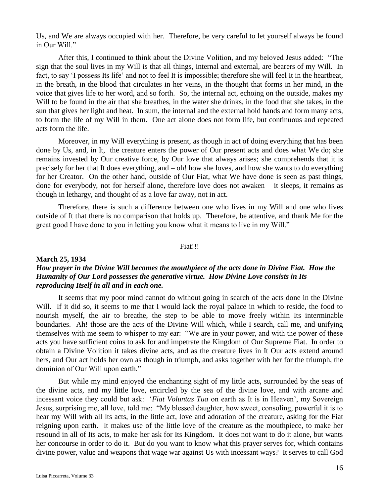Us, and We are always occupied with her. Therefore, be very careful to let yourself always be found in Our Will."

After this, I continued to think about the Divine Volition, and my beloved Jesus added: "The sign that the soul lives in my Will is that all things, internal and external, are bearers of my Will. In fact, to say 'I possess Its life' and not to feel It is impossible; therefore she will feel It in the heartbeat, in the breath, in the blood that circulates in her veins, in the thought that forms in her mind, in the voice that gives life to her word, and so forth. So, the internal act, echoing on the outside, makes my Will to be found in the air that she breathes, in the water she drinks, in the food that she takes, in the sun that gives her light and heat. In sum, the internal and the external hold hands and form many acts, to form the life of my Will in them. One act alone does not form life, but continuous and repeated acts form the life.

Moreover, in my Will everything is present, as though in act of doing everything that has been done by Us, and, in It, the creature enters the power of Our present acts and does what We do; she remains invested by Our creative force, by Our love that always arises; she comprehends that it is precisely for her that It does everything, and – oh! how she loves, and how she wants to do everything for her Creator. On the other hand, outside of Our Fiat, what We have done is seen as past things, done for everybody, not for herself alone, therefore love does not awaken – it sleeps, it remains as though in lethargy, and thought of as a love far away, not in act.

Therefore, there is such a difference between one who lives in my Will and one who lives outside of It that there is no comparison that holds up. Therefore, be attentive, and thank Me for the great good I have done to you in letting you know what it means to live in my Will."

#### Fiat!!!

#### **March 25, 1934**

## *How prayer in the Divine Will becomes the mouthpiece of the acts done in Divine Fiat. How the Humanity of Our Lord possesses the generative virtue. How Divine Love consists in Its reproducing Itself in all and in each one.*

It seems that my poor mind cannot do without going in search of the acts done in the Divine Will. If it did so, it seems to me that I would lack the royal palace in which to reside, the food to nourish myself, the air to breathe, the step to be able to move freely within Its interminable boundaries. Ah! those are the acts of the Divine Will which, while I search, call me, and unifying themselves with me seem to whisper to my ear: "We are in your power, and with the power of these acts you have sufficient coins to ask for and impetrate the Kingdom of Our Supreme Fiat. In order to obtain a Divine Volition it takes divine acts, and as the creature lives in It Our acts extend around hers, and Our act holds her own as though in triumph, and asks together with her for the triumph, the dominion of Our Will upon earth."

But while my mind enjoyed the enchanting sight of my little acts, surrounded by the seas of the divine acts, and my little love, encircled by the sea of the divine love, and with arcane and incessant voice they could but ask: '*Fiat Voluntas Tua* on earth as It is in Heaven', my Sovereign Jesus, surprising me, all love, told me: "My blessed daughter, how sweet, consoling, powerful it is to hear my Will with all Its acts, in the little act, love and adoration of the creature, asking for the Fiat reigning upon earth. It makes use of the little love of the creature as the mouthpiece, to make her resound in all of Its acts, to make her ask for Its Kingdom. It does not want to do it alone, but wants her concourse in order to do it. But do you want to know what this prayer serves for, which contains divine power, value and weapons that wage war against Us with incessant ways? It serves to call God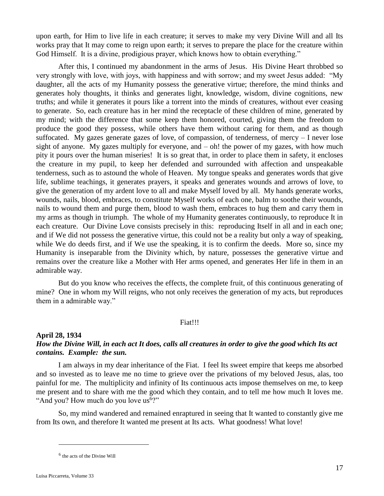upon earth, for Him to live life in each creature; it serves to make my very Divine Will and all Its works pray that It may come to reign upon earth; it serves to prepare the place for the creature within God Himself. It is a divine, prodigious prayer, which knows how to obtain everything."

After this, I continued my abandonment in the arms of Jesus. His Divine Heart throbbed so very strongly with love, with joys, with happiness and with sorrow; and my sweet Jesus added: "My daughter, all the acts of my Humanity possess the generative virtue; therefore, the mind thinks and generates holy thoughts, it thinks and generates light, knowledge, wisdom, divine cognitions, new truths; and while it generates it pours like a torrent into the minds of creatures, without ever ceasing to generate. So, each creature has in her mind the receptacle of these children of mine, generated by my mind; with the difference that some keep them honored, courted, giving them the freedom to produce the good they possess, while others have them without caring for them, and as though suffocated. My gazes generate gazes of love, of compassion, of tenderness, of mercy – I never lose sight of anyone. My gazes multiply for everyone, and  $-$  oh! the power of my gazes, with how much pity it pours over the human miseries! It is so great that, in order to place them in safety, it encloses the creature in my pupil, to keep her defended and surrounded with affection and unspeakable tenderness, such as to astound the whole of Heaven. My tongue speaks and generates words that give life, sublime teachings, it generates prayers, it speaks and generates wounds and arrows of love, to give the generation of my ardent love to all and make Myself loved by all. My hands generate works, wounds, nails, blood, embraces, to constitute Myself works of each one, balm to soothe their wounds, nails to wound them and purge them, blood to wash them, embraces to hug them and carry them in my arms as though in triumph. The whole of my Humanity generates continuously, to reproduce It in each creature. Our Divine Love consists precisely in this: reproducing Itself in all and in each one; and if We did not possess the generative virtue, this could not be a reality but only a way of speaking, while We do deeds first, and if We use the speaking, it is to confirm the deeds. More so, since my Humanity is inseparable from the Divinity which, by nature, possesses the generative virtue and remains over the creature like a Mother with Her arms opened, and generates Her life in them in an admirable way.

But do you know who receives the effects, the complete fruit, of this continuous generating of mine? One in whom my Will reigns, who not only receives the generation of my acts, but reproduces them in a admirable way."

### Fiat!!!

### **April 28, 1934**  *How the Divine Will, in each act It does, calls all creatures in order to give the good which Its act contains. Example: the sun.*

I am always in my dear inheritance of the Fiat. I feel Its sweet empire that keeps me absorbed and so invested as to leave me no time to grieve over the privations of my beloved Jesus, alas, too painful for me. The multiplicity and infinity of Its continuous acts impose themselves on me, to keep me present and to share with me the good which they contain, and to tell me how much It loves me. "And you? How much do you love us<sup>6</sup>?"

So, my mind wandered and remained enraptured in seeing that It wanted to constantly give me from Its own, and therefore It wanted me present at Its acts. What goodness! What love!

 $\overline{a}$ 

<sup>&</sup>lt;sup>6</sup> the acts of the Divine Will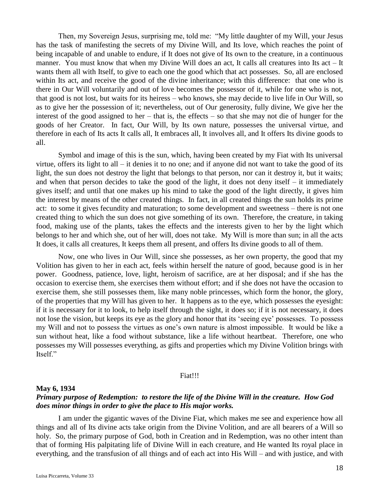Then, my Sovereign Jesus, surprising me, told me: "My little daughter of my Will, your Jesus has the task of manifesting the secrets of my Divine Will, and Its love, which reaches the point of being incapable of and unable to endure, if It does not give of Its own to the creature, in a continuous manner. You must know that when my Divine Will does an act, It calls all creatures into Its act – It wants them all with Itself, to give to each one the good which that act possesses. So, all are enclosed within Its act, and receive the good of the divine inheritance; with this difference: that one who is there in Our Will voluntarily and out of love becomes the possessor of it, while for one who is not, that good is not lost, but waits for its heiress – who knows, she may decide to live life in Our Will, so as to give her the possession of it; nevertheless, out of Our generosity, fully divine, We give her the interest of the good assigned to her – that is, the effects – so that she may not die of hunger for the goods of her Creator. In fact, Our Will, by Its own nature, possesses the universal virtue, and therefore in each of Its acts It calls all, It embraces all, It involves all, and It offers Its divine goods to all.

Symbol and image of this is the sun, which, having been created by my Fiat with Its universal virtue, offers its light to all – it denies it to no one; and if anyone did not want to take the good of its light, the sun does not destroy the light that belongs to that person, nor can it destroy it, but it waits; and when that person decides to take the good of the light, it does not deny itself – it immediately gives itself; and until that one makes up his mind to take the good of the light directly, it gives him the interest by means of the other created things. In fact, in all created things the sun holds its prime act: to some it gives fecundity and maturation; to some development and sweetness – there is not one created thing to which the sun does not give something of its own. Therefore, the creature, in taking food, making use of the plants, takes the effects and the interests given to her by the light which belongs to her and which she, out of her will, does not take. My Will is more than sun; in all the acts It does, it calls all creatures, It keeps them all present, and offers Its divine goods to all of them.

Now, one who lives in Our Will, since she possesses, as her own property, the good that my Volition has given to her in each act, feels within herself the nature of good, because good is in her power. Goodness, patience, love, light, heroism of sacrifice, are at her disposal; and if she has the occasion to exercise them, she exercises them without effort; and if she does not have the occasion to exercise them, she still possesses them, like many noble princesses, which form the honor, the glory, of the properties that my Will has given to her. It happens as to the eye, which possesses the eyesight: if it is necessary for it to look, to help itself through the sight, it does so; if it is not necessary, it does not lose the vision, but keeps its eye as the glory and honor that its 'seeing eye' possesses. To possess my Will and not to possess the virtues as one's own nature is almost impossible. It would be like a sun without heat, like a food without substance, like a life without heartbeat. Therefore, one who possesses my Will possesses everything, as gifts and properties which my Divine Volition brings with Itself."

### Fiat!!!

### **May 6, 1934**

### *Primary purpose of Redemption: to restore the life of the Divine Will in the creature. How God does minor things in order to give the place to His major works.*

I am under the gigantic waves of the Divine Fiat, which makes me see and experience how all things and all of Its divine acts take origin from the Divine Volition, and are all bearers of a Will so holy. So, the primary purpose of God, both in Creation and in Redemption, was no other intent than that of forming His palpitating life of Divine Will in each creature, and He wanted Its royal place in everything, and the transfusion of all things and of each act into His Will – and with justice, and with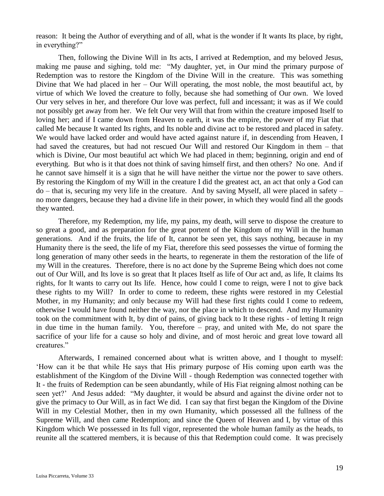reason: It being the Author of everything and of all, what is the wonder if It wants Its place, by right, in everything?"

Then, following the Divine Will in Its acts, I arrived at Redemption, and my beloved Jesus, making me pause and sighing, told me: "My daughter, yet, in Our mind the primary purpose of Redemption was to restore the Kingdom of the Divine Will in the creature. This was something Divine that We had placed in her – Our Will operating, the most noble, the most beautiful act, by virtue of which We loved the creature to folly, because she had something of Our own. We loved Our very selves in her, and therefore Our love was perfect, full and incessant; it was as if We could not possibly get away from her. We felt Our very Will that from within the creature imposed Itself to loving her; and if I came down from Heaven to earth, it was the empire, the power of my Fiat that called Me because It wanted Its rights, and Its noble and divine act to be restored and placed in safety. We would have lacked order and would have acted against nature if, in descending from Heaven, I had saved the creatures, but had not rescued Our Will and restored Our Kingdom in them – that which is Divine, Our most beautiful act which We had placed in them; beginning, origin and end of everything. But who is it that does not think of saving himself first, and then others? No one. And if he cannot save himself it is a sign that he will have neither the virtue nor the power to save others. By restoring the Kingdom of my Will in the creature I did the greatest act, an act that only a God can do – that is, securing my very life in the creature. And by saving Myself, all were placed in safety – no more dangers, because they had a divine life in their power, in which they would find all the goods they wanted.

Therefore, my Redemption, my life, my pains, my death, will serve to dispose the creature to so great a good, and as preparation for the great portent of the Kingdom of my Will in the human generations. And if the fruits, the life of It, cannot be seen yet, this says nothing, because in my Humanity there is the seed, the life of my Fiat, therefore this seed possesses the virtue of forming the long generation of many other seeds in the hearts, to regenerate in them the restoration of the life of my Will in the creatures. Therefore, there is no act done by the Supreme Being which does not come out of Our Will, and Its love is so great that It places Itself as life of Our act and, as life, It claims Its rights, for It wants to carry out Its life. Hence, how could I come to reign, were I not to give back these rights to my Will? In order to come to redeem, these rights were restored in my Celestial Mother, in my Humanity; and only because my Will had these first rights could I come to redeem, otherwise I would have found neither the way, nor the place in which to descend. And my Humanity took on the commitment with It, by dint of pains, of giving back to It these rights - of letting It reign in due time in the human family. You, therefore – pray, and united with Me, do not spare the sacrifice of your life for a cause so holy and divine, and of most heroic and great love toward all creatures."

Afterwards, I remained concerned about what is written above, and I thought to myself: 'How can it be that while He says that His primary purpose of His coming upon earth was the establishment of the Kingdom of the Divine Will - though Redemption was connected together with It - the fruits of Redemption can be seen abundantly, while of His Fiat reigning almost nothing can be seen yet?' And Jesus added: "My daughter, it would be absurd and against the divine order not to give the primacy to Our Will, as in fact We did. I can say that first began the Kingdom of the Divine Will in my Celestial Mother, then in my own Humanity, which possessed all the fullness of the Supreme Will, and then came Redemption; and since the Queen of Heaven and I, by virtue of this Kingdom which We possessed in Its full vigor, represented the whole human family as the heads, to reunite all the scattered members, it is because of this that Redemption could come. It was precisely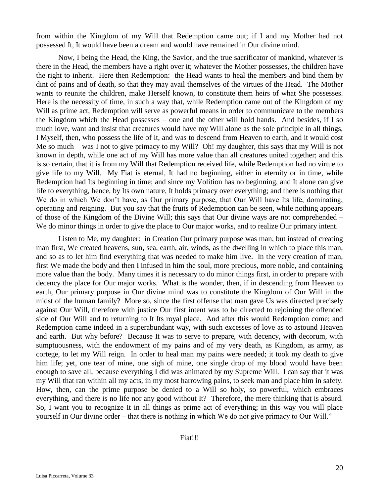from within the Kingdom of my Will that Redemption came out; if I and my Mother had not possessed It, It would have been a dream and would have remained in Our divine mind.

Now, I being the Head, the King, the Savior, and the true sacrificator of mankind, whatever is there in the Head, the members have a right over it; whatever the Mother possesses, the children have the right to inherit. Here then Redemption: the Head wants to heal the members and bind them by dint of pains and of death, so that they may avail themselves of the virtues of the Head. The Mother wants to reunite the children, make Herself known, to constitute them heirs of what She possesses. Here is the necessity of time, in such a way that, while Redemption came out of the Kingdom of my Will as prime act, Redemption will serve as powerful means in order to communicate to the members the Kingdom which the Head possesses – one and the other will hold hands. And besides, if I so much love, want and insist that creatures would have my Will alone as the sole principle in all things, I Myself, then, who possess the life of It, and was to descend from Heaven to earth, and it would cost Me so much – was I not to give primacy to my Will? Oh! my daughter, this says that my Will is not known in depth, while one act of my Will has more value than all creatures united together; and this is so certain, that it is from my Will that Redemption received life, while Redemption had no virtue to give life to my Will. My Fiat is eternal, It had no beginning, either in eternity or in time, while Redemption had Its beginning in time; and since my Volition has no beginning, and It alone can give life to everything, hence, by Its own nature, It holds primacy over everything; and there is nothing that We do in which We don't have, as Our primary purpose, that Our Will have Its life, dominating, operating and reigning. But you say that the fruits of Redemption can be seen, while nothing appears of those of the Kingdom of the Divine Will; this says that Our divine ways are not comprehended – We do minor things in order to give the place to Our major works, and to realize Our primary intent.

Listen to Me, my daughter: in Creation Our primary purpose was man, but instead of creating man first, We created heavens, sun, sea, earth, air, winds, as the dwelling in which to place this man, and so as to let him find everything that was needed to make him live. In the very creation of man, first We made the body and then I infused in him the soul, more precious, more noble, and containing more value than the body. Many times it is necessary to do minor things first, in order to prepare with decency the place for Our major works. What is the wonder, then, if in descending from Heaven to earth, Our primary purpose in Our divine mind was to constitute the Kingdom of Our Will in the midst of the human family? More so, since the first offense that man gave Us was directed precisely against Our Will, therefore with justice Our first intent was to be directed to rejoining the offended side of Our Will and to returning to It Its royal place. And after this would Redemption come; and Redemption came indeed in a superabundant way, with such excesses of love as to astound Heaven and earth. But why before? Because It was to serve to prepare, with decency, with decorum, with sumptuousness, with the endowment of my pains and of my very death, as Kingdom, as army, as cortege, to let my Will reign. In order to heal man my pains were needed; it took my death to give him life; yet, one tear of mine, one sigh of mine, one single drop of my blood would have been enough to save all, because everything I did was animated by my Supreme Will. I can say that it was my Will that ran within all my acts, in my most harrowing pains, to seek man and place him in safety. How, then, can the prime purpose be denied to a Will so holy, so powerful, which embraces everything, and there is no life nor any good without It? Therefore, the mere thinking that is absurd. So, I want you to recognize It in all things as prime act of everything; in this way you will place yourself in Our divine order – that there is nothing in which We do not give primacy to Our Will."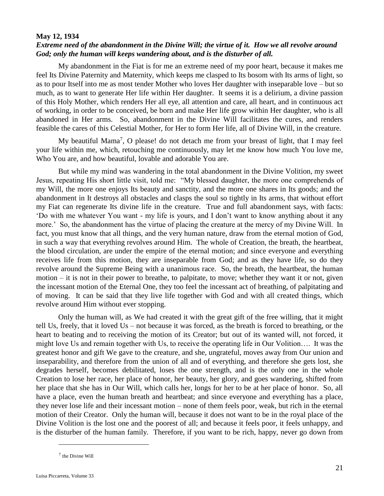### **May 12, 1934**

## *Extreme need of the abandonment in the Divine Will; the virtue of it. How we all revolve around God; only the human will keeps wandering about, and is the disturber of all.*

My abandonment in the Fiat is for me an extreme need of my poor heart, because it makes me feel Its Divine Paternity and Maternity, which keeps me clasped to Its bosom with Its arms of light, so as to pour Itself into me as most tender Mother who loves Her daughter with inseparable love – but so much, as to want to generate Her life within Her daughter. It seems it is a delirium, a divine passion of this Holy Mother, which renders Her all eye, all attention and care, all heart, and in continuous act of working, in order to be conceived, be born and make Her life grow within Her daughter, who is all abandoned in Her arms. So, abandonment in the Divine Will facilitates the cures, and renders feasible the cares of this Celestial Mother, for Her to form Her life, all of Divine Will, in the creature.

My beautiful Mama<sup>7</sup>, O please! do not detach me from your breast of light, that I may feel your life within me, which, retouching me continuously, may let me know how much You love me, Who You are, and how beautiful, lovable and adorable You are.

But while my mind was wandering in the total abandonment in the Divine Volition, my sweet Jesus, repeating His short little visit, told me: "My blessed daughter, the more one comprehends of my Will, the more one enjoys Its beauty and sanctity, and the more one shares in Its goods; and the abandonment in It destroys all obstacles and clasps the soul so tightly in Its arms, that without effort my Fiat can regenerate Its divine life in the creature. True and full abandonment says, with facts: 'Do with me whatever You want - my life is yours, and I don't want to know anything about it any more.' So, the abandonment has the virtue of placing the creature at the mercy of my Divine Will. In fact, you must know that all things, and the very human nature, draw from the eternal motion of God, in such a way that everything revolves around Him. The whole of Creation, the breath, the heartbeat, the blood circulation, are under the empire of the eternal motion; and since everyone and everything receives life from this motion, they are inseparable from God; and as they have life, so do they revolve around the Supreme Being with a unanimous race. So, the breath, the heartbeat, the human motion – it is not in their power to breathe, to palpitate, to move; whether they want it or not, given the incessant motion of the Eternal One, they too feel the incessant act of breathing, of palpitating and of moving. It can be said that they live life together with God and with all created things, which revolve around Him without ever stopping.

Only the human will, as We had created it with the great gift of the free willing, that it might tell Us, freely, that it loved Us – not because it was forced, as the breath is forced to breathing, or the heart to beating and to receiving the motion of its Creator; but out of its wanted will, not forced, it might love Us and remain together with Us, to receive the operating life in Our Volition…. It was the greatest honor and gift We gave to the creature, and she, ungrateful, moves away from Our union and inseparability, and therefore from the union of all and of everything, and therefore she gets lost, she degrades herself, becomes debilitated, loses the one strength, and is the only one in the whole Creation to lose her race, her place of honor, her beauty, her glory, and goes wandering, shifted from her place that she has in Our Will, which calls her, longs for her to be at her place of honor. So, all have a place, even the human breath and heartbeat; and since everyone and everything has a place, they never lose life and their incessant motion – none of them feels poor, weak, but rich in the eternal motion of their Creator. Only the human will, because it does not want to be in the royal place of the Divine Volition is the lost one and the poorest of all; and because it feels poor, it feels unhappy, and is the disturber of the human family. Therefore, if you want to be rich, happy, never go down from

 $\overline{a}$ 

<sup>7</sup> the Divine Will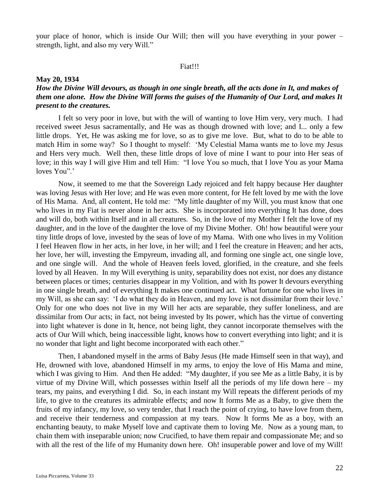your place of honor, which is inside Our Will; then will you have everything in your power – strength, light, and also my very Will."

#### Fiat!!!

#### **May 20, 1934**

## *How the Divine Will devours, as though in one single breath, all the acts done in It, and makes of them one alone. How the Divine Will forms the guises of the Humanity of Our Lord, and makes It present to the creatures.*

I felt so very poor in love, but with the will of wanting to love Him very, very much. I had received sweet Jesus sacramentally, and He was as though drowned with love; and I... only a few little drops. Yet, He was asking me for love, so as to give me love. But, what to do to be able to match Him in some way? So I thought to myself: 'My Celestial Mama wants me to love my Jesus and Hers very much. Well then, these little drops of love of mine I want to pour into Her seas of love; in this way I will give Him and tell Him: "I love You so much, that I love You as your Mama loves You".'

Now, it seemed to me that the Sovereign Lady rejoiced and felt happy because Her daughter was loving Jesus with Her love; and He was even more content, for He felt loved by me with the love of His Mama. And, all content, He told me: "My little daughter of my Will, you must know that one who lives in my Fiat is never alone in her acts. She is incorporated into everything It has done, does and will do, both within Itself and in all creatures. So, in the love of my Mother I felt the love of my daughter, and in the love of the daughter the love of my Divine Mother. Oh! how beautiful were your tiny little drops of love, invested by the seas of love of my Mama. With one who lives in my Volition I feel Heaven flow in her acts, in her love, in her will; and I feel the creature in Heaven; and her acts, her love, her will, investing the Empyreum, invading all, and forming one single act, one single love, and one single will. And the whole of Heaven feels loved, glorified, in the creature, and she feels loved by all Heaven. In my Will everything is unity, separability does not exist, nor does any distance between places or times; centuries disappear in my Volition, and with Its power It devours everything in one single breath, and of everything It makes one continued act. What fortune for one who lives in my Will, as she can say: 'I do what they do in Heaven, and my love is not dissimilar from their love.' Only for one who does not live in my Will her acts are separable, they suffer loneliness, and are dissimilar from Our acts; in fact, not being invested by Its power, which has the virtue of converting into light whatever is done in It, hence, not being light, they cannot incorporate themselves with the acts of Our Will which, being inaccessible light, knows how to convert everything into light; and it is no wonder that light and light become incorporated with each other."

Then, I abandoned myself in the arms of Baby Jesus (He made Himself seen in that way), and He, drowned with love, abandoned Himself in my arms, to enjoy the love of His Mama and mine, which I was giving to Him. And then He added: "My daughter, if you see Me as a little Baby, it is by virtue of my Divine Will, which possesses within Itself all the periods of my life down here – my tears, my pains, and everything I did. So, in each instant my Will repeats the different periods of my life, to give to the creatures its admirable effects; and now It forms Me as a Baby, to give them the fruits of my infancy, my love, so very tender, that I reach the point of crying, to have love from them, and receive their tenderness and compassion at my tears. Now It forms Me as a boy, with an enchanting beauty, to make Myself love and captivate them to loving Me. Now as a young man, to chain them with inseparable union; now Crucified, to have them repair and compassionate Me; and so with all the rest of the life of my Humanity down here. Oh! insuperable power and love of my Will!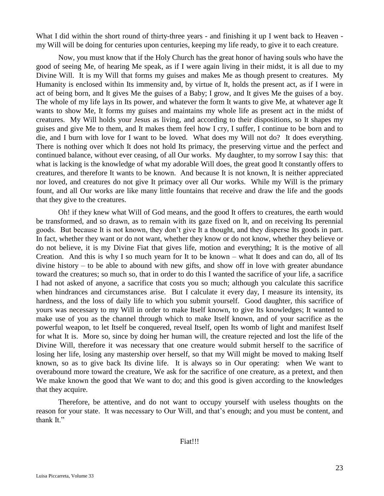What I did within the short round of thirty-three years - and finishing it up I went back to Heaven my Will will be doing for centuries upon centuries, keeping my life ready, to give it to each creature.

Now, you must know that if the Holy Church has the great honor of having souls who have the good of seeing Me, of hearing Me speak, as if I were again living in their midst, it is all due to my Divine Will. It is my Will that forms my guises and makes Me as though present to creatures. My Humanity is enclosed within Its immensity and, by virtue of It, holds the present act, as if I were in act of being born, and It gives Me the guises of a Baby; I grow, and It gives Me the guises of a boy. The whole of my life lays in Its power, and whatever the form It wants to give Me, at whatever age It wants to show Me, It forms my guises and maintains my whole life as present act in the midst of creatures. My Will holds your Jesus as living, and according to their dispositions, so It shapes my guises and give Me to them, and It makes them feel how I cry, I suffer, I continue to be born and to die, and I burn with love for I want to be loved. What does my Will not do? It does everything. There is nothing over which It does not hold Its primacy, the preserving virtue and the perfect and continued balance, without ever ceasing, of all Our works. My daughter, to my sorrow I say this: that what is lacking is the knowledge of what my adorable Will does, the great good It constantly offers to creatures, and therefore It wants to be known. And because It is not known, It is neither appreciated nor loved, and creatures do not give It primacy over all Our works. While my Will is the primary fount, and all Our works are like many little fountains that receive and draw the life and the goods that they give to the creatures.

Oh! if they knew what Will of God means, and the good It offers to creatures, the earth would be transformed, and so drawn, as to remain with its gaze fixed on It, and on receiving Its perennial goods. But because It is not known, they don't give It a thought, and they disperse Its goods in part. In fact, whether they want or do not want, whether they know or do not know, whether they believe or do not believe, it is my Divine Fiat that gives life, motion and everything; It is the motive of all Creation. And this is why I so much yearn for It to be known – what It does and can do, all of Its divine history – to be able to abound with new gifts, and show off in love with greater abundance toward the creatures; so much so, that in order to do this I wanted the sacrifice of your life, a sacrifice I had not asked of anyone, a sacrifice that costs you so much; although you calculate this sacrifice when hindrances and circumstances arise. But I calculate it every day, I measure its intensity, its hardness, and the loss of daily life to which you submit yourself. Good daughter, this sacrifice of yours was necessary to my Will in order to make Itself known, to give Its knowledges; It wanted to make use of you as the channel through which to make Itself known, and of your sacrifice as the powerful weapon, to let Itself be conquered, reveal Itself, open Its womb of light and manifest Itself for what It is. More so, since by doing her human will, the creature rejected and lost the life of the Divine Will, therefore it was necessary that one creature would submit herself to the sacrifice of losing her life, losing any mastership over herself, so that my Will might be moved to making Itself known, so as to give back Its divine life. It is always so in Our operating: when We want to overabound more toward the creature, We ask for the sacrifice of one creature, as a pretext, and then We make known the good that We want to do; and this good is given according to the knowledges that they acquire.

Therefore, be attentive, and do not want to occupy yourself with useless thoughts on the reason for your state. It was necessary to Our Will, and that's enough; and you must be content, and thank It."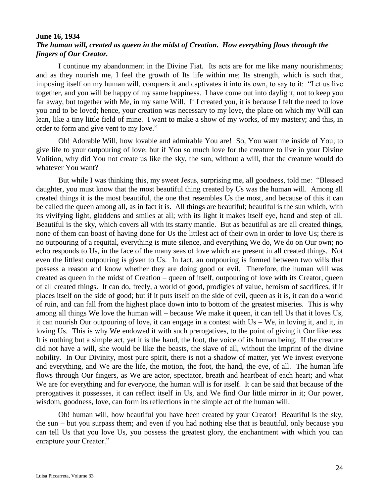### **June 16, 1934**  *The human will, created as queen in the midst of Creation. How everything flows through the fingers of Our Creator.*

I continue my abandonment in the Divine Fiat. Its acts are for me like many nourishments; and as they nourish me, I feel the growth of Its life within me; Its strength, which is such that, imposing itself on my human will, conquers it and captivates it into its own, to say to it: "Let us live together, and you will be happy of my same happiness. I have come out into daylight, not to keep you far away, but together with Me, in my same Will. If I created you, it is because I felt the need to love you and to be loved; hence, your creation was necessary to my love, the place on which my Will can lean, like a tiny little field of mine. I want to make a show of my works, of my mastery; and this, in order to form and give vent to my love."

Oh! Adorable Will, how lovable and admirable You are! So, You want me inside of You, to give life to your outpouring of love; but if You so much love for the creature to live in your Divine Volition, why did You not create us like the sky, the sun, without a will, that the creature would do whatever You want?

But while I was thinking this, my sweet Jesus, surprising me, all goodness, told me: "Blessed daughter, you must know that the most beautiful thing created by Us was the human will. Among all created things it is the most beautiful, the one that resembles Us the most, and because of this it can be called the queen among all, as in fact it is. All things are beautiful; beautiful is the sun which, with its vivifying light, gladdens and smiles at all; with its light it makes itself eye, hand and step of all. Beautiful is the sky, which covers all with its starry mantle. But as beautiful as are all created things, none of them can boast of having done for Us the littlest act of their own in order to love Us; there is no outpouring of a requital, everything is mute silence, and everything We do, We do on Our own; no echo responds to Us, in the face of the many seas of love which are present in all created things. Not even the littlest outpouring is given to Us. In fact, an outpouring is formed between two wills that possess a reason and know whether they are doing good or evil. Therefore, the human will was created as queen in the midst of Creation – queen of itself, outpouring of love with its Creator, queen of all created things. It can do, freely, a world of good, prodigies of value, heroism of sacrifices, if it places itself on the side of good; but if it puts itself on the side of evil, queen as it is, it can do a world of ruin, and can fall from the highest place down into to bottom of the greatest miseries. This is why among all things We love the human will – because We make it queen, it can tell Us that it loves Us, it can nourish Our outpouring of love, it can engage in a contest with Us – We, in loving it, and it, in loving Us. This is why We endowed it with such prerogatives, to the point of giving it Our likeness. It is nothing but a simple act, yet it is the hand, the foot, the voice of its human being. If the creature did not have a will, she would be like the beasts, the slave of all, without the imprint of the divine nobility. In Our Divinity, most pure spirit, there is not a shadow of matter, yet We invest everyone and everything, and We are the life, the motion, the foot, the hand, the eye, of all. The human life flows through Our fingers, as We are actor, spectator, breath and heartbeat of each heart; and what We are for everything and for everyone, the human will is for itself. It can be said that because of the prerogatives it possesses, it can reflect itself in Us, and We find Our little mirror in it; Our power, wisdom, goodness, love, can form its reflections in the simple act of the human will.

Oh! human will, how beautiful you have been created by your Creator! Beautiful is the sky, the sun – but you surpass them; and even if you had nothing else that is beautiful, only because you can tell Us that you love Us, you possess the greatest glory, the enchantment with which you can enrapture your Creator."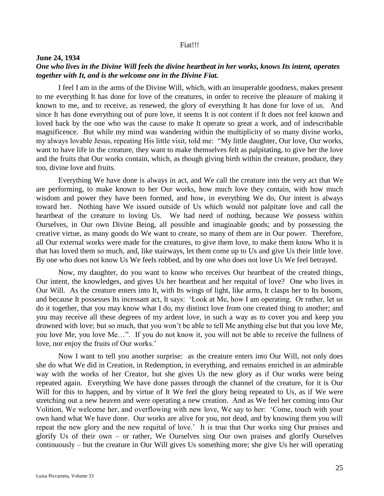#### Fiat!!!

#### **June 24, 1934**

### *One who lives in the Divine Will feels the divine heartbeat in her works, knows Its intent, operates together with It, and is the welcome one in the Divine Fiat.*

I feel I am in the arms of the Divine Will, which, with an insuperable goodness, makes present to me everything It has done for love of the creatures, in order to receive the pleasure of making it known to me, and to receive, as renewed, the glory of everything It has done for love of us. And since It has done everything out of pure love, it seems It is not content if It does not feel known and loved back by the one who was the cause to make It operate so great a work, and of indescribable magnificence. But while my mind was wandering within the multiplicity of so many divine works, my always lovable Jesus, repeating His little visit, told me: "My little daughter, Our love, Our works, want to have life in the creature, they want to make themselves felt as palpitating, to give her the love and the fruits that Our works contain, which, as though giving birth within the creature, produce, they too, divine love and fruits.

Everything We have done is always in act, and We call the creature into the very act that We are performing, to make known to her Our works, how much love they contain, with how much wisdom and power they have been formed, and how, in everything We do, Our intent is always toward her. Nothing have We issued outside of Us which would not palpitate love and call the heartbeat of the creature to loving Us. We had need of nothing, because We possess within Ourselves, in Our own Divine Being, all possible and imaginable goods; and by possessing the creative virtue, as many goods do We want to create, so many of them are in Our power. Therefore, all Our external works were made for the creatures, to give them love, to make them know Who it is that has loved them so much, and, like stairways, let them come up to Us and give Us their little love. By one who does not know Us We feels robbed, and by one who does not love Us We feel betrayed.

Now, my daughter, do you want to know who receives Our heartbeat of the created things, Our intent, the knowledges, and gives Us her heartbeat and her requital of love? One who lives in Our Will. As the creature enters into It, with Its wings of light, like arms, It clasps her to Its bosom, and because It possesses Its incessant act, It says: 'Look at Me, how I am operating. Or rather, let us do it together, that you may know what I do, my distinct love from one created thing to another; and you may receive all these degrees of my ardent love, in such a way as to cover you and keep you drowned with love; but so much, that you won't be able to tell Me anything else but that you love Me, you love Me, you love Me…". If you do not know it, you will not be able to receive the fullness of love, nor enjoy the fruits of Our works.'

Now I want to tell you another surprise: as the creature enters into Our Will, not only does she do what We did in Creation, in Redemption, in everything, and remains enriched in an admirable way with the works of her Creator, but she gives Us the new glory as if Our works were being repeated again. Everything We have done passes through the channel of the creature, for it is Our Will for this to happen, and by virtue of It We feel the glory being repeated to Us, as if We were stretching out a new heaven and were operating a new creation. And as We feel her coming into Our Volition, We welcome her, and overflowing with new love, We say to her: 'Come, touch with your own hand what We have done. Our works are alive for you, not dead, and by knowing them you will repeat the new glory and the new requital of love.' It is true that Our works sing Our praises and glorify Us of their own – or rather, We Ourselves sing Our own praises and glorify Ourselves continuously – but the creature in Our Will gives Us something more; she give Us her will operating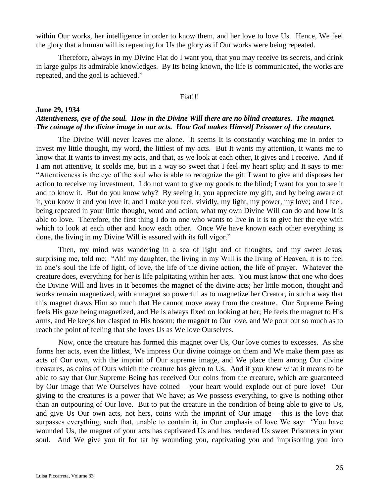within Our works, her intelligence in order to know them, and her love to love Us. Hence, We feel the glory that a human will is repeating for Us the glory as if Our works were being repeated.

Therefore, always in my Divine Fiat do I want you, that you may receive Its secrets, and drink in large gulps Its admirable knowledges. By Its being known, the life is communicated, the works are repeated, and the goal is achieved."

#### Fiat!!!

### **June 29, 1934**  *Attentiveness, eye of the soul. How in the Divine Will there are no blind creatures. The magnet. The coinage of the divine image in our acts. How God makes Himself Prisoner of the creature.*

The Divine Will never leaves me alone. It seems It is constantly watching me in order to invest my little thought, my word, the littlest of my acts. But It wants my attention, It wants me to know that It wants to invest my acts, and that, as we look at each other, It gives and I receive. And if I am not attentive, It scolds me, but in a way so sweet that I feel my heart split; and It says to me: "Attentiveness is the eye of the soul who is able to recognize the gift I want to give and disposes her action to receive my investment. I do not want to give my goods to the blind; I want for you to see it and to know it. But do you know why? By seeing it, you appreciate my gift, and by being aware of it, you know it and you love it; and I make you feel, vividly, my light, my power, my love; and I feel, being repeated in your little thought, word and action, what my own Divine Will can do and how It is able to love. Therefore, the first thing I do to one who wants to live in It is to give her the eye with which to look at each other and know each other. Once We have known each other everything is done, the living in my Divine Will is assured with its full vigor."

Then, my mind was wandering in a sea of light and of thoughts, and my sweet Jesus, surprising me, told me: "Ah! my daughter, the living in my Will is the living of Heaven, it is to feel in one's soul the life of light, of love, the life of the divine action, the life of prayer. Whatever the creature does, everything for her is life palpitating within her acts. You must know that one who does the Divine Will and lives in It becomes the magnet of the divine acts; her little motion, thought and works remain magnetized, with a magnet so powerful as to magnetize her Creator, in such a way that this magnet draws Him so much that He cannot move away from the creature. Our Supreme Being feels His gaze being magnetized, and He is always fixed on looking at her; He feels the magnet to His arms, and He keeps her clasped to His bosom; the magnet to Our love, and We pour out so much as to reach the point of feeling that she loves Us as We love Ourselves.

Now, once the creature has formed this magnet over Us, Our love comes to excesses. As she forms her acts, even the littlest, We impress Our divine coinage on them and We make them pass as acts of Our own, with the imprint of Our supreme image, and We place them among Our divine treasures, as coins of Ours which the creature has given to Us. And if you knew what it means to be able to say that Our Supreme Being has received Our coins from the creature, which are guaranteed by Our image that We Ourselves have coined – your heart would explode out of pure love! Our giving to the creatures is a power that We have; as We possess everything, to give is nothing other than an outpouring of Our love. But to put the creature in the condition of being able to give to Us, and give Us Our own acts, not hers, coins with the imprint of Our image – this is the love that surpasses everything, such that, unable to contain it, in Our emphasis of love We say: 'You have wounded Us, the magnet of your acts has captivated Us and has rendered Us sweet Prisoners in your soul. And We give you tit for tat by wounding you, captivating you and imprisoning you into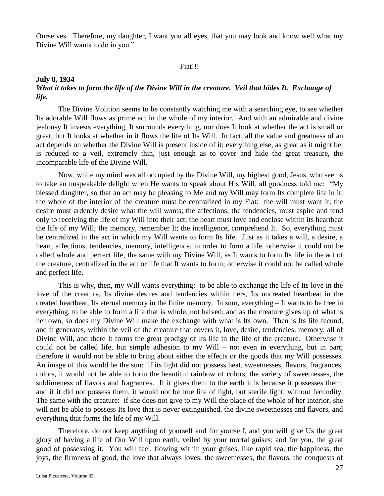Ourselves. Therefore, my daughter, I want you all eyes, that you may look and know well what my Divine Will wants to do in you."

#### Fiat!!!

### **July 8, 1934** *What it takes to form the life of the Divine Will in the creature. Veil that hides It. Exchange of life.*

The Divine Volition seems to be constantly watching me with a searching eye, to see whether Its adorable Will flows as prime act in the whole of my interior. And with an admirable and divine jealousy It invests everything, It surrounds everything, nor does It look at whether the act is small or great; but It looks at whether in it flows the life of Its Will. In fact, all the value and greatness of an act depends on whether the Divine Will is present inside of it; everything else, as great as it might be, is reduced to a veil, extremely thin, just enough as to cover and hide the great treasure, the incomparable life of the Divine Will.

Now, while my mind was all occupied by the Divine Will, my highest good, Jesus, who seems to take an unspeakable delight when He wants to speak about His Will, all goodness told me: "My blessed daughter, so that an act may be pleasing to Me and my Will may form Its complete life in it, the whole of the interior of the creature must be centralized in my Fiat: the will must want It; the desire must ardently desire what the will wants; the affections, the tendencies, must aspire and tend only to receiving the life of my Will into their act; the heart must love and enclose within its heartbeat the life of my Will; the memory, remember It; the intelligence, comprehend It. So, everything must be centralized in the act in which my Will wants to form Its life. Just as it takes a will, a desire, a heart, affections, tendencies, memory, intelligence, in order to form a life, otherwise it could not be called whole and perfect life, the same with my Divine Will, as It wants to form Its life in the act of the creature, centralized in the act or life that It wants to form; otherwise it could not be called whole and perfect life.

This is why, then, my Will wants everything: to be able to exchange the life of Its love in the love of the creature, Its divine desires and tendencies within hers, Its uncreated heartbeat in the created heartbeat, Its eternal memory in the finite memory. In sum, everything – It wants to be free in everything, to be able to form a life that is whole, not halved; and as the creature gives up of what is her own, so does my Divine Will make the exchange with what is Its own. Then is Its life fecund, and it generates, within the veil of the creature that covers it, love, desire, tendencies, memory, all of Divine Will, and there It forms the great prodigy of Its life in the life of the creature. Otherwise it could not be called life, but simple adhesion to my Will – not even in everything, but in part; therefore it would not be able to bring about either the effects or the goods that my Will possesses. An image of this would be the sun: if its light did not possess heat, sweetnesses, flavors, fragrances, colors, it would not be able to form the beautiful rainbow of colors, the variety of sweetnesses, the sublimeness of flavors and fragrances. If it gives them to the earth it is because it possesses them; and if it did not possess them, it would not be true life of light, but sterile light, without fecundity. The same with the creature: if she does not give to my Will the place of the whole of her interior, she will not be able to possess Its love that is never extinguished, the divine sweetnesses and flavors, and everything that forms the life of my Will.

Therefore, do not keep anything of yourself and for yourself, and you will give Us the great glory of having a life of Our Will upon earth, veiled by your mortal guises; and for you, the great good of possessing it. You will feel, flowing within your guises, like rapid sea, the happiness, the joys, the firmness of good, the love that always loves; the sweetnesses, the flavors, the conquests of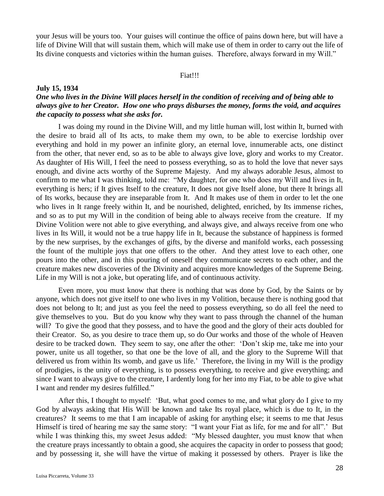your Jesus will be yours too. Your guises will continue the office of pains down here, but will have a life of Divine Will that will sustain them, which will make use of them in order to carry out the life of Its divine conquests and victories within the human guises. Therefore, always forward in my Will."

#### Fiat!!!

#### **July 15, 1934**

## *One who lives in the Divine Will places herself in the condition of receiving and of being able to always give to her Creator. How one who prays disburses the money, forms the void, and acquires the capacity to possess what she asks for.*

I was doing my round in the Divine Will, and my little human will, lost within It, burned with the desire to braid all of Its acts, to make them my own, to be able to exercise lordship over everything and hold in my power an infinite glory, an eternal love, innumerable acts, one distinct from the other, that never end, so as to be able to always give love, glory and works to my Creator. As daughter of His Will, I feel the need to possess everything, so as to hold the love that never says enough, and divine acts worthy of the Supreme Majesty. And my always adorable Jesus, almost to confirm to me what I was thinking, told me: "My daughter, for one who does my Will and lives in It, everything is hers; if It gives Itself to the creature, It does not give Itself alone, but there It brings all of Its works, because they are inseparable from It. And It makes use of them in order to let the one who lives in It range freely within It, and be nourished, delighted, enriched, by Its immense riches, and so as to put my Will in the condition of being able to always receive from the creature. If my Divine Volition were not able to give everything, and always give, and always receive from one who lives in Its Will, it would not be a true happy life in It, because the substance of happiness is formed by the new surprises, by the exchanges of gifts, by the diverse and manifold works, each possessing the fount of the multiple joys that one offers to the other. And they attest love to each other, one pours into the other, and in this pouring of oneself they communicate secrets to each other, and the creature makes new discoveries of the Divinity and acquires more knowledges of the Supreme Being. Life in my Will is not a joke, but operating life, and of continuous activity.

Even more, you must know that there is nothing that was done by God, by the Saints or by anyone, which does not give itself to one who lives in my Volition, because there is nothing good that does not belong to It; and just as you feel the need to possess everything, so do all feel the need to give themselves to you. But do you know why they want to pass through the channel of the human will? To give the good that they possess, and to have the good and the glory of their acts doubled for their Creator. So, as you desire to trace them up, so do Our works and those of the whole of Heaven desire to be tracked down. They seem to say, one after the other: 'Don't skip me, take me into your power, unite us all together, so that one be the love of all, and the glory to the Supreme Will that delivered us from within Its womb, and gave us life.' Therefore, the living in my Will is the prodigy of prodigies, is the unity of everything, is to possess everything, to receive and give everything; and since I want to always give to the creature, I ardently long for her into my Fiat, to be able to give what I want and render my desires fulfilled."

After this, I thought to myself: 'But, what good comes to me, and what glory do I give to my God by always asking that His Will be known and take Its royal place, which is due to It, in the creatures? It seems to me that I am incapable of asking for anything else; it seems to me that Jesus Himself is tired of hearing me say the same story: "I want your Fiat as life, for me and for all".' But while I was thinking this, my sweet Jesus added: "My blessed daughter, you must know that when the creature prays incessantly to obtain a good, she acquires the capacity in order to possess that good; and by possessing it, she will have the virtue of making it possessed by others. Prayer is like the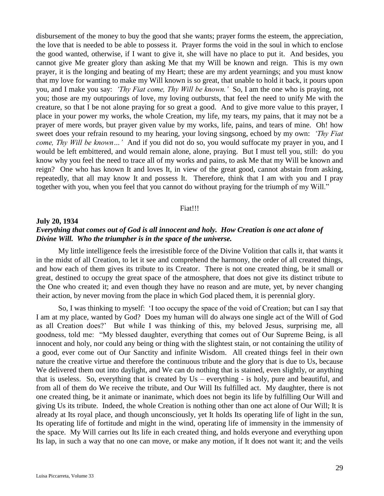disbursement of the money to buy the good that she wants; prayer forms the esteem, the appreciation, the love that is needed to be able to possess it. Prayer forms the void in the soul in which to enclose the good wanted, otherwise, if I want to give it, she will have no place to put it. And besides, you cannot give Me greater glory than asking Me that my Will be known and reign. This is my own prayer, it is the longing and beating of my Heart; these are my ardent yearnings; and you must know that my love for wanting to make my Will known is so great, that unable to hold it back, it pours upon you, and I make you say: *'Thy Fiat come, Thy Will be known.'* So, I am the one who is praying, not you; those are my outpourings of love, my loving outbursts, that feel the need to unify Me with the creature, so that I be not alone praying for so great a good. And to give more value to this prayer, I place in your power my works, the whole Creation, my life, my tears, my pains, that it may not be a prayer of mere words, but prayer given value by my works, life, pains, and tears of mine. Oh! how sweet does your refrain resound to my hearing, your loving singsong, echoed by my own: *'Thy Fiat come, Thy Will be known…'* And if you did not do so, you would suffocate my prayer in you, and I would be left embittered, and would remain alone, alone, praying. But I must tell you, still: do you know why you feel the need to trace all of my works and pains, to ask Me that my Will be known and reign? One who has known It and loves It, in view of the great good, cannot abstain from asking, repeatedly, that all may know It and possess It. Therefore, think that I am with you and I pray together with you, when you feel that you cannot do without praying for the triumph of my Will."

#### Fiat!!!

## **July 20, 1934** *Everything that comes out of God is all innocent and holy. How Creation is one act alone of Divine Will. Who the triumpher is in the space of the universe.*

My little intelligence feels the irresistible force of the Divine Volition that calls it, that wants it in the midst of all Creation, to let it see and comprehend the harmony, the order of all created things, and how each of them gives its tribute to its Creator. There is not one created thing, be it small or great, destined to occupy the great space of the atmosphere, that does not give its distinct tribute to the One who created it; and even though they have no reason and are mute, yet, by never changing their action, by never moving from the place in which God placed them, it is perennial glory.

So, I was thinking to myself: 'I too occupy the space of the void of Creation; but can I say that I am at my place, wanted by God? Does my human will do always one single act of the Will of God as all Creation does?' But while I was thinking of this, my beloved Jesus, surprising me, all goodness, told me: "My blessed daughter, everything that comes out of Our Supreme Being, is all innocent and holy, nor could any being or thing with the slightest stain, or not containing the utility of a good, ever come out of Our Sanctity and infinite Wisdom. All created things feel in their own nature the creative virtue and therefore the continuous tribute and the glory that is due to Us, because We delivered them out into daylight, and We can do nothing that is stained, even slightly, or anything that is useless. So, everything that is created by Us – everything - is holy, pure and beautiful, and from all of them do We receive the tribute, and Our Will Its fulfilled act. My daughter, there is not one created thing, be it animate or inanimate, which does not begin its life by fulfilling Our Will and giving Us its tribute. Indeed, the whole Creation is nothing other than one act alone of Our Will; It is already at Its royal place, and though unconsciously, yet It holds Its operating life of light in the sun, Its operating life of fortitude and might in the wind, operating life of immensity in the immensity of the space. My Will carries out Its life in each created thing, and holds everyone and everything upon Its lap, in such a way that no one can move, or make any motion, if It does not want it; and the veils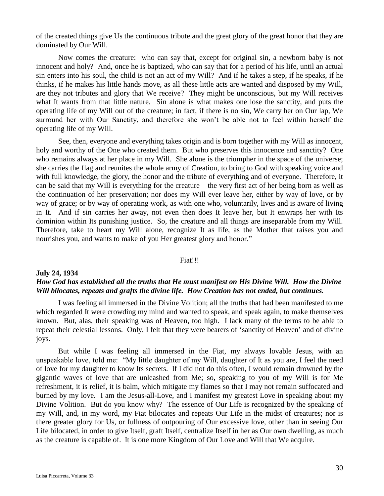of the created things give Us the continuous tribute and the great glory of the great honor that they are dominated by Our Will.

Now comes the creature: who can say that, except for original sin, a newborn baby is not innocent and holy? And, once he is baptized, who can say that for a period of his life, until an actual sin enters into his soul, the child is not an act of my Will? And if he takes a step, if he speaks, if he thinks, if he makes his little hands move, as all these little acts are wanted and disposed by my Will, are they not tributes and glory that We receive? They might be unconscious, but my Will receives what It wants from that little nature. Sin alone is what makes one lose the sanctity, and puts the operating life of my Will out of the creature; in fact, if there is no sin, We carry her on Our lap, We surround her with Our Sanctity, and therefore she won't be able not to feel within herself the operating life of my Will.

See, then, everyone and everything takes origin and is born together with my Will as innocent, holy and worthy of the One who created them. But who preserves this innocence and sanctity? One who remains always at her place in my Will. She alone is the triumpher in the space of the universe; she carries the flag and reunites the whole army of Creation, to bring to God with speaking voice and with full knowledge, the glory, the honor and the tribute of everything and of everyone. Therefore, it can be said that my Will is everything for the creature – the very first act of her being born as well as the continuation of her preservation; nor does my Will ever leave her, either by way of love, or by way of grace; or by way of operating work, as with one who, voluntarily, lives and is aware of living in It. And if sin carries her away, not even then does It leave her, but It enwraps her with Its dominion within Its punishing justice. So, the creature and all things are inseparable from my Will. Therefore, take to heart my Will alone, recognize It as life, as the Mother that raises you and nourishes you, and wants to make of you Her greatest glory and honor."

#### Fiat!!!

### **July 24, 1934** *How God has established all the truths that He must manifest on His Divine Will. How the Divine Will bilocates, repeats and grafts the divine life. How Creation has not ended, but continues.*

I was feeling all immersed in the Divine Volition; all the truths that had been manifested to me which regarded It were crowding my mind and wanted to speak, and speak again, to make themselves known. But, alas, their speaking was of Heaven, too high. I lack many of the terms to be able to repeat their celestial lessons. Only, I felt that they were bearers of 'sanctity of Heaven' and of divine joys.

But while I was feeling all immersed in the Fiat, my always lovable Jesus, with an unspeakable love, told me: "My little daughter of my Will, daughter of It as you are, I feel the need of love for my daughter to know Its secrets. If I did not do this often, I would remain drowned by the gigantic waves of love that are unleashed from Me; so, speaking to you of my Will is for Me refreshment, it is relief, it is balm, which mitigate my flames so that I may not remain suffocated and burned by my love. I am the Jesus-all-Love, and I manifest my greatest Love in speaking about my Divine Volition. But do you know why? The essence of Our Life is recognized by the speaking of my Will, and, in my word, my Fiat bilocates and repeats Our Life in the midst of creatures; nor is there greater glory for Us, or fullness of outpouring of Our excessive love, other than in seeing Our Life bilocated, in order to give Itself, graft Itself, centralize Itself in her as Our own dwelling, as much as the creature is capable of. It is one more Kingdom of Our Love and Will that We acquire.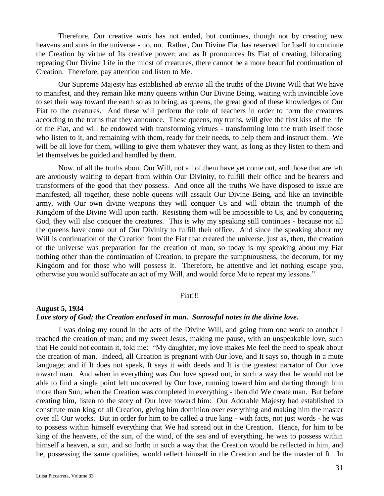Therefore, Our creative work has not ended, but continues, though not by creating new heavens and suns in the universe - no, no. Rather, Our Divine Fiat has reserved for Itself to continue the Creation by virtue of Its creative power; and as It pronounces Its Fiat of creating, bilocating, repeating Our Divine Life in the midst of creatures, there cannot be a more beautiful continuation of Creation. Therefore, pay attention and listen to Me.

Our Supreme Majesty has established *ab eterno* all the truths of the Divine Will that We have to manifest, and they remain like many queens within Our Divine Being, waiting with invincible love to set their way toward the earth so as to bring, as queens, the great good of these knowledges of Our Fiat to the creatures. And these will perform the role of teachers in order to form the creatures according to the truths that they announce. These queens, my truths, will give the first kiss of the life of the Fiat, and will be endowed with transforming virtues - transforming into the truth itself those who listen to it, and remaining with them, ready for their needs, to help them and instruct them. We will be all love for them, willing to give them whatever they want, as long as they listen to them and let themselves be guided and handled by them.

Now, of all the truths about Our Will, not all of them have yet come out, and those that are left are anxiously waiting to depart from within Our Divinity, to fulfill their office and be bearers and transformers of the good that they possess. And once all the truths We have disposed to issue are manifested, all together, these noble queens will assault Our Divine Being, and like an invincible army, with Our own divine weapons they will conquer Us and will obtain the triumph of the Kingdom of the Divine Will upon earth. Resisting them will be impossible to Us, and by conquering God, they will also conquer the creatures. This is why my speaking still continues - because not all the queens have come out of Our Divinity to fulfill their office. And since the speaking about my Will is continuation of the Creation from the Fiat that created the universe, just as, then, the creation of the universe was preparation for the creation of man, so today is my speaking about my Fiat nothing other than the continuation of Creation, to prepare the sumptuousness, the decorum, for my Kingdom and for those who will possess It. Therefore, be attentive and let nothing escape you, otherwise you would suffocate an act of my Will, and would force Me to repeat my lessons."

### Fiat!!!

### **August 5, 1934** *Love story of God; the Creation enclosed in man. Sorrowful notes in the divine love.*

I was doing my round in the acts of the Divine Will, and going from one work to another I reached the creation of man; and my sweet Jesus, making me pause, with an unspeakable love, such that He could not contain it, told me: "My daughter, my love makes Me feel the need to speak about the creation of man. Indeed, all Creation is pregnant with Our love, and It says so, though in a mute language; and if It does not speak, It says it with deeds and It is the greatest narrator of Our love toward man. And when in everything was Our love spread out, in such a way that he would not be able to find a single point left uncovered by Our love, running toward him and darting through him more than Sun; when the Creation was completed in everything - then did We create man. But before creating him, listen to the story of Our love toward him: Our Adorable Majesty had established to constitute man king of all Creation, giving him dominion over everything and making him the master over all Our works. But in order for him to be called a true king - with facts, not just words - he was to possess within himself everything that We had spread out in the Creation. Hence, for him to be king of the heavens, of the sun, of the wind, of the sea and of everything, he was to possess within himself a heaven, a sun, and so forth; in such a way that the Creation would be reflected in him, and he, possessing the same qualities, would reflect himself in the Creation and be the master of It. In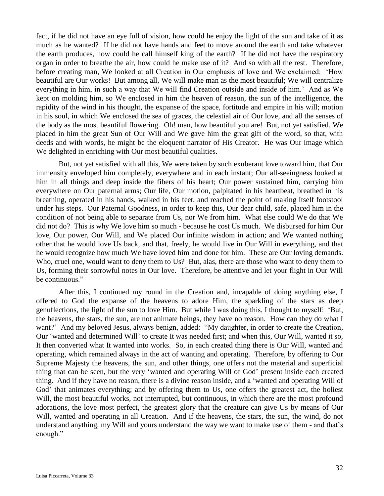fact, if he did not have an eye full of vision, how could he enjoy the light of the sun and take of it as much as he wanted? If he did not have hands and feet to move around the earth and take whatever the earth produces, how could he call himself king of the earth? If he did not have the respiratory organ in order to breathe the air, how could he make use of it? And so with all the rest. Therefore, before creating man, We looked at all Creation in Our emphasis of love and We exclaimed: 'How beautiful are Our works! But among all, We will make man as the most beautiful; We will centralize everything in him, in such a way that We will find Creation outside and inside of him.' And as We kept on molding him, so We enclosed in him the heaven of reason, the sun of the intelligence, the rapidity of the wind in his thought, the expanse of the space, fortitude and empire in his will; motion in his soul, in which We enclosed the sea of graces, the celestial air of Our love, and all the senses of the body as the most beautiful flowering. Oh! man, how beautiful you are! But, not yet satisfied, We placed in him the great Sun of Our Will and We gave him the great gift of the word, so that, with deeds and with words, he might be the eloquent narrator of His Creator. He was Our image which We delighted in enriching with Our most beautiful qualities.

But, not yet satisfied with all this, We were taken by such exuberant love toward him, that Our immensity enveloped him completely, everywhere and in each instant; Our all-seeingness looked at him in all things and deep inside the fibers of his heart; Our power sustained him, carrying him everywhere on Our paternal arms; Our life, Our motion, palpitated in his heartbeat, breathed in his breathing, operated in his hands, walked in his feet, and reached the point of making Itself footstool under his steps. Our Paternal Goodness, in order to keep this, Our dear child, safe, placed him in the condition of not being able to separate from Us, nor We from him. What else could We do that We did not do? This is why We love him so much - because he cost Us much. We disbursed for him Our love, Our power, Our Will, and We placed Our infinite wisdom in action; and We wanted nothing other that he would love Us back, and that, freely, he would live in Our Will in everything, and that he would recognize how much We have loved him and done for him. These are Our loving demands. Who, cruel one, would want to deny them to Us? But, alas, there are those who want to deny them to Us, forming their sorrowful notes in Our love. Therefore, be attentive and let your flight in Our Will be continuous."

After this, I continued my round in the Creation and, incapable of doing anything else, I offered to God the expanse of the heavens to adore Him, the sparkling of the stars as deep genuflections, the light of the sun to love Him. But while I was doing this, I thought to myself: 'But, the heavens, the stars, the sun, are not animate beings, they have no reason. How can they do what I want?' And my beloved Jesus, always benign, added: "My daughter, in order to create the Creation, Our 'wanted and determined Will' to create It was needed first; and when this, Our Will, wanted it so, It then converted what It wanted into works. So, in each created thing there is Our Will, wanted and operating, which remained always in the act of wanting and operating. Therefore, by offering to Our Supreme Majesty the heavens, the sun, and other things, one offers not the material and superficial thing that can be seen, but the very 'wanted and operating Will of God' present inside each created thing. And if they have no reason, there is a divine reason inside, and a 'wanted and operating Will of God' that animates everything; and by offering them to Us, one offers the greatest act, the holiest Will, the most beautiful works, not interrupted, but continuous, in which there are the most profound adorations, the love most perfect, the greatest glory that the creature can give Us by means of Our Will, wanted and operating in all Creation. And if the heavens, the stars, the sun, the wind, do not understand anything, my Will and yours understand the way we want to make use of them - and that's enough."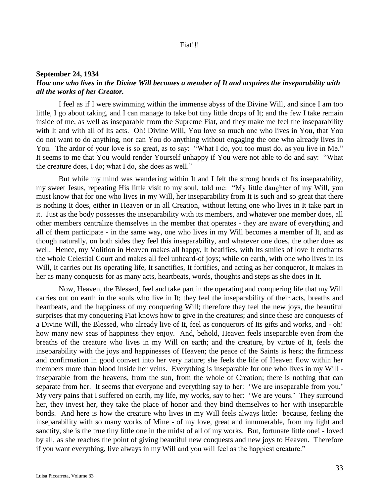#### Fiat!!!

### **September 24, 1934** *How one who lives in the Divine Will becomes a member of It and acquires the inseparability with all the works of her Creator.*

I feel as if I were swimming within the immense abyss of the Divine Will, and since I am too little, I go about taking, and I can manage to take but tiny little drops of It; and the few I take remain inside of me, as well as inseparable from the Supreme Fiat, and they make me feel the inseparability with It and with all of Its acts. Oh! Divine Will, You love so much one who lives in You, that You do not want to do anything, nor can You do anything without engaging the one who already lives in You. The ardor of your love is so great, as to say: "What I do, you too must do, as you live in Me." It seems to me that You would render Yourself unhappy if You were not able to do and say: "What the creature does, I do; what I do, she does as well."

But while my mind was wandering within It and I felt the strong bonds of Its inseparability, my sweet Jesus, repeating His little visit to my soul, told me: "My little daughter of my Will, you must know that for one who lives in my Will, her inseparability from It is such and so great that there is nothing It does, either in Heaven or in all Creation, without letting one who lives in It take part in it. Just as the body possesses the inseparability with its members, and whatever one member does, all other members centralize themselves in the member that operates - they are aware of everything and all of them participate - in the same way, one who lives in my Will becomes a member of It, and as though naturally, on both sides they feel this inseparability, and whatever one does, the other does as well. Hence, my Volition in Heaven makes all happy, It beatifies, with Its smiles of love It enchants the whole Celestial Court and makes all feel unheard-of joys; while on earth, with one who lives in Its Will, It carries out Its operating life, It sanctifies, It fortifies, and acting as her conqueror, It makes in her as many conquests for as many acts, heartbeats, words, thoughts and steps as she does in It.

Now, Heaven, the Blessed, feel and take part in the operating and conquering life that my Will carries out on earth in the souls who live in It; they feel the inseparability of their acts, breaths and heartbeats, and the happiness of my conquering Will; therefore they feel the new joys, the beautiful surprises that my conquering Fiat knows how to give in the creatures; and since these are conquests of a Divine Will, the Blessed, who already live of It, feel as conquerors of Its gifts and works, and - oh! how many new seas of happiness they enjoy. And, behold, Heaven feels inseparable even from the breaths of the creature who lives in my Will on earth; and the creature, by virtue of It, feels the inseparability with the joys and happinesses of Heaven; the peace of the Saints is hers; the firmness and confirmation in good convert into her very nature; she feels the life of Heaven flow within her members more than blood inside her veins. Everything is inseparable for one who lives in my Will inseparable from the heavens, from the sun, from the whole of Creation; there is nothing that can separate from her. It seems that everyone and everything say to her: 'We are inseparable from you.' My very pains that I suffered on earth, my life, my works, say to her: 'We are yours.' They surround her, they invest her, they take the place of honor and they bind themselves to her with inseparable bonds. And here is how the creature who lives in my Will feels always little: because, feeling the inseparability with so many works of Mine - of my love, great and innumerable, from my light and sanctity, she is the true tiny little one in the midst of all of my works. But, fortunate little one! - loved by all, as she reaches the point of giving beautiful new conquests and new joys to Heaven. Therefore if you want everything, live always in my Will and you will feel as the happiest creature."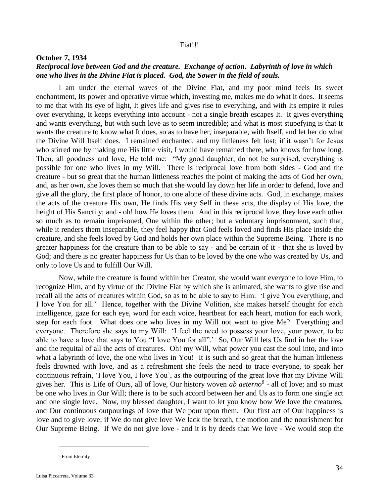#### Fiat!!!

#### **October 7, 1934**

### *Reciprocal love between God and the creature. Exchange of action. Labyrinth of love in which one who lives in the Divine Fiat is placed. God, the Sower in the field of souls.*

I am under the eternal waves of the Divine Fiat, and my poor mind feels Its sweet enchantment, Its power and operative virtue which, investing me, makes me do what It does. It seems to me that with Its eye of light, It gives life and gives rise to everything, and with Its empire It rules over everything, It keeps everything into account - not a single breath escapes It. It gives everything and wants everything, but with such love as to seem incredible; and what is most stupefying is that It wants the creature to know what It does, so as to have her, inseparable, with Itself, and let her do what the Divine Will Itself does. I remained enchanted, and my littleness felt lost; if it wasn't for Jesus who stirred me by making me His little visit, I would have remained there, who knows for how long. Then, all goodness and love, He told me: "My good daughter, do not be surprised, everything is possible for one who lives in my Will. There is reciprocal love from both sides - God and the creature - but so great that the human littleness reaches the point of making the acts of God her own, and, as her own, she loves them so much that she would lay down her life in order to defend, love and give all the glory, the first place of honor, to one alone of these divine acts. God, in exchange, makes the acts of the creature His own, He finds His very Self in these acts, the display of His love, the height of His Sanctity; and - oh! how He loves them. And in this reciprocal love, they love each other so much as to remain imprisoned, One within the other; but a voluntary imprisonment, such that, while it renders them inseparable, they feel happy that God feels loved and finds His place inside the creature, and she feels loved by God and holds her own place within the Supreme Being. There is no greater happiness for the creature than to be able to say - and be certain of it - that she is loved by God; and there is no greater happiness for Us than to be loved by the one who was created by Us, and only to love Us and to fulfill Our Will.

Now, while the creature is found within her Creator, she would want everyone to love Him, to recognize Him, and by virtue of the Divine Fiat by which she is animated, she wants to give rise and recall all the acts of creatures within God, so as to be able to say to Him: 'I give You everything, and I love You for all.' Hence, together with the Divine Volition, she makes herself thought for each intelligence, gaze for each eye, word for each voice, heartbeat for each heart, motion for each work, step for each foot. What does one who lives in my Will not want to give Me? Everything and everyone. Therefore she says to my Will: 'I feel the need to possess your love, your power, to be able to have a love that says to You "I love You for all".' So, Our Will lets Us find in her the love and the requital of all the acts of creatures. Oh! my Will, what power you cast the soul into, and into what a labyrinth of love, the one who lives in You! It is such and so great that the human littleness feels drowned with love, and as a refreshment she feels the need to trace everyone, to speak her continuous refrain, 'I love You, I love You', as the outpouring of the great love that my Divine Will gives her. This is Life of Ours, all of love, Our history woven *ab aeterno<sup>8</sup>* - all of love; and so must be one who lives in Our Will; there is to be such accord between her and Us as to form one single act and one single love. Now, my blessed daughter, I want to let you know how We love the creatures, and Our continuous outpourings of love that We pour upon them. Our first act of Our happiness is love and to give love; if We do not give love We lack the breath, the motion and the nourishment for Our Supreme Being. If We do not give love - and it is by deeds that We love - We would stop the

 $\overline{a}$ 

<sup>8</sup> From Eternity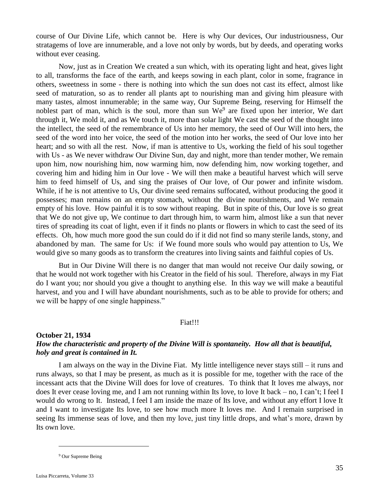course of Our Divine Life, which cannot be. Here is why Our devices, Our industriousness, Our stratagems of love are innumerable, and a love not only by words, but by deeds, and operating works without ever ceasing.

Now, just as in Creation We created a sun which, with its operating light and heat, gives light to all, transforms the face of the earth, and keeps sowing in each plant, color in some, fragrance in others, sweetness in some - there is nothing into which the sun does not cast its effect, almost like seed of maturation, so as to render all plants apt to nourishing man and giving him pleasure with many tastes, almost innumerable; in the same way, Our Supreme Being, reserving for Himself the noblest part of man, which is the soul, more than sun  $We^9$  are fixed upon her interior, We dart through it, We mold it, and as We touch it, more than solar light We cast the seed of the thought into the intellect, the seed of the remembrance of Us into her memory, the seed of Our Will into hers, the seed of the word into her voice, the seed of the motion into her works, the seed of Our love into her heart; and so with all the rest. Now, if man is attentive to Us, working the field of his soul together with Us - as We never withdraw Our Divine Sun, day and night, more than tender mother, We remain upon him, now nourishing him, now warming him, now defending him, now working together, and covering him and hiding him in Our love - We will then make a beautiful harvest which will serve him to feed himself of Us, and sing the praises of Our love, of Our power and infinite wisdom. While, if he is not attentive to Us, Our divine seed remains suffocated, without producing the good it possesses; man remains on an empty stomach, without the divine nourishments, and We remain empty of his love. How painful it is to sow without reaping. But in spite of this, Our love is so great that We do not give up, We continue to dart through him, to warm him, almost like a sun that never tires of spreading its coat of light, even if it finds no plants or flowers in which to cast the seed of its effects. Oh, how much more good the sun could do if it did not find so many sterile lands, stony, and abandoned by man. The same for Us: if We found more souls who would pay attention to Us, We would give so many goods as to transform the creatures into living saints and faithful copies of Us.

But in Our Divine Will there is no danger that man would not receive Our daily sowing, or that he would not work together with his Creator in the field of his soul. Therefore, always in my Fiat do I want you; nor should you give a thought to anything else. In this way we will make a beautiful harvest, and you and I will have abundant nourishments, such as to be able to provide for others; and we will be happy of one single happiness."

#### Fiat!!!

### **October 21, 1934** *How the characteristic and property of the Divine Will is spontaneity. How all that is beautiful, holy and great is contained in It.*

I am always on the way in the Divine Fiat. My little intelligence never stays still – it runs and runs always, so that I may be present, as much as it is possible for me, together with the race of the incessant acts that the Divine Will does for love of creatures. To think that It loves me always, nor does It ever cease loving me, and I am not running within Its love, to love It back – no, I can't; I feel I would do wrong to It. Instead, I feel I am inside the maze of Its love, and without any effort I love It and I want to investigate Its love, to see how much more It loves me. And I remain surprised in seeing Its immense seas of love, and then my love, just tiny little drops, and what's more, drawn by Its own love.

 $\overline{a}$ 

<sup>9</sup> Our Supreme Being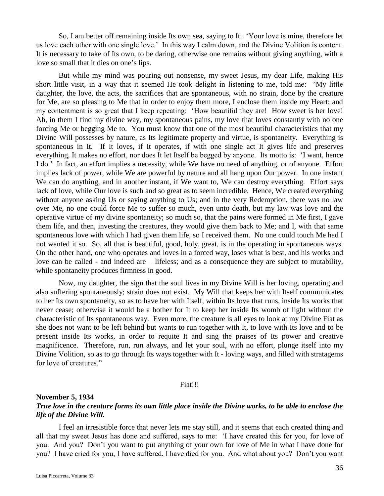So, I am better off remaining inside Its own sea, saying to It: 'Your love is mine, therefore let us love each other with one single love.' In this way I calm down, and the Divine Volition is content. It is necessary to take of Its own, to be daring, otherwise one remains without giving anything, with a love so small that it dies on one's lips.

But while my mind was pouring out nonsense, my sweet Jesus, my dear Life, making His short little visit, in a way that it seemed He took delight in listening to me, told me: "My little daughter, the love, the acts, the sacrifices that are spontaneous, with no strain, done by the creature for Me, are so pleasing to Me that in order to enjoy them more, I enclose them inside my Heart; and my contentment is so great that I keep repeating: 'How beautiful they are! How sweet is her love! Ah, in them I find my divine way, my spontaneous pains, my love that loves constantly with no one forcing Me or begging Me to. You must know that one of the most beautiful characteristics that my Divine Will possesses by nature, as Its legitimate property and virtue, is spontaneity. Everything is spontaneous in It. If It loves, if It operates, if with one single act It gives life and preserves everything, It makes no effort, nor does It let Itself be begged by anyone. Its motto is: 'I want, hence I do.' In fact, an effort implies a necessity, while We have no need of anything, or of anyone. Effort implies lack of power, while We are powerful by nature and all hang upon Our power. In one instant We can do anything, and in another instant, if We want to, We can destroy everything. Effort says lack of love, while Our love is such and so great as to seem incredible. Hence, We created everything without anyone asking Us or saying anything to Us; and in the very Redemption, there was no law over Me, no one could force Me to suffer so much, even unto death, but my law was love and the operative virtue of my divine spontaneity; so much so, that the pains were formed in Me first, I gave them life, and then, investing the creatures, they would give them back to Me; and I, with that same spontaneous love with which I had given them life, so I received them. No one could touch Me had I not wanted it so. So, all that is beautiful, good, holy, great, is in the operating in spontaneous ways. On the other hand, one who operates and loves in a forced way, loses what is best, and his works and love can be called - and indeed are – lifeless; and as a consequence they are subject to mutability, while spontaneity produces firmness in good.

Now, my daughter, the sign that the soul lives in my Divine Will is her loving, operating and also suffering spontaneously; strain does not exist. My Will that keeps her with Itself communicates to her Its own spontaneity, so as to have her with Itself, within Its love that runs, inside Its works that never cease; otherwise it would be a bother for It to keep her inside Its womb of light without the characteristic of Its spontaneous way. Even more, the creature is all eyes to look at my Divine Fiat as she does not want to be left behind but wants to run together with It, to love with Its love and to be present inside Its works, in order to requite It and sing the praises of Its power and creative magnificence. Therefore, run, run always, and let your soul, with no effort, plunge itself into my Divine Volition, so as to go through Its ways together with It - loving ways, and filled with stratagems for love of creatures."

#### Fiat!!!

### **November 5, 1934**

## *True love in the creature forms its own little place inside the Divine works, to be able to enclose the life of the Divine Will.*

I feel an irresistible force that never lets me stay still, and it seems that each created thing and all that my sweet Jesus has done and suffered, says to me: 'I have created this for you, for love of you. And you? Don't you want to put anything of your own for love of Me in what I have done for you? I have cried for you, I have suffered, I have died for you. And what about you? Don't you want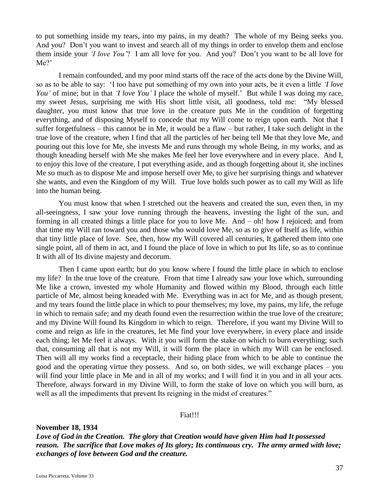to put something inside my tears, into my pains, in my death? The whole of my Being seeks you. And you? Don't you want to invest and search all of my things in order to envelop them and enclose them inside your *'I love You'*? I am all love for you. And you? Don't you want to be all love for Me?'

I remain confounded, and my poor mind starts off the race of the acts done by the Divine Will, so as to be able to say: 'I too have put something of my own into your acts, be it even a little *'I love You'* of mine; but in that *'I love You'* I place the whole of myself.' But while I was doing my race, my sweet Jesus, surprising me with His short little visit, all goodness, told me: "My blessed daughter, you must know that true love in the creature puts Me in the condition of forgetting everything, and of disposing Myself to concede that my Will come to reign upon earth. Not that I suffer forgetfulness – this cannot be in Me, it would be a flaw – but rather, I take such delight in the true love of the creature, when I find that all the particles of her being tell Me that they love Me, and pouring out this love for Me, she invests Me and runs through my whole Being, in my works, and as though kneading herself with Me she makes Me feel her love everywhere and in every place. And I, to enjoy this love of the creature, I put everything aside, and as though forgetting about it, she inclines Me so much as to dispose Me and impose herself over Me, to give her surprising things and whatever she wants, and even the Kingdom of my Will. True love holds such power as to call my Will as life into the human being.

You must know that when I stretched out the heavens and created the sun, even then, in my all-seeingness, I saw your love running through the heavens, investing the light of the sun, and forming in all created things a little place for you to love Me. And – oh! how I rejoiced; and from that time my Will ran toward you and those who would love Me, so as to give of Itself as life, within that tiny little place of love. See, then, how my Will covered all centuries, It gathered them into one single point, all of them in act, and I found the place of love in which to put Its life, so as to continue It with all of Its divine majesty and decorum.

Then I came upon earth; but do you know where I found the little place in which to enclose my life? In the true love of the creature. From that time I already saw your love which, surrounding Me like a crown, invested my whole Humanity and flowed within my Blood, through each little particle of Me, almost being kneaded with Me. Everything was in act for Me, and as though present, and my tears found the little place in which to pour themselves; my love, my pains, my life, the refuge in which to remain safe; and my death found even the resurrection within the true love of the creature; and my Divine Will found Its Kingdom in which to reign. Therefore, if you want my Divine Will to come and reign as life in the creatures, let Me find your love everywhere, in every place and inside each thing; let Me feel it always. With it you will form the stake on which to burn everything; such that, consuming all that is not my Will, it will form the place in which my Will can be enclosed. Then will all my works find a receptacle, their hiding place from which to be able to continue the good and the operating virtue they possess. And so, on both sides, we will exchange places – you will find your little place in Me and in all of my works; and I will find it in you and in all your acts. Therefore, always forward in my Divine Will, to form the stake of love on which you will burn, as well as all the impediments that prevent Its reigning in the midst of creatures."

### Fiat!!!

### **November 18, 1934**

*Love of God in the Creation. The glory that Creation would have given Him had It possessed reason. The sacrifice that Love makes of Its glory; Its continuous cry. The army armed with love; exchanges of love between God and the creature.*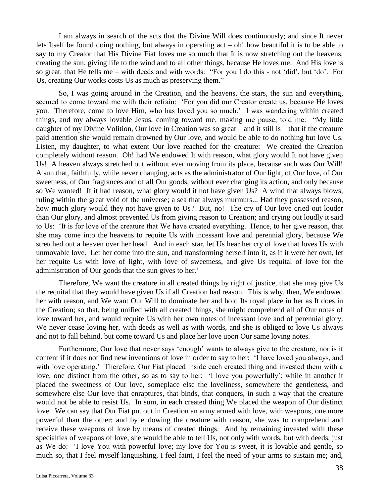I am always in search of the acts that the Divine Will does continuously; and since It never lets Itself be found doing nothing, but always in operating  $act - oh!$  how beautiful it is to be able to say to my Creator that His Divine Fiat loves me so much that It is now stretching out the heavens, creating the sun, giving life to the wind and to all other things, because He loves me. And His love is so great, that He tells me – with deeds and with words: "For you I do this - not 'did', but 'do'. For Us, creating Our works costs Us as much as preserving them."

So, I was going around in the Creation, and the heavens, the stars, the sun and everything, seemed to come toward me with their refrain: 'For you did our Creator create us, because He loves you. Therefore, come to love Him, who has loved you so much.' I was wandering within created things, and my always lovable Jesus, coming toward me, making me pause, told me: "My little daughter of my Divine Volition, Our love in Creation was so great – and it still is – that if the creature paid attention she would remain drowned by Our love, and would be able to do nothing but love Us. Listen, my daughter, to what extent Our love reached for the creature: We created the Creation completely without reason. Oh! had We endowed It with reason, what glory would It not have given Us! A heaven always stretched out without ever moving from its place, because such was Our Will! A sun that, faithfully, while never changing, acts as the administrator of Our light, of Our love, of Our sweetness, of Our fragrances and of all Our goods, without ever changing its action, and only because so We wanted! If it had reason, what glory would it not have given Us? A wind that always blows, ruling within the great void of the universe; a sea that always murmurs... Had they possessed reason, how much glory would they not have given to Us? But, no! The cry of Our love cried out louder than Our glory, and almost prevented Us from giving reason to Creation; and crying out loudly it said to Us: 'It is for love of the creature that We have created everything. Hence, to her give reason, that she may come into the heavens to requite Us with incessant love and perennial glory, because We stretched out a heaven over her head. And in each star, let Us hear her cry of love that loves Us with unmovable love. Let her come into the sun, and transforming herself into it, as if it were her own, let her requite Us with love of light, with love of sweetness, and give Us requital of love for the administration of Our goods that the sun gives to her.'

Therefore, We want the creature in all created things by right of justice, that she may give Us the requital that they would have given Us if all Creation had reason. This is why, then, We endowed her with reason, and We want Our Will to dominate her and hold Its royal place in her as It does in the Creation; so that, being unified with all created things, she might comprehend all of Our notes of love toward her, and would requite Us with her own notes of incessant love and of perennial glory. We never cease loving her, with deeds as well as with words, and she is obliged to love Us always and not to fall behind, but come toward Us and place her love upon Our same loving notes.

Furthermore, Our love that never says 'enough' wants to always give to the creature, nor is it content if it does not find new inventions of love in order to say to her: 'I have loved you always, and with love operating.' Therefore, Our Fiat placed inside each created thing and invested them with a love, one distinct from the other, so as to say to her: 'I love you powerfully'; while in another it placed the sweetness of Our love, someplace else the loveliness, somewhere the gentleness, and somewhere else Our love that enraptures, that binds, that conquers, in such a way that the creature would not be able to resist Us. In sum, in each created thing We placed the weapon of Our distinct love. We can say that Our Fiat put out in Creation an army armed with love, with weapons, one more powerful than the other; and by endowing the creature with reason, she was to comprehend and receive these weapons of love by means of created things. And by remaining invested with these specialties of weapons of love, she would be able to tell Us, not only with words, but with deeds, just as We do: 'I love You with powerful love; my love for You is sweet, it is lovable and gentle, so much so, that I feel myself languishing, I feel faint, I feel the need of your arms to sustain me; and,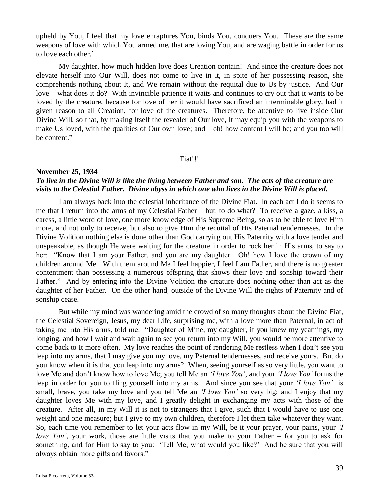upheld by You, I feel that my love enraptures You, binds You, conquers You. These are the same weapons of love with which You armed me, that are loving You, and are waging battle in order for us to love each other.'

My daughter, how much hidden love does Creation contain! And since the creature does not elevate herself into Our Will, does not come to live in It, in spite of her possessing reason, she comprehends nothing about It, and We remain without the requital due to Us by justice. And Our love – what does it do? With invincible patience it waits and continues to cry out that it wants to be loved by the creature, because for love of her it would have sacrificed an interminable glory, had it given reason to all Creation, for love of the creatures. Therefore, be attentive to live inside Our Divine Will, so that, by making Itself the revealer of Our love, It may equip you with the weapons to make Us loved, with the qualities of Our own love; and – oh! how content I will be; and you too will be content."

#### Fiat!!!

### **November 25, 1934**

### *To live in the Divine Will is like the living between Father and son. The acts of the creature are visits to the Celestial Father. Divine abyss in which one who lives in the Divine Will is placed.*

I am always back into the celestial inheritance of the Divine Fiat. In each act I do it seems to me that I return into the arms of my Celestial Father – but, to do what? To receive a gaze, a kiss, a caress, a little word of love, one more knowledge of His Supreme Being, so as to be able to love Him more, and not only to receive, but also to give Him the requital of His Paternal tendernesses. In the Divine Volition nothing else is done other than God carrying out His Paternity with a love tender and unspeakable, as though He were waiting for the creature in order to rock her in His arms, to say to her: "Know that I am your Father, and you are my daughter. Oh! how I love the crown of my children around Me. With them around Me I feel happier, I feel I am Father, and there is no greater contentment than possessing a numerous offspring that shows their love and sonship toward their Father." And by entering into the Divine Volition the creature does nothing other than act as the daughter of her Father. On the other hand, outside of the Divine Will the rights of Paternity and of sonship cease.

But while my mind was wandering amid the crowd of so many thoughts about the Divine Fiat, the Celestial Sovereign, Jesus, my dear Life, surprising me, with a love more than Paternal, in act of taking me into His arms, told me: "Daughter of Mine, my daughter, if you knew my yearnings, my longing, and how I wait and wait again to see you return into my Will, you would be more attentive to come back to It more often. My love reaches the point of rendering Me restless when I don't see you leap into my arms, that I may give you my love, my Paternal tendernesses, and receive yours. But do you know when it is that you leap into my arms? When, seeing yourself as so very little, you want to love Me and don't know how to love Me; you tell Me an *'I love You'*, and your *'I love You'* forms the leap in order for you to fling yourself into my arms. And since you see that your *'I love You'* is small, brave, you take my love and you tell Me an *'I love You'* so very big; and I enjoy that my daughter loves Me with my love, and I greatly delight in exchanging my acts with those of the creature. After all, in my Will it is not to strangers that I give, such that I would have to use one weight and one measure; but I give to my own children, therefore I let them take whatever they want. So, each time you remember to let your acts flow in my Will, be it your prayer, your pains, your *'I love You'*, your work, those are little visits that you make to your Father – for you to ask for something, and for Him to say to you: 'Tell Me, what would you like?' And be sure that you will always obtain more gifts and favors."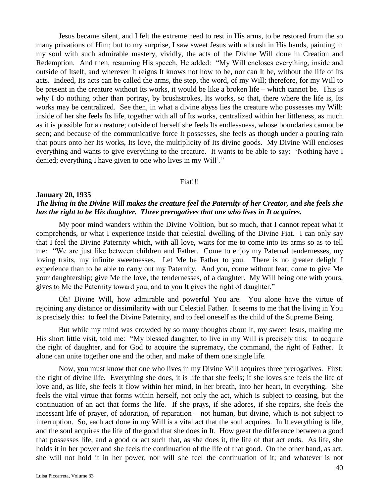Jesus became silent, and I felt the extreme need to rest in His arms, to be restored from the so many privations of Him; but to my surprise, I saw sweet Jesus with a brush in His hands, painting in my soul with such admirable mastery, vividly, the acts of the Divine Will done in Creation and Redemption. And then, resuming His speech, He added: "My Will encloses everything, inside and outside of Itself, and wherever It reigns It knows not how to be, nor can It be, without the life of Its acts. Indeed, Its acts can be called the arms, the step, the word, of my Will; therefore, for my Will to be present in the creature without Its works, it would be like a broken life – which cannot be. This is why I do nothing other than portray, by brushstrokes, Its works, so that, there where the life is, Its works may be centralized. See then, in what a divine abyss lies the creature who possesses my Will: inside of her she feels Its life, together with all of Its works, centralized within her littleness, as much as it is possible for a creature; outside of herself she feels Its endlessness, whose boundaries cannot be seen; and because of the communicative force It possesses, she feels as though under a pouring rain that pours onto her Its works, Its love, the multiplicity of Its divine goods. My Divine Will encloses everything and wants to give everything to the creature. It wants to be able to say: 'Nothing have I denied; everything I have given to one who lives in my Will'."

#### Fiat!!!

### **January 20, 1935** *The living in the Divine Will makes the creature feel the Paternity of her Creator, and she feels she has the right to be His daughter. Three prerogatives that one who lives in It acquires.*

My poor mind wanders within the Divine Volition, but so much, that I cannot repeat what it comprehends, or what I experience inside that celestial dwelling of the Divine Fiat. I can only say that I feel the Divine Paternity which, with all love, waits for me to come into Its arms so as to tell me: "We are just like between children and Father. Come to enjoy my Paternal tendernesses, my loving traits, my infinite sweetnesses. Let Me be Father to you. There is no greater delight I experience than to be able to carry out my Paternity. And you, come without fear, come to give Me your daughtership; give Me the love, the tendernesses, of a daughter. My Will being one with yours, gives to Me the Paternity toward you, and to you It gives the right of daughter."

Oh! Divine Will, how admirable and powerful You are. You alone have the virtue of rejoining any distance or dissimilarity with our Celestial Father. It seems to me that the living in You is precisely this: to feel the Divine Paternity, and to feel oneself as the child of the Supreme Being.

But while my mind was crowded by so many thoughts about It, my sweet Jesus, making me His short little visit, told me: "My blessed daughter, to live in my Will is precisely this: to acquire the right of daughter, and for God to acquire the supremacy, the command, the right of Father. It alone can unite together one and the other, and make of them one single life.

Now, you must know that one who lives in my Divine Will acquires three prerogatives. First: the right of divine life. Everything she does, it is life that she feels; if she loves she feels the life of love and, as life, she feels it flow within her mind, in her breath, into her heart, in everything. She feels the vital virtue that forms within herself, not only the act, which is subject to ceasing, but the continuation of an act that forms the life. If she prays, if she adores, if she repairs, she feels the incessant life of prayer, of adoration, of reparation – not human, but divine, which is not subject to interruption. So, each act done in my Will is a vital act that the soul acquires. In It everything is life, and the soul acquires the life of the good that she does in It. How great the difference between a good that possesses life, and a good or act such that, as she does it, the life of that act ends. As life, she holds it in her power and she feels the continuation of the life of that good. On the other hand, as act, she will not hold it in her power, nor will she feel the continuation of it; and whatever is not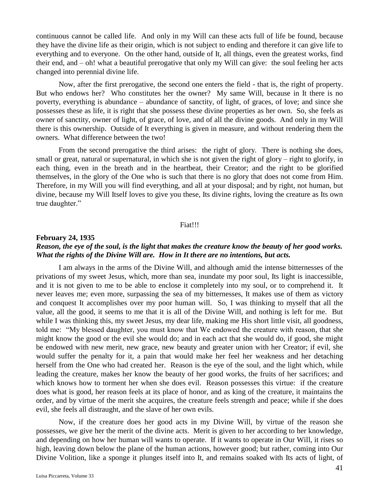continuous cannot be called life. And only in my Will can these acts full of life be found, because they have the divine life as their origin, which is not subject to ending and therefore it can give life to everything and to everyone. On the other hand, outside of It, all things, even the greatest works, find their end, and – oh! what a beautiful prerogative that only my Will can give: the soul feeling her acts changed into perennial divine life.

Now, after the first prerogative, the second one enters the field - that is, the right of property. But who endows her? Who constitutes her the owner? My same Will, because in It there is no poverty, everything is abundance – abundance of sanctity, of light, of graces, of love; and since she possesses these as life, it is right that she possess these divine properties as her own. So, she feels as owner of sanctity, owner of light, of grace, of love, and of all the divine goods. And only in my Will there is this ownership. Outside of It everything is given in measure, and without rendering them the owners. What difference between the two!

From the second prerogative the third arises: the right of glory. There is nothing she does, small or great, natural or supernatural, in which she is not given the right of glory – right to glorify, in each thing, even in the breath and in the heartbeat, their Creator; and the right to be glorified themselves, in the glory of the One who is such that there is no glory that does not come from Him. Therefore, in my Will you will find everything, and all at your disposal; and by right, not human, but divine, because my Will Itself loves to give you these, Its divine rights, loving the creature as Its own true daughter."

#### Fiat!!!

### **February 24, 1935** *Reason, the eye of the soul, is the light that makes the creature know the beauty of her good works. What the rights of the Divine Will are. How in It there are no intentions, but acts.*

I am always in the arms of the Divine Will, and although amid the intense bitternesses of the privations of my sweet Jesus, which, more than sea, inundate my poor soul, Its light is inaccessible, and it is not given to me to be able to enclose it completely into my soul, or to comprehend it. It never leaves me; even more, surpassing the sea of my bitternesses, It makes use of them as victory and conquest It accomplishes over my poor human will. So, I was thinking to myself that all the value, all the good, it seems to me that it is all of the Divine Will, and nothing is left for me. But while I was thinking this, my sweet Jesus, my dear life, making me His short little visit, all goodness, told me: "My blessed daughter, you must know that We endowed the creature with reason, that she might know the good or the evil she would do; and in each act that she would do, if good, she might be endowed with new merit, new grace, new beauty and greater union with her Creator; if evil, she would suffer the penalty for it, a pain that would make her feel her weakness and her detaching herself from the One who had created her. Reason is the eye of the soul, and the light which, while leading the creature, makes her know the beauty of her good works, the fruits of her sacrifices; and which knows how to torment her when she does evil. Reason possesses this virtue: if the creature does what is good, her reason feels at its place of honor, and as king of the creature, it maintains the order, and by virtue of the merit she acquires, the creature feels strength and peace; while if she does evil, she feels all distraught, and the slave of her own evils.

Now, if the creature does her good acts in my Divine Will, by virtue of the reason she possesses, we give her the merit of the divine acts. Merit is given to her according to her knowledge, and depending on how her human will wants to operate. If it wants to operate in Our Will, it rises so high, leaving down below the plane of the human actions, however good; but rather, coming into Our Divine Volition, like a sponge it plunges itself into It, and remains soaked with Its acts of light, of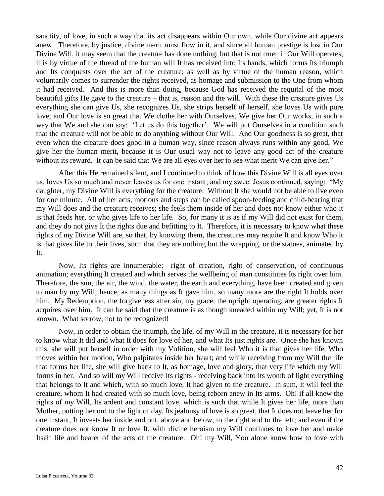sanctity, of love, in such a way that its act disappears within Our own, while Our divine act appears anew. Therefore, by justice, divine merit must flow in it, and since all human prestige is lost in Our Divine Will, it may seem that the creature has done nothing; but that is not true: if Our Will operates, it is by virtue of the thread of the human will It has received into Its hands, which forms Its triumph and Its conquests over the act of the creature; as well as by virtue of the human reason, which voluntarily comes to surrender the rights received, as homage and submission to the One from whom it had received. And this is more than doing, because God has received the requital of the most beautiful gifts He gave to the creature – that is, reason and the will. With these the creature gives Us everything she can give Us, she recognizes Us, she strips herself of herself, she loves Us with pure love; and Our love is so great that We clothe her with Ourselves, We give her Our works, in such a way that We and she can say: 'Let us do this together'. We will put Ourselves in a condition such that the creature will not be able to do anything without Our Will. And Our goodness is so great, that even when the creature does good in a human way, since reason always runs within any good, We give her the human merit, because it is Our usual way not to leave any good act of the creature without its reward. It can be said that We are all eyes over her to see what merit We can give her."

After this He remained silent, and I continued to think of how this Divine Will is all eyes over us, loves Us so much and never leaves us for one instant; and my sweet Jesus continued, saying: "My daughter, my Divine Will is everything for the creature. Without It she would not be able to live even for one minute. All of her acts, motions and steps can be called spoon-feeding and child-bearing that my Will does and the creature receives; she feels them inside of her and does not know either who it is that feeds her, or who gives life to her life. So, for many it is as if my Will did not exist for them, and they do not give It the rights due and befitting to It. Therefore, it is necessary to know what these rights of my Divine Will are, so that, by knowing them, the creatures may requite It and know Who it is that gives life to their lives, such that they are nothing but the wrapping, or the statues, animated by It.

Now, Its rights are innumerable: right of creation, right of conservation, of continuous animation; everything It created and which serves the wellbeing of man constitutes Its right over him. Therefore, the sun, the air, the wind, the water, the earth and everything, have been created and given to man by my Will; hence, as many things as It gave him, so many more are the right It holds over him. My Redemption, the forgiveness after sin, my grace, the upright operating, are greater rights It acquires over him. It can be said that the creature is as though kneaded within my Will; yet, It is not known. What sorrow, not to be recognized!

Now, in order to obtain the triumph, the life, of my Will in the creature, it is necessary for her to know what It did and what It does for love of her, and what Its just rights are. Once she has known this, she will put herself in order with my Volition, she will feel Who it is that gives her life, Who moves within her motion, Who palpitates inside her heart; and while receiving from my Will the life that forms her life, she will give back to It, as homage, love and glory, that very life which my Will forms in her. And so will my Will receive Its rights - receiving back into Its womb of light everything that belongs to It and which, with so much love, It had given to the creature. In sum, It will feel the creature, whom It had created with so much love, being reborn anew in Its arms. Oh! if all knew the rights of my Will, Its ardent and constant love, which is such that while It gives her life, more than Mother, putting her out to the light of day, Its jealousy of love is so great, that It does not leave her for one instant, It invests her inside and out, above and below, to the right and to the left; and even if the creature does not know It or love It, with divine heroism my Will continues to love her and make Itself life and bearer of the acts of the creature. Oh! my Will, You alone know how to love with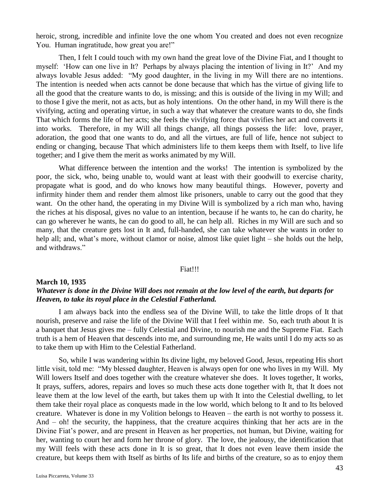heroic, strong, incredible and infinite love the one whom You created and does not even recognize You. Human ingratitude, how great you are!"

Then, I felt I could touch with my own hand the great love of the Divine Fiat, and I thought to myself: 'How can one live in It? Perhaps by always placing the intention of living in It?' And my always lovable Jesus added: "My good daughter, in the living in my Will there are no intentions. The intention is needed when acts cannot be done because that which has the virtue of giving life to all the good that the creature wants to do, is missing; and this is outside of the living in my Will; and to those I give the merit, not as acts, but as holy intentions. On the other hand, in my Will there is the vivifying, acting and operating virtue, in such a way that whatever the creature wants to do, she finds That which forms the life of her acts; she feels the vivifying force that vivifies her act and converts it into works. Therefore, in my Will all things change, all things possess the life: love, prayer, adoration, the good that one wants to do, and all the virtues, are full of life, hence not subject to ending or changing, because That which administers life to them keeps them with Itself, to live life together; and I give them the merit as works animated by my Will.

What difference between the intention and the works! The intention is symbolized by the poor, the sick, who, being unable to, would want at least with their goodwill to exercise charity, propagate what is good, and do who knows how many beautiful things. However, poverty and infirmity hinder them and render them almost like prisoners, unable to carry out the good that they want. On the other hand, the operating in my Divine Will is symbolized by a rich man who, having the riches at his disposal, gives no value to an intention, because if he wants to, he can do charity, he can go wherever he wants, he can do good to all, he can help all. Riches in my Will are such and so many, that the creature gets lost in It and, full-handed, she can take whatever she wants in order to help all; and, what's more, without clamor or noise, almost like quiet light – she holds out the help, and withdraws."

#### Fiat!!!

### **March 10, 1935** *Whatever is done in the Divine Will does not remain at the low level of the earth, but departs for Heaven, to take its royal place in the Celestial Fatherland.*

I am always back into the endless sea of the Divine Will, to take the little drops of It that nourish, preserve and raise the life of the Divine Will that I feel within me. So, each truth about It is a banquet that Jesus gives me – fully Celestial and Divine, to nourish me and the Supreme Fiat. Each truth is a hem of Heaven that descends into me, and surrounding me, He waits until I do my acts so as to take them up with Him to the Celestial Fatherland.

So, while I was wandering within Its divine light, my beloved Good, Jesus, repeating His short little visit, told me: "My blessed daughter, Heaven is always open for one who lives in my Will. My Will lowers Itself and does together with the creature whatever she does. It loves together, It works, It prays, suffers, adores, repairs and loves so much these acts done together with It, that It does not leave them at the low level of the earth, but takes them up with It into the Celestial dwelling, to let them take their royal place as conquests made in the low world, which belong to It and to Its beloved creature. Whatever is done in my Volition belongs to Heaven – the earth is not worthy to possess it. And – oh! the security, the happiness, that the creature acquires thinking that her acts are in the Divine Fiat's power, and are present in Heaven as her properties, not human, but Divine, waiting for her, wanting to court her and form her throne of glory. The love, the jealousy, the identification that my Will feels with these acts done in It is so great, that It does not even leave them inside the creature, but keeps them with Itself as births of Its life and births of the creature, so as to enjoy them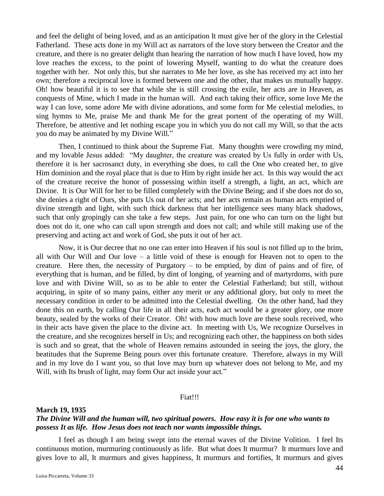and feel the delight of being loved, and as an anticipation It must give her of the glory in the Celestial Fatherland. These acts done in my Will act as narrators of the love story between the Creator and the creature, and there is no greater delight than hearing the narration of how much I have loved, how my love reaches the excess, to the point of lowering Myself, wanting to do what the creature does together with her. Not only this, but she narrates to Me her love, as she has received my act into her own; therefore a reciprocal love is formed between one and the other, that makes us mutually happy. Oh! how beautiful it is to see that while she is still crossing the exile, her acts are in Heaven, as conquests of Mine, which I made in the human will. And each taking their office, some love Me the way I can love, some adore Me with divine adorations, and some form for Me celestial melodies, to sing hymns to Me, praise Me and thank Me for the great portent of the operating of my Will. Therefore, be attentive and let nothing escape you in which you do not call my Will, so that the acts you do may be animated by my Divine Will."

Then, I continued to think about the Supreme Fiat. Many thoughts were crowding my mind, and my lovable Jesus added: "My daughter, the creature was created by Us fully in order with Us, therefore it is her sacrosanct duty, in everything she does, to call the One who created her, to give Him dominion and the royal place that is due to Him by right inside her act. In this way would the act of the creature receive the honor of possessing within itself a strength, a light, an act, which are Divine. It is Our Will for her to be filled completely with the Divine Being; and if she does not do so, she denies a right of Ours, she puts Us out of her acts; and her acts remain as human acts emptied of divine strength and light, with such thick darkness that her intelligence sees many black shadows, such that only gropingly can she take a few steps. Just pain, for one who can turn on the light but does not do it, one who can call upon strength and does not call; and while still making use of the preserving and acting act and work of God, she puts it out of her act.

Now, it is Our decree that no one can enter into Heaven if his soul is not filled up to the brim, all with Our Will and Our love – a little void of these is enough for Heaven not to open to the creature. Here then, the necessity of Purgatory – to be emptied, by dint of pains and of fire, of everything that is human, and be filled, by dint of longing, of yearning and of martyrdoms, with pure love and with Divine Will, so as to be able to enter the Celestial Fatherland; but still, without acquiring, in spite of so many pains, either any merit or any additional glory, but only to meet the necessary condition in order to be admitted into the Celestial dwelling. On the other hand, had they done this on earth, by calling Our life in all their acts, each act would be a greater glory, one more beauty, sealed by the works of their Creator. Oh! with how much love are these souls received, who in their acts have given the place to the divine act. In meeting with Us, We recognize Ourselves in the creature, and she recognizes herself in Us; and recognizing each other, the happiness on both sides is such and so great, that the whole of Heaven remains astounded in seeing the joys, the glory, the beatitudes that the Supreme Being pours over this fortunate creature. Therefore, always in my Will and in my love do I want you, so that love may burn up whatever does not belong to Me, and my Will, with Its brush of light, may form Our act inside your act."

#### Fiat!!!

### **March 19, 1935** *The Divine Will and the human will, two spiritual powers. How easy it is for one who wants to possess It as life. How Jesus does not teach nor wants impossible things.*

I feel as though I am being swept into the eternal waves of the Divine Volition. I feel Its continuous motion, murmuring continuously as life. But what does It murmur? It murmurs love and gives love to all, It murmurs and gives happiness, It murmurs and fortifies, It murmurs and gives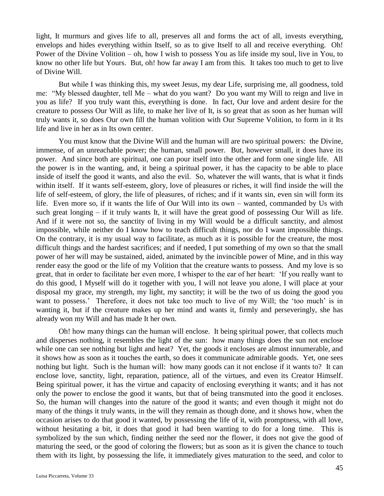light, It murmurs and gives life to all, preserves all and forms the act of all, invests everything, envelops and hides everything within Itself, so as to give Itself to all and receive everything. Oh! Power of the Divine Volition – oh, how I wish to possess You as life inside my soul, live in You, to know no other life but Yours. But, oh! how far away I am from this. It takes too much to get to live of Divine Will.

But while I was thinking this, my sweet Jesus, my dear Life, surprising me, all goodness, told me: "My blessed daughter, tell Me – what do you want? Do you want my Will to reign and live in you as life? If you truly want this, everything is done. In fact, Our love and ardent desire for the creature to possess Our Will as life, to make her live of It, is so great that as soon as her human will truly wants it, so does Our own fill the human volition with Our Supreme Volition, to form in it Its life and live in her as in Its own center.

You must know that the Divine Will and the human will are two spiritual powers: the Divine, immense, of an unreachable power; the human, small power. But, however small, it does have its power. And since both are spiritual, one can pour itself into the other and form one single life. All the power is in the wanting, and, it being a spiritual power, it has the capacity to be able to place inside of itself the good it wants, and also the evil. So, whatever the will wants, that is what it finds within itself. If it wants self-esteem, glory, love of pleasures or riches, it will find inside the will the life of self-esteem, of glory, the life of pleasures, of riches; and if it wants sin, even sin will form its life. Even more so, if it wants the life of Our Will into its own – wanted, commanded by Us with such great longing – if it truly wants It, it will have the great good of possessing Our Will as life. And if it were not so, the sanctity of living in my Will would be a difficult sanctity, and almost impossible, while neither do I know how to teach difficult things, nor do I want impossible things. On the contrary, it is my usual way to facilitate, as much as it is possible for the creature, the most difficult things and the hardest sacrifices; and if needed, I put something of my own so that the small power of her will may be sustained, aided, animated by the invincible power of Mine, and in this way render easy the good or the life of my Volition that the creature wants to possess. And my love is so great, that in order to facilitate her even more, I whisper to the ear of her heart: 'If you really want to do this good, I Myself will do it together with you, I will not leave you alone, I will place at your disposal my grace, my strength, my light, my sanctity; it will be the two of us doing the good you want to possess.' Therefore, it does not take too much to live of my Will; the 'too much' is in wanting it, but if the creature makes up her mind and wants it, firmly and perseveringly, she has already won my Will and has made It her own.

Oh! how many things can the human will enclose. It being spiritual power, that collects much and disperses nothing, it resembles the light of the sun: how many things does the sun not enclose while one can see nothing but light and heat? Yet, the goods it encloses are almost innumerable, and it shows how as soon as it touches the earth, so does it communicate admirable goods. Yet, one sees nothing but light. Such is the human will: how many goods can it not enclose if it wants to? It can enclose love, sanctity, light, reparation, patience, all of the virtues, and even its Creator Himself. Being spiritual power, it has the virtue and capacity of enclosing everything it wants; and it has not only the power to enclose the good it wants, but that of being transmuted into the good it encloses. So, the human will changes into the nature of the good it wants; and even though it might not do many of the things it truly wants, in the will they remain as though done, and it shows how, when the occasion arises to do that good it wanted, by possessing the life of it, with promptness, with all love, without hesitating a bit, it does that good it had been wanting to do for a long time. This is symbolized by the sun which, finding neither the seed nor the flower, it does not give the good of maturing the seed, or the good of coloring the flowers; but as soon as it is given the chance to touch them with its light, by possessing the life, it immediately gives maturation to the seed, and color to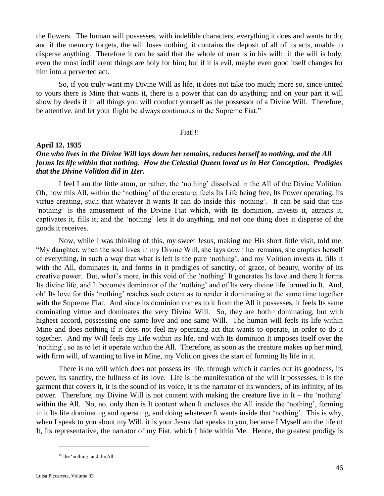the flowers. The human will possesses, with indelible characters, everything it does and wants to do; and if the memory forgets, the will loses nothing, it contains the deposit of all of its acts, unable to disperse anything. Therefore it can be said that the whole of man is in his will: if the will is holy, even the most indifferent things are holy for him; but if it is evil, maybe even good itself changes for him into a perverted act.

So, if you truly want my Divine Will as life, it does not take too much; more so, since united to yours there is Mine that wants it, there is a power that can do anything; and on your part it will show by deeds if in all things you will conduct yourself as the possessor of a Divine Will. Therefore, be attentive, and let your flight be always continuous in the Supreme Fiat."

#### Fiat!!!

### **April 12, 1935**

## *One who lives in the Divine Will lays down her remains, reduces herself to nothing, and the All forms Its life within that nothing. How the Celestial Queen loved us in Her Conception. Prodigies that the Divine Volition did in Her.*

I feel I am the little atom, or rather, the 'nothing' dissolved in the All of the Divine Volition. Oh, how this All, within the 'nothing' of the creature, feels Its Life being free, Its Power operating, Its virtue creating, such that whatever It wants It can do inside this 'nothing'. It can be said that this 'nothing' is the amusement of the Divine Fiat which, with Its dominion, invests it, attracts it, captivates it, fills it; and the 'nothing' lets It do anything, and not one thing does it disperse of the goods it receives.

Now, while I was thinking of this, my sweet Jesus, making me His short little visit, told me: "My daughter, when the soul lives in my Divine Will, she lays down her remains, she empties herself of everything, in such a way that what is left is the pure 'nothing', and my Volition invests it, fills it with the All, dominates it, and forms in it prodigies of sanctity, of grace, of beauty, worthy of Its creative power. But, what's more, in this void of the 'nothing' It generates Its love and there It forms Its divine life, and It becomes dominator of the 'nothing' and of Its very divine life formed in It. And, oh! Its love for this 'nothing' reaches such extent as to render it dominating at the same time together with the Supreme Fiat. And since its dominion comes to it from the All it possesses, it feels Its same dominating virtue and dominates the very Divine Will. So, they are both<sup>10</sup> dominating, but with highest accord, possessing one same love and one same Will. The human will feels its life within Mine and does nothing if it does not feel my operating act that wants to operate, in order to do it together. And my Will feels my Life within its life, and with Its dominion It imposes Itself over the 'nothing', so as to let it operate within the All. Therefore, as soon as the creature makes up her mind, with firm will, of wanting to live in Mine, my Volition gives the start of forming Its life in it.

There is no will which does not possess its life, through which it carries out its goodness, its power, its sanctity, the fullness of its love. Life is the manifestation of the will it possesses, it is the garment that covers it, it is the sound of its voice, it is the narrator of its wonders, of its infinity, of its power. Therefore, my Divine Will is not content with making the creature live in It – the 'nothing' within the All. No, no, only then is It content when It encloses the All inside the 'nothing', forming in it Its life dominating and operating, and doing whatever It wants inside that 'nothing'. This is why, when I speak to you about my Will, it is your Jesus that speaks to you, because I Myself am the life of It, Its representative, the narrator of my Fiat, which I hide within Me. Hence, the greatest prodigy is

 $\overline{a}$ 

<sup>10</sup> the 'nothing' and the All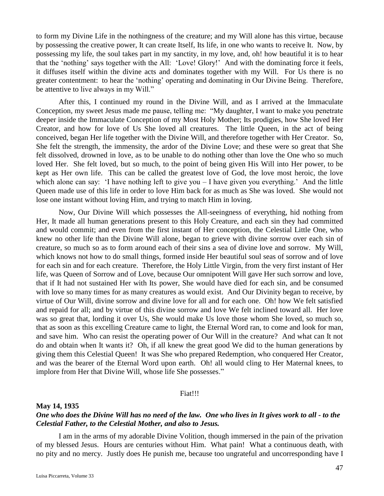to form my Divine Life in the nothingness of the creature; and my Will alone has this virtue, because by possessing the creative power, It can create Itself, Its life, in one who wants to receive It. Now, by possessing my life, the soul takes part in my sanctity, in my love, and, oh! how beautiful it is to hear that the 'nothing' says together with the All: 'Love! Glory!' And with the dominating force it feels, it diffuses itself within the divine acts and dominates together with my Will. For Us there is no greater contentment: to hear the 'nothing' operating and dominating in Our Divine Being. Therefore, be attentive to live always in my Will."

After this, I continued my round in the Divine Will, and as I arrived at the Immaculate Conception, my sweet Jesus made me pause, telling me: "My daughter, I want to make you penetrate deeper inside the Immaculate Conception of my Most Holy Mother; Its prodigies, how She loved Her Creator, and how for love of Us She loved all creatures. The little Queen, in the act of being conceived, began Her life together with the Divine Will, and therefore together with Her Creator. So, She felt the strength, the immensity, the ardor of the Divine Love; and these were so great that She felt dissolved, drowned in love, as to be unable to do nothing other than love the One who so much loved Her. She felt loved, but so much, to the point of being given His Will into Her power, to be kept as Her own life. This can be called the greatest love of God, the love most heroic, the love which alone can say: 'I have nothing left to give you – I have given you everything.' And the little Queen made use of this life in order to love Him back for as much as She was loved. She would not lose one instant without loving Him, and trying to match Him in loving.

Now, Our Divine Will which possesses the All-seeingness of everything, hid nothing from Her, It made all human generations present to this Holy Creature, and each sin they had committed and would commit; and even from the first instant of Her conception, the Celestial Little One, who knew no other life than the Divine Will alone, began to grieve with divine sorrow over each sin of creature, so much so as to form around each of their sins a sea of divine love and sorrow. My Will, which knows not how to do small things, formed inside Her beautiful soul seas of sorrow and of love for each sin and for each creature. Therefore, the Holy Little Virgin, from the very first instant of Her life, was Queen of Sorrow and of Love, because Our omnipotent Will gave Her such sorrow and love, that if It had not sustained Her with Its power, She would have died for each sin, and be consumed with love so many times for as many creatures as would exist. And Our Divinity began to receive, by virtue of Our Will, divine sorrow and divine love for all and for each one. Oh! how We felt satisfied and repaid for all; and by virtue of this divine sorrow and love We felt inclined toward all. Her love was so great that, lording it over Us, She would make Us love those whom She loved, so much so, that as soon as this excelling Creature came to light, the Eternal Word ran, to come and look for man, and save him. Who can resist the operating power of Our Will in the creature? And what can It not do and obtain when It wants it? Oh, if all knew the great good We did to the human generations by giving them this Celestial Queen! It was She who prepared Redemption, who conquered Her Creator, and was the bearer of the Eternal Word upon earth. Oh! all would cling to Her Maternal knees, to implore from Her that Divine Will, whose life She possesses."

#### Fiat!!!

### **May 14, 1935**

### *One who does the Divine Will has no need of the law. One who lives in It gives work to all - to the Celestial Father, to the Celestial Mother, and also to Jesus.*

I am in the arms of my adorable Divine Volition, though immersed in the pain of the privation of my blessed Jesus. Hours are centuries without Him. What pain! What a continuous death, with no pity and no mercy. Justly does He punish me, because too ungrateful and uncorresponding have I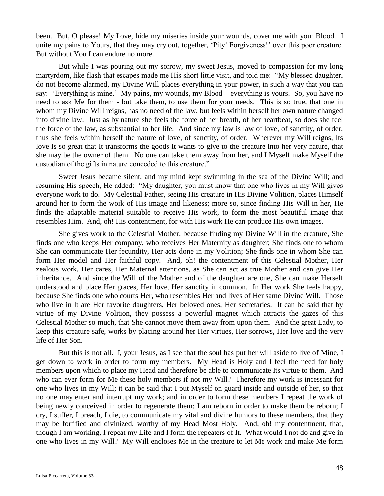been. But, O please! My Love, hide my miseries inside your wounds, cover me with your Blood. I unite my pains to Yours, that they may cry out, together, 'Pity! Forgiveness!' over this poor creature. But without You I can endure no more.

But while I was pouring out my sorrow, my sweet Jesus, moved to compassion for my long martyrdom, like flash that escapes made me His short little visit, and told me: "My blessed daughter, do not become alarmed, my Divine Will places everything in your power, in such a way that you can say: 'Everything is mine.' My pains, my wounds, my Blood – everything is yours. So, you have no need to ask Me for them - but take them, to use them for your needs. This is so true, that one in whom my Divine Will reigns, has no need of the law, but feels within herself her own nature changed into divine law. Just as by nature she feels the force of her breath, of her heartbeat, so does she feel the force of the law, as substantial to her life. And since my law is law of love, of sanctity, of order, thus she feels within herself the nature of love, of sanctity, of order. Wherever my Will reigns, Its love is so great that It transforms the goods It wants to give to the creature into her very nature, that she may be the owner of them. No one can take them away from her, and I Myself make Myself the custodian of the gifts in nature conceded to this creature."

Sweet Jesus became silent, and my mind kept swimming in the sea of the Divine Will; and resuming His speech, He added: "My daughter, you must know that one who lives in my Will gives everyone work to do. My Celestial Father, seeing His creature in His Divine Volition, places Himself around her to form the work of His image and likeness; more so, since finding His Will in her, He finds the adaptable material suitable to receive His work, to form the most beautiful image that resembles Him. And, oh! His contentment, for with His work He can produce His own images.

She gives work to the Celestial Mother, because finding my Divine Will in the creature, She finds one who keeps Her company, who receives Her Maternity as daughter; She finds one to whom She can communicate Her fecundity, Her acts done in my Volition; She finds one in whom She can form Her model and Her faithful copy. And, oh! the contentment of this Celestial Mother, Her zealous work, Her cares, Her Maternal attentions, as She can act as true Mother and can give Her inheritance. And since the Will of the Mother and of the daughter are one, She can make Herself understood and place Her graces, Her love, Her sanctity in common. In Her work She feels happy, because She finds one who courts Her, who resembles Her and lives of Her same Divine Will. Those who live in It are Her favorite daughters, Her beloved ones, Her secretaries. It can be said that by virtue of my Divine Volition, they possess a powerful magnet which attracts the gazes of this Celestial Mother so much, that She cannot move them away from upon them. And the great Lady, to keep this creature safe, works by placing around her Her virtues, Her sorrows, Her love and the very life of Her Son.

But this is not all. I, your Jesus, as I see that the soul has put her will aside to live of Mine, I get down to work in order to form my members. My Head is Holy and I feel the need for holy members upon which to place my Head and therefore be able to communicate Its virtue to them. And who can ever form for Me these holy members if not my Will? Therefore my work is incessant for one who lives in my Will; it can be said that I put Myself on guard inside and outside of her, so that no one may enter and interrupt my work; and in order to form these members I repeat the work of being newly conceived in order to regenerate them; I am reborn in order to make them be reborn; I cry, I suffer, I preach, I die, to communicate my vital and divine humors to these members, that they may be fortified and divinized, worthy of my Head Most Holy. And, oh! my contentment, that, though I am working, I repeat my Life and I form the repeaters of It. What would I not do and give in one who lives in my Will? My Will encloses Me in the creature to let Me work and make Me form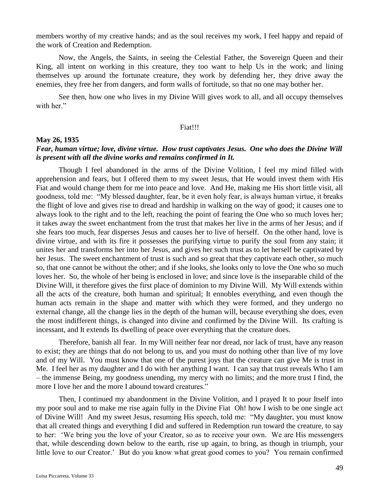members worthy of my creative hands; and as the soul receives my work, I feel happy and repaid of the work of Creation and Redemption.

Now, the Angels, the Saints, in seeing the Celestial Father, the Sovereign Queen and their King, all intent on working in this creature, they too want to help Us in the work; and lining themselves up around the fortunate creature, they work by defending her, they drive away the enemies, they free her from dangers, and form walls of fortitude, so that no one may bother her.

See then, how one who lives in my Divine Will gives work to all, and all occupy themselves with her."

#### Fiat!!!

#### **May 26, 1935**

### *Fear, human virtue; love, divine virtue. How trust captivates Jesus. One who does the Divine Will is present with all the divine works and remains confirmed in It.*

Though I feel abandoned in the arms of the Divine Volition, I feel my mind filled with apprehension and fears, but I offered them to my sweet Jesus, that He would invest them with His Fiat and would change them for me into peace and love. And He, making me His short little visit, all goodness, told me: "My blessed daughter, fear, be it even holy fear, is always human virtue, it breaks the flight of love and gives rise to dread and hardship in walking on the way of good; it causes one to always look to the right and to the left, reaching the point of fearing the One who so much loves her; it takes away the sweet enchantment from the trust that makes her live in the arms of her Jesus; and if she fears too much, fear disperses Jesus and causes her to live of herself. On the other hand, love is divine virtue, and with its fire it possesses the purifying virtue to purify the soul from any stain; it unites her and transforms her into her Jesus, and gives her such trust as to let herself be captivated by her Jesus. The sweet enchantment of trust is such and so great that they captivate each other, so much so, that one cannot be without the other; and if she looks, she looks only to love the One who so much loves her. So, the whole of her being is enclosed in love; and since love is the inseparable child of the Divine Will, it therefore gives the first place of dominion to my Divine Will. My Will extends within all the acts of the creature, both human and spiritual; It ennobles everything, and even though the human acts remain in the shape and matter with which they were formed, and they undergo no external change, all the change lies in the depth of the human will, because everything she does, even the most indifferent things, is changed into divine and confirmed by the Divine Will. Its crafting is incessant, and It extends Its dwelling of peace over everything that the creature does.

Therefore, banish all fear. In my Will neither fear nor dread, nor lack of trust, have any reason to exist; they are things that do not belong to us, and you must do nothing other than live of my love and of my Will. You must know that one of the purest joys that the creature can give Me is trust in Me. I feel her as my daughter and I do with her anything I want. I can say that trust reveals Who I am – the immense Being, my goodness unending, my mercy with no limits; and the more trust I find, the more I love her and the more I abound toward creatures."

Then, I continued my abandonment in the Divine Volition, and I prayed It to pour Itself into my poor soul and to make me rise again fully in the Divine Fiat Oh! how I wish to be one single act of Divine Will! And my sweet Jesus, resuming His speech, told me: "My daughter, you must know that all created things and everything I did and suffered in Redemption run toward the creature, to say to her: 'We bring you the love of your Creator, so as to receive your own. We are His messengers that, while descending down below to the earth, rise up again, to bring, as though in triumph, your little love to our Creator.' But do you know what great good comes to you? You remain confirmed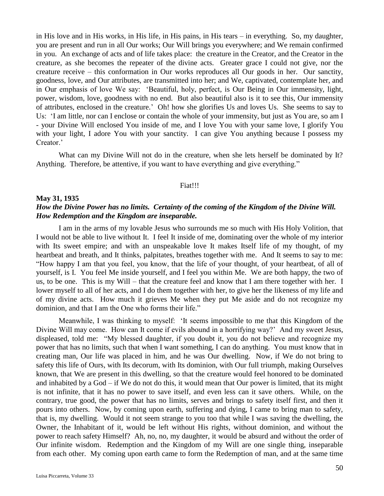in His love and in His works, in His life, in His pains, in His tears – in everything. So, my daughter, you are present and run in all Our works; Our Will brings you everywhere; and We remain confirmed in you. An exchange of acts and of life takes place: the creature in the Creator, and the Creator in the creature, as she becomes the repeater of the divine acts. Greater grace I could not give, nor the creature receive – this conformation in Our works reproduces all Our goods in her. Our sanctity, goodness, love, and Our attributes, are transmitted into her; and We, captivated, contemplate her, and in Our emphasis of love We say: 'Beautiful, holy, perfect, is Our Being in Our immensity, light, power, wisdom, love, goodness with no end. But also beautiful also is it to see this, Our immensity of attributes, enclosed in the creature.' Oh! how she glorifies Us and loves Us. She seems to say to Us: 'I am little, nor can I enclose or contain the whole of your immensity, but just as You are, so am I - your Divine Will enclosed You inside of me, and I love You with your same love, I glorify You with your light, I adore You with your sanctity. I can give You anything because I possess my Creator.'

What can my Divine Will not do in the creature, when she lets herself be dominated by It? Anything. Therefore, be attentive, if you want to have everything and give everything."

### Fiat!!!

### **May 31, 1935** *How the Divine Power has no limits. Certainty of the coming of the Kingdom of the Divine Will. How Redemption and the Kingdom are inseparable.*

I am in the arms of my lovable Jesus who surrounds me so much with His Holy Volition, that I would not be able to live without It. I feel It inside of me, dominating over the whole of my interior with Its sweet empire; and with an unspeakable love It makes Itself life of my thought, of my heartbeat and breath, and It thinks, palpitates, breathes together with me. And It seems to say to me: "How happy I am that you feel, you know, that the life of your thought, of your heartbeat, of all of yourself, is I. You feel Me inside yourself, and I feel you within Me. We are both happy, the two of us, to be one. This is my Will – that the creature feel and know that I am there together with her. I lower myself to all of her acts, and I do them together with her, to give her the likeness of my life and of my divine acts. How much it grieves Me when they put Me aside and do not recognize my dominion, and that I am the One who forms their life."

Meanwhile, I was thinking to myself: 'It seems impossible to me that this Kingdom of the Divine Will may come. How can It come if evils abound in a horrifying way?' And my sweet Jesus, displeased, told me: "My blessed daughter, if you doubt it, you do not believe and recognize my power that has no limits, such that when I want something, I can do anything. You must know that in creating man, Our life was placed in him, and he was Our dwelling. Now, if We do not bring to safety this life of Ours, with Its decorum, with Its dominion, with Our full triumph, making Ourselves known, that We are present in this dwelling, so that the creature would feel honored to be dominated and inhabited by a God – if We do not do this, it would mean that Our power is limited, that its might is not infinite, that it has no power to save itself, and even less can it save others. While, on the contrary, true good, the power that has no limits, serves and brings to safety itself first, and then it pours into others. Now, by coming upon earth, suffering and dying, I came to bring man to safety, that is, my dwelling. Would it not seem strange to you too that while I was saving the dwelling, the Owner, the Inhabitant of it, would be left without His rights, without dominion, and without the power to reach safety Himself? Ah, no, no, my daughter, it would be absurd and without the order of Our infinite wisdom. Redemption and the Kingdom of my Will are one single thing, inseparable from each other. My coming upon earth came to form the Redemption of man, and at the same time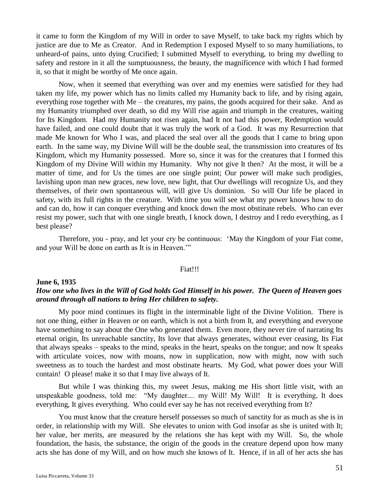it came to form the Kingdom of my Will in order to save Myself, to take back my rights which by justice are due to Me as Creator. And in Redemption I exposed Myself to so many humiliations, to unheard-of pains, unto dying Crucified; I submitted Myself to everything, to bring my dwelling to safety and restore in it all the sumptuousness, the beauty, the magnificence with which I had formed it, so that it might be worthy of Me once again.

Now, when it seemed that everything was over and my enemies were satisfied for they had taken my life, my power which has no limits called my Humanity back to life, and by rising again, everything rose together with Me – the creatures, my pains, the goods acquired for their sake. And as my Humanity triumphed over death, so did my Will rise again and triumph in the creatures, waiting for Its Kingdom. Had my Humanity not risen again, had It not had this power, Redemption would have failed, and one could doubt that it was truly the work of a God. It was my Resurrection that made Me known for Who I was, and placed the seal over all the goods that I came to bring upon earth. In the same way, my Divine Will will be the double seal, the transmission into creatures of Its Kingdom, which my Humanity possessed. More so, since it was for the creatures that I formed this Kingdom of my Divine Will within my Humanity. Why not give It then? At the most, it will be a matter of time, and for Us the times are one single point; Our power will make such prodigies, lavishing upon man new graces, new love, new light, that Our dwellings will recognize Us, and they themselves, of their own spontaneous will, will give Us dominion. So will Our life be placed in safety, with its full rights in the creature. With time you will see what my power knows how to do and can do, how it can conquer everything and knock down the most obstinate rebels. Who can ever resist my power, such that with one single breath, I knock down, I destroy and I redo everything, as I best please?

Therefore, you - pray, and let your cry be continuous: 'May the Kingdom of your Fiat come, and your Will be done on earth as It is in Heaven.'"

#### Fiat!!!

## **June 6, 1935** *How one who lives in the Will of God holds God Himself in his power. The Queen of Heaven goes around through all nations to bring Her children to safety.*

My poor mind continues its flight in the interminable light of the Divine Volition. There is not one thing, either in Heaven or on earth, which is not a birth from It, and everything and everyone have something to say about the One who generated them. Even more, they never tire of narrating Its eternal origin, Its unreachable sanctity, Its love that always generates, without ever ceasing, Its Fiat that always speaks – speaks to the mind, speaks in the heart, speaks on the tongue; and now It speaks with articulate voices, now with moans, now in supplication, now with might, now with such sweetness as to touch the hardest and most obstinate hearts. My God, what power does your Will contain! O please! make it so that I may live always of It.

But while I was thinking this, my sweet Jesus, making me His short little visit, with an unspeakable goodness, told me: "My daughter.... my Will! My Will! It is everything, It does everything, It gives everything. Who could ever say he has not received everything from It?

You must know that the creature herself possesses so much of sanctity for as much as she is in order, in relationship with my Will. She elevates to union with God insofar as she is united with It; her value, her merits, are measured by the relations she has kept with my Will. So, the whole foundation, the basis, the substance, the origin of the goods in the creature depend upon how many acts she has done of my Will, and on how much she knows of It. Hence, if in all of her acts she has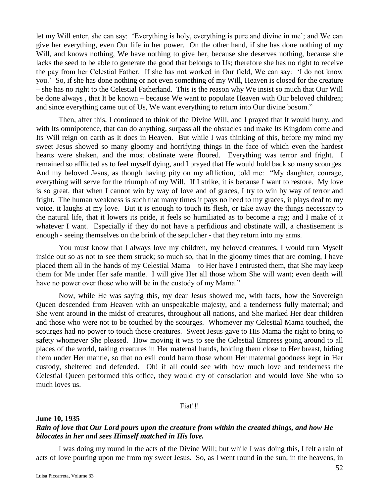let my Will enter, she can say: 'Everything is holy, everything is pure and divine in me'; and We can give her everything, even Our life in her power. On the other hand, if she has done nothing of my Will, and knows nothing, We have nothing to give her, because she deserves nothing, because she lacks the seed to be able to generate the good that belongs to Us; therefore she has no right to receive the pay from her Celestial Father. If she has not worked in Our field, We can say: 'I do not know you.' So, if she has done nothing or not even something of my Will, Heaven is closed for the creature – she has no right to the Celestial Fatherland. This is the reason why We insist so much that Our Will be done always , that It be known – because We want to populate Heaven with Our beloved children; and since everything came out of Us, We want everything to return into Our divine bosom."

Then, after this, I continued to think of the Divine Will, and I prayed that It would hurry, and with Its omnipotence, that can do anything, surpass all the obstacles and make Its Kingdom come and Its Will reign on earth as It does in Heaven. But while I was thinking of this, before my mind my sweet Jesus showed so many gloomy and horrifying things in the face of which even the hardest hearts were shaken, and the most obstinate were floored. Everything was terror and fright. I remained so afflicted as to feel myself dying, and I prayed that He would hold back so many scourges. And my beloved Jesus, as though having pity on my affliction, told me: "My daughter, courage, everything will serve for the triumph of my Will. If I strike, it is because I want to restore. My love is so great, that when I cannot win by way of love and of graces, I try to win by way of terror and fright. The human weakness is such that many times it pays no heed to my graces, it plays deaf to my voice, it laughs at my love. But it is enough to touch its flesh, or take away the things necessary to the natural life, that it lowers its pride, it feels so humiliated as to become a rag; and I make of it whatever I want. Especially if they do not have a perfidious and obstinate will, a chastisement is enough - seeing themselves on the brink of the sepulcher - that they return into my arms.

You must know that I always love my children, my beloved creatures, I would turn Myself inside out so as not to see them struck; so much so, that in the gloomy times that are coming, I have placed them all in the hands of my Celestial Mama – to Her have I entrusted them, that She may keep them for Me under Her safe mantle. I will give Her all those whom She will want; even death will have no power over those who will be in the custody of my Mama."

Now, while He was saying this, my dear Jesus showed me, with facts, how the Sovereign Queen descended from Heaven with an unspeakable majesty, and a tenderness fully maternal; and She went around in the midst of creatures, throughout all nations, and She marked Her dear children and those who were not to be touched by the scourges. Whomever my Celestial Mama touched, the scourges had no power to touch those creatures. Sweet Jesus gave to His Mama the right to bring to safety whomever She pleased. How moving it was to see the Celestial Empress going around to all places of the world, taking creatures in Her maternal hands, holding them close to Her breast, hiding them under Her mantle, so that no evil could harm those whom Her maternal goodness kept in Her custody, sheltered and defended. Oh! if all could see with how much love and tenderness the Celestial Queen performed this office, they would cry of consolation and would love She who so much loves us.

#### Fiat!!!

### **June 10, 1935**

## *Rain of love that Our Lord pours upon the creature from within the created things, and how He bilocates in her and sees Himself matched in His love.*

I was doing my round in the acts of the Divine Will; but while I was doing this, I felt a rain of acts of love pouring upon me from my sweet Jesus. So, as I went round in the sun, in the heavens, in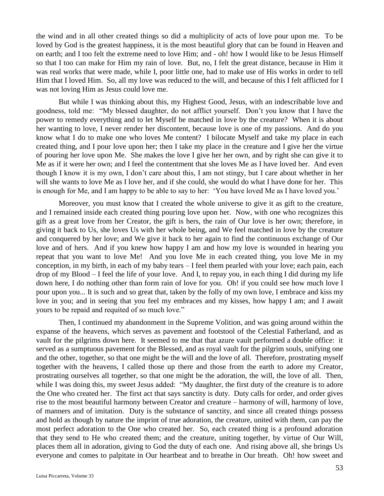the wind and in all other created things so did a multiplicity of acts of love pour upon me. To be loved by God is the greatest happiness, it is the most beautiful glory that can be found in Heaven and on earth; and I too felt the extreme need to love Him; and - oh! how I would like to be Jesus Himself so that I too can make for Him my rain of love. But, no, I felt the great distance, because in Him it was real works that were made, while I, poor little one, had to make use of His works in order to tell Him that I loved Him. So, all my love was reduced to the will, and because of this I felt afflicted for I was not loving Him as Jesus could love me.

But while I was thinking about this, my Highest Good, Jesus, with an indescribable love and goodness, told me: "My blessed daughter, do not afflict yourself. Don't you know that I have the power to remedy everything and to let Myself be matched in love by the creature? When it is about her wanting to love, I never render her discontent, because love is one of my passions. And do you know what I do to make one who loves Me content? I bilocate Myself and take my place in each created thing, and I pour love upon her; then I take my place in the creature and I give her the virtue of pouring her love upon Me. She makes the love I give her her own, and by right she can give it to Me as if it were her own; and I feel the contentment that she loves Me as I have loved her. And even though I know it is my own, I don't care about this, I am not stingy, but I care about whether in her will she wants to love Me as I love her, and if she could, she would do what I have done for her. This is enough for Me, and I am happy to be able to say to her: 'You have loved Me as I have loved you.'

Moreover, you must know that I created the whole universe to give it as gift to the creature, and I remained inside each created thing pouring love upon her. Now, with one who recognizes this gift as a great love from her Creator, the gift is hers, the rain of Our love is her own; therefore, in giving it back to Us, she loves Us with her whole being, and We feel matched in love by the creature and conquered by her love; and We give it back to her again to find the continuous exchange of Our love and of hers. And if you knew how happy I am and how my love is wounded in hearing you repeat that you want to love Me! And you love Me in each created thing, you love Me in my conception, in my birth, in each of my baby tears – I feel them pearled with your love; each pain, each drop of my Blood – I feel the life of your love. And I, to repay you, in each thing I did during my life down here, I do nothing other than form rain of love for you. Oh! if you could see how much love I pour upon you... It is such and so great that, taken by the folly of my own love, I embrace and kiss my love in you; and in seeing that you feel my embraces and my kisses, how happy I am; and I await yours to be repaid and requited of so much love."

Then, I continued my abandonment in the Supreme Volition, and was going around within the expanse of the heavens, which serves as pavement and footstool of the Celestial Fatherland, and as vault for the pilgrims down here. It seemed to me that that azure vault performed a double office: it served as a sumptuous pavement for the Blessed, and as royal vault for the pilgrim souls, unifying one and the other, together, so that one might be the will and the love of all. Therefore, prostrating myself together with the heavens, I called those up there and those from the earth to adore my Creator, prostrating ourselves all together, so that one might be the adoration, the will, the love of all. Then, while I was doing this, my sweet Jesus added: "My daughter, the first duty of the creature is to adore the One who created her. The first act that says sanctity is duty. Duty calls for order, and order gives rise to the most beautiful harmony between Creator and creature – harmony of will, harmony of love, of manners and of imitation. Duty is the substance of sanctity, and since all created things possess and hold as though by nature the imprint of true adoration, the creature, united with them, can pay the most perfect adoration to the One who created her. So, each created thing is a profound adoration that they send to He who created them; and the creature, uniting together, by virtue of Our Will, places them all in adoration, giving to God the duty of each one. And rising above all, she brings Us everyone and comes to palpitate in Our heartbeat and to breathe in Our breath. Oh! how sweet and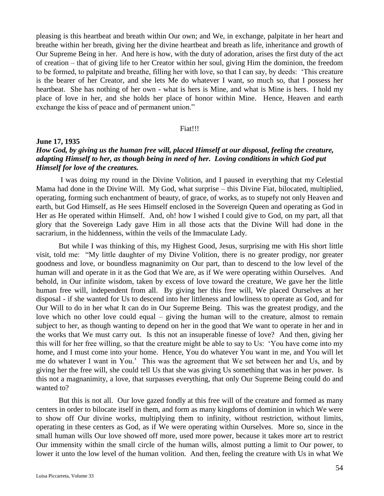pleasing is this heartbeat and breath within Our own; and We, in exchange, palpitate in her heart and breathe within her breath, giving her the divine heartbeat and breath as life, inheritance and growth of Our Supreme Being in her. And here is how, with the duty of adoration, arises the first duty of the act of creation – that of giving life to her Creator within her soul, giving Him the dominion, the freedom to be formed, to palpitate and breathe, filling her with love, so that I can say, by deeds: 'This creature is the bearer of her Creator, and she lets Me do whatever I want, so much so, that I possess her heartbeat. She has nothing of her own - what is hers is Mine, and what is Mine is hers. I hold my place of love in her, and she holds her place of honor within Mine. Hence, Heaven and earth exchange the kiss of peace and of permanent union."

#### Fiat!!!

## *How God, by giving us the human free will, placed Himself at our disposal, feeling the creature, adapting Himself to her, as though being in need of her. Loving conditions in which God put Himself for love of the creatures.*

I was doing my round in the Divine Volition, and I paused in everything that my Celestial Mama had done in the Divine Will. My God, what surprise – this Divine Fiat, bilocated, multiplied, operating, forming such enchantment of beauty, of grace, of works, as to stupefy not only Heaven and earth, but God Himself, as He sees Himself enclosed in the Sovereign Queen and operating as God in Her as He operated within Himself. And, oh! how I wished I could give to God, on my part, all that glory that the Sovereign Lady gave Him in all those acts that the Divine Will had done in the sacrarium, in the hiddenness, within the veils of the Immaculate Lady.

But while I was thinking of this, my Highest Good, Jesus, surprising me with His short little visit, told me: "My little daughter of my Divine Volition, there is no greater prodigy, nor greater goodness and love, or boundless magnanimity on Our part, than to descend to the low level of the human will and operate in it as the God that We are, as if We were operating within Ourselves. And behold, in Our infinite wisdom, taken by excess of love toward the creature, We gave her the little human free will, independent from all. By giving her this free will, We placed Ourselves at her disposal - if she wanted for Us to descend into her littleness and lowliness to operate as God, and for Our Will to do in her what It can do in Our Supreme Being. This was the greatest prodigy, and the love which no other love could equal – giving the human will to the creature, almost to remain subject to her, as though wanting to depend on her in the good that We want to operate in her and in the works that We must carry out. Is this not an insuperable finesse of love? And then, giving her this will for her free willing, so that the creature might be able to say to Us: 'You have come into my home, and I must come into your home. Hence, You do whatever You want in me, and You will let me do whatever I want in You.' This was the agreement that We set between her and Us, and by giving her the free will, she could tell Us that she was giving Us something that was in her power. Is this not a magnanimity, a love, that surpasses everything, that only Our Supreme Being could do and wanted to?

But this is not all. Our love gazed fondly at this free will of the creature and formed as many centers in order to bilocate itself in them, and form as many kingdoms of dominion in which We were to show off Our divine works, multiplying them to infinity, without restriction, without limits, operating in these centers as God, as if We were operating within Ourselves. More so, since in the small human wills Our love showed off more, used more power, because it takes more art to restrict Our immensity within the small circle of the human wills, almost putting a limit to Our power, to lower it unto the low level of the human volition. And then, feeling the creature with Us in what We

**June 17, 1935**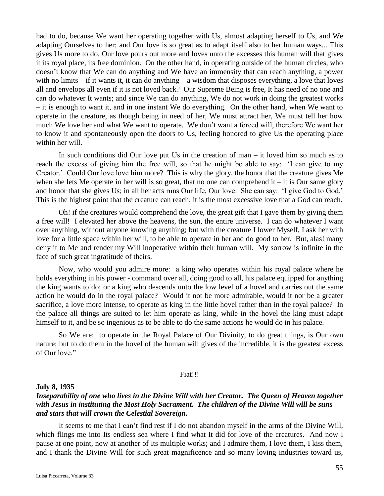had to do, because We want her operating together with Us, almost adapting herself to Us, and We adapting Ourselves to her; and Our love is so great as to adapt itself also to her human ways... This gives Us more to do, Our love pours out more and loves unto the excesses this human will that gives it its royal place, its free dominion. On the other hand, in operating outside of the human circles, who doesn't know that We can do anything and We have an immensity that can reach anything, a power with no limits  $-i$  if it wants it, it can do anything  $-i$  a wisdom that disposes everything, a love that loves all and envelops all even if it is not loved back? Our Supreme Being is free, It has need of no one and can do whatever It wants; and since We can do anything, We do not work in doing the greatest works – it is enough to want it, and in one instant We do everything. On the other hand, when We want to operate in the creature, as though being in need of her, We must attract her, We must tell her how much We love her and what We want to operate. We don't want a forced will, therefore We want her to know it and spontaneously open the doors to Us, feeling honored to give Us the operating place within her will.

In such conditions did Our love put Us in the creation of man – it loved him so much as to reach the excess of giving him the free will, so that he might be able to say: 'I can give to my Creator.' Could Our love love him more? This is why the glory, the honor that the creature gives Me when she lets Me operate in her will is so great, that no one can comprehend it – it is Our same glory and honor that she gives Us; in all her acts runs Our life, Our love. She can say: 'I give God to God.' This is the highest point that the creature can reach; it is the most excessive love that a God can reach.

Oh! if the creatures would comprehend the love, the great gift that I gave them by giving them a free will! I elevated her above the heavens, the sun, the entire universe. I can do whatever I want over anything, without anyone knowing anything; but with the creature I lower Myself, I ask her with love for a little space within her will, to be able to operate in her and do good to her. But, alas! many deny it to Me and render my Will inoperative within their human will. My sorrow is infinite in the face of such great ingratitude of theirs.

Now, who would you admire more: a king who operates within his royal palace where he holds everything in his power - command over all, doing good to all, his palace equipped for anything the king wants to do; or a king who descends unto the low level of a hovel and carries out the same action he would do in the royal palace? Would it not be more admirable, would it nor be a greater sacrifice, a love more intense, to operate as king in the little hovel rather than in the royal palace? In the palace all things are suited to let him operate as king, while in the hovel the king must adapt himself to it, and be so ingenious as to be able to do the same actions he would do in his palace.

So We are: to operate in the Royal Palace of Our Divinity, to do great things, is Our own nature; but to do them in the hovel of the human will gives of the incredible, it is the greatest excess of Our love."

#### Fiat!!!

### **July 8, 1935**

## *Inseparability of one who lives in the Divine Will with her Creator. The Queen of Heaven together with Jesus in instituting the Most Holy Sacrament. The children of the Divine Will will be suns and stars that will crown the Celestial Sovereign.*

It seems to me that I can't find rest if I do not abandon myself in the arms of the Divine Will, which flings me into Its endless sea where I find what It did for love of the creatures. And now I pause at one point, now at another of Its multiple works; and I admire them, I love them, I kiss them, and I thank the Divine Will for such great magnificence and so many loving industries toward us,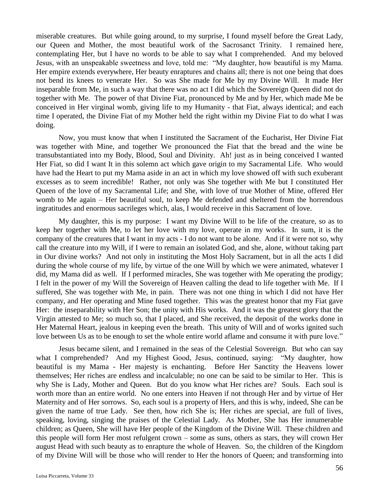miserable creatures. But while going around, to my surprise, I found myself before the Great Lady, our Queen and Mother, the most beautiful work of the Sacrosanct Trinity. I remained here, contemplating Her, but I have no words to be able to say what I comprehended. And my beloved Jesus, with an unspeakable sweetness and love, told me: "My daughter, how beautiful is my Mama. Her empire extends everywhere, Her beauty enraptures and chains all; there is not one being that does not bend its knees to venerate Her. So was She made for Me by my Divine Will. It made Her inseparable from Me, in such a way that there was no act I did which the Sovereign Queen did not do together with Me. The power of that Divine Fiat, pronounced by Me and by Her, which made Me be conceived in Her virginal womb, giving life to my Humanity - that Fiat, always identical; and each time I operated, the Divine Fiat of my Mother held the right within my Divine Fiat to do what I was doing.

Now, you must know that when I instituted the Sacrament of the Eucharist, Her Divine Fiat was together with Mine, and together We pronounced the Fiat that the bread and the wine be transubstantiated into my Body, Blood, Soul and Divinity. Ah! just as in being conceived I wanted Her Fiat, so did I want It in this solemn act which gave origin to my Sacramental Life. Who would have had the Heart to put my Mama aside in an act in which my love showed off with such exuberant excesses as to seem incredible! Rather, not only was She together with Me but I constituted Her Queen of the love of my Sacramental Life; and She, with love of true Mother of Mine, offered Her womb to Me again – Her beautiful soul, to keep Me defended and sheltered from the horrendous ingratitudes and enormous sacrileges which, alas, I would receive in this Sacrament of love.

My daughter, this is my purpose: I want my Divine Will to be life of the creature, so as to keep her together with Me, to let her love with my love, operate in my works. In sum, it is the company of the creatures that I want in my acts - I do not want to be alone. And if it were not so, why call the creature into my Will, if I were to remain an isolated God, and she, alone, without taking part in Our divine works? And not only in instituting the Most Holy Sacrament, but in all the acts I did during the whole course of my life, by virtue of the one Will by which we were animated, whatever I did, my Mama did as well. If I performed miracles, She was together with Me operating the prodigy; I felt in the power of my Will the Sovereign of Heaven calling the dead to life together with Me. If I suffered, She was together with Me, in pain. There was not one thing in which I did not have Her company, and Her operating and Mine fused together. This was the greatest honor that my Fiat gave Her: the inseparability with Her Son; the unity with His works. And it was the greatest glory that the Virgin attested to Me; so much so, that I placed, and She received, the deposit of the works done in Her Maternal Heart, jealous in keeping even the breath. This unity of Will and of works ignited such love between Us as to be enough to set the whole entire world aflame and consume it with pure love."

Jesus became silent, and I remained in the seas of the Celestial Sovereign. But who can say what I comprehended? And my Highest Good, Jesus, continued, saying: "My daughter, how beautiful is my Mama - Her majesty is enchanting. Before Her Sanctity the Heavens lower themselves; Her riches are endless and incalculable; no one can be said to be similar to Her. This is why She is Lady, Mother and Queen. But do you know what Her riches are? Souls. Each soul is worth more than an entire world. No one enters into Heaven if not through Her and by virtue of Her Maternity and of Her sorrows. So, each soul is a property of Hers, and this is why, indeed, She can be given the name of true Lady. See then, how rich She is; Her riches are special, are full of lives, speaking, loving, singing the praises of the Celestial Lady. As Mother, She has Her innumerable children; as Queen, She will have Her people of the Kingdom of the Divine Will. These children and this people will form Her most refulgent crown – some as suns, others as stars, they will crown Her august Head with such beauty as to enrapture the whole of Heaven. So, the children of the Kingdom of my Divine Will will be those who will render to Her the honors of Queen; and transforming into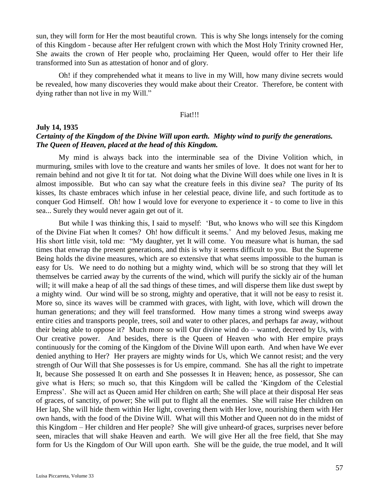sun, they will form for Her the most beautiful crown. This is why She longs intensely for the coming of this Kingdom - because after Her refulgent crown with which the Most Holy Trinity crowned Her, She awaits the crown of Her people who, proclaiming Her Queen, would offer to Her their life transformed into Sun as attestation of honor and of glory.

Oh! if they comprehended what it means to live in my Will, how many divine secrets would be revealed, how many discoveries they would make about their Creator. Therefore, be content with dying rather than not live in my Will."

#### Fiat!!!

## *Certainty of the Kingdom of the Divine Will upon earth. Mighty wind to purify the generations. The Queen of Heaven, placed at the head of this Kingdom.*

My mind is always back into the interminable sea of the Divine Volition which, in murmuring, smiles with love to the creature and wants her smiles of love. It does not want for her to remain behind and not give It tit for tat. Not doing what the Divine Will does while one lives in It is almost impossible. But who can say what the creature feels in this divine sea? The purity of Its kisses, Its chaste embraces which infuse in her celestial peace, divine life, and such fortitude as to conquer God Himself. Oh! how I would love for everyone to experience it - to come to live in this sea... Surely they would never again get out of it.

But while I was thinking this, I said to myself: 'But, who knows who will see this Kingdom of the Divine Fiat when It comes? Oh! how difficult it seems.' And my beloved Jesus, making me His short little visit, told me: "My daughter, yet It will come. You measure what is human, the sad times that enwrap the present generations, and this is why it seems difficult to you. But the Supreme Being holds the divine measures, which are so extensive that what seems impossible to the human is easy for Us. We need to do nothing but a mighty wind, which will be so strong that they will let themselves be carried away by the currents of the wind, which will purify the sickly air of the human will; it will make a heap of all the sad things of these times, and will disperse them like dust swept by a mighty wind. Our wind will be so strong, mighty and operative, that it will not be easy to resist it. More so, since its waves will be crammed with graces, with light, with love, which will drown the human generations; and they will feel transformed. How many times a strong wind sweeps away entire cities and transports people, trees, soil and water to other places, and perhaps far away, without their being able to oppose it? Much more so will Our divine wind do – wanted, decreed by Us, with Our creative power. And besides, there is the Queen of Heaven who with Her empire prays continuously for the coming of the Kingdom of the Divine Will upon earth. And when have We ever denied anything to Her? Her prayers are mighty winds for Us, which We cannot resist; and the very strength of Our Will that She possesses is for Us empire, command. She has all the right to impetrate It, because She possessed It on earth and She possesses It in Heaven; hence, as possessor, She can give what is Hers; so much so, that this Kingdom will be called the 'Kingdom of the Celestial Empress'. She will act as Queen amid Her children on earth; She will place at their disposal Her seas of graces, of sanctity, of power; She will put to flight all the enemies. She will raise Her children on Her lap, She will hide them within Her light, covering them with Her love, nourishing them with Her own hands, with the food of the Divine Will. What will this Mother and Queen not do in the midst of this Kingdom – Her children and Her people? She will give unheard-of graces, surprises never before seen, miracles that will shake Heaven and earth. We will give Her all the free field, that She may form for Us the Kingdom of Our Will upon earth. She will be the guide, the true model, and It will

**July 14, 1935**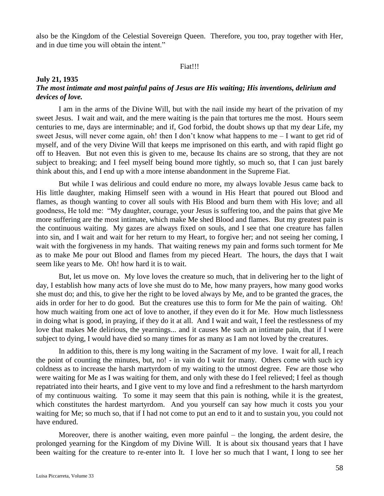also be the Kingdom of the Celestial Sovereign Queen. Therefore, you too, pray together with Her, and in due time you will obtain the intent."

### Fiat!!!

### **July 21, 1935** *The most intimate and most painful pains of Jesus are His waiting; His inventions, delirium and devices of love.*

I am in the arms of the Divine Will, but with the nail inside my heart of the privation of my sweet Jesus. I wait and wait, and the mere waiting is the pain that tortures me the most. Hours seem centuries to me, days are interminable; and if, God forbid, the doubt shows up that my dear Life, my sweet Jesus, will never come again, oh! then I don't know what happens to me  $-I$  want to get rid of myself, and of the very Divine Will that keeps me imprisoned on this earth, and with rapid flight go off to Heaven. But not even this is given to me, because Its chains are so strong, that they are not subject to breaking; and I feel myself being bound more tightly, so much so, that I can just barely think about this, and I end up with a more intense abandonment in the Supreme Fiat.

But while I was delirious and could endure no more, my always lovable Jesus came back to His little daughter, making Himself seen with a wound in His Heart that poured out Blood and flames, as though wanting to cover all souls with His Blood and burn them with His love; and all goodness, He told me: "My daughter, courage, your Jesus is suffering too, and the pains that give Me more suffering are the most intimate, which make Me shed Blood and flames. But my greatest pain is the continuous waiting. My gazes are always fixed on souls, and I see that one creature has fallen into sin, and I wait and wait for her return to my Heart, to forgive her; and not seeing her coming, I wait with the forgiveness in my hands. That waiting renews my pain and forms such torment for Me as to make Me pour out Blood and flames from my pieced Heart. The hours, the days that I wait seem like years to Me. Oh! how hard it is to wait.

But, let us move on. My love loves the creature so much, that in delivering her to the light of day, I establish how many acts of love she must do to Me, how many prayers, how many good works she must do; and this, to give her the right to be loved always by Me, and to be granted the graces, the aids in order for her to do good. But the creatures use this to form for Me the pain of waiting. Oh! how much waiting from one act of love to another, if they even do it for Me. How much listlessness in doing what is good, in praying, if they do it at all. And I wait and wait, I feel the restlessness of my love that makes Me delirious, the yearnings... and it causes Me such an intimate pain, that if I were subject to dying, I would have died so many times for as many as I am not loved by the creatures.

In addition to this, there is my long waiting in the Sacrament of my love. I wait for all, I reach the point of counting the minutes, but, no! - in vain do I wait for many. Others come with such icy coldness as to increase the harsh martyrdom of my waiting to the utmost degree. Few are those who were waiting for Me as I was waiting for them, and only with these do I feel relieved; I feel as though repatriated into their hearts, and I give vent to my love and find a refreshment to the harsh martyrdom of my continuous waiting. To some it may seem that this pain is nothing, while it is the greatest, which constitutes the hardest martyrdom. And you yourself can say how much it costs you your waiting for Me; so much so, that if I had not come to put an end to it and to sustain you, you could not have endured.

Moreover, there is another waiting, even more painful – the longing, the ardent desire, the prolonged yearning for the Kingdom of my Divine Will. It is about six thousand years that I have been waiting for the creature to re-enter into It. I love her so much that I want, I long to see her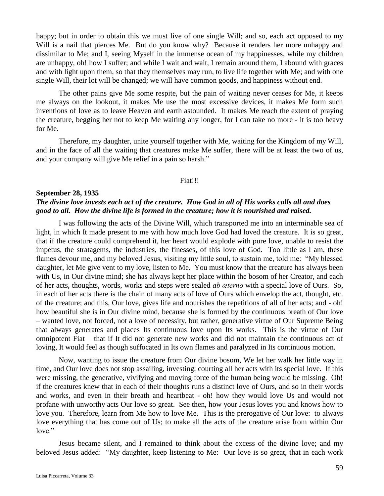happy; but in order to obtain this we must live of one single Will; and so, each act opposed to my Will is a nail that pierces Me. But do you know why? Because it renders her more unhappy and dissimilar to Me; and I, seeing Myself in the immense ocean of my happinesses, while my children are unhappy, oh! how I suffer; and while I wait and wait, I remain around them, I abound with graces and with light upon them, so that they themselves may run, to live life together with Me; and with one single Will, their lot will be changed; we will have common goods, and happiness without end.

The other pains give Me some respite, but the pain of waiting never ceases for Me, it keeps me always on the lookout, it makes Me use the most excessive devices, it makes Me form such inventions of love as to leave Heaven and earth astounded. It makes Me reach the extent of praying the creature, begging her not to keep Me waiting any longer, for I can take no more - it is too heavy for Me.

Therefore, my daughter, unite yourself together with Me, waiting for the Kingdom of my Will, and in the face of all the waiting that creatures make Me suffer, there will be at least the two of us, and your company will give Me relief in a pain so harsh."

#### Fiat!!!

#### **September 28, 1935**

### *The divine love invests each act of the creature. How God in all of His works calls all and does good to all. How the divine life is formed in the creature; how it is nourished and raised.*

I was following the acts of the Divine Will, which transported me into an interminable sea of light, in which It made present to me with how much love God had loved the creature. It is so great, that if the creature could comprehend it, her heart would explode with pure love, unable to resist the impetus, the stratagems, the industries, the finesses, of this love of God. Too little as I am, these flames devour me, and my beloved Jesus, visiting my little soul, to sustain me, told me: "My blessed daughter, let Me give vent to my love, listen to Me. You must know that the creature has always been with Us, in Our divine mind; she has always kept her place within the bosom of her Creator, and each of her acts, thoughts, words, works and steps were sealed *ab œterno* with a special love of Ours. So, in each of her acts there is the chain of many acts of love of Ours which envelop the act, thought, etc. of the creature; and this, Our love, gives life and nourishes the repetitions of all of her acts; and - oh! how beautiful she is in Our divine mind, because she is formed by the continuous breath of Our love – wanted love, not forced, not a love of necessity, but rather, generative virtue of Our Supreme Being that always generates and places Its continuous love upon Its works. This is the virtue of Our omnipotent Fiat – that if It did not generate new works and did not maintain the continuous act of loving, It would feel as though suffocated in Its own flames and paralyzed in Its continuous motion.

Now, wanting to issue the creature from Our divine bosom, We let her walk her little way in time, and Our love does not stop assailing, investing, courting all her acts with its special love. If this were missing, the generative, vivifying and moving force of the human being would be missing. Oh! if the creatures knew that in each of their thoughts runs a distinct love of Ours, and so in their words and works, and even in their breath and heartbeat - oh! how they would love Us and would not profane with unworthy acts Our love so great. See then, how your Jesus loves you and knows how to love you. Therefore, learn from Me how to love Me. This is the prerogative of Our love: to always love everything that has come out of Us; to make all the acts of the creature arise from within Our love."

Jesus became silent, and I remained to think about the excess of the divine love; and my beloved Jesus added: "My daughter, keep listening to Me: Our love is so great, that in each work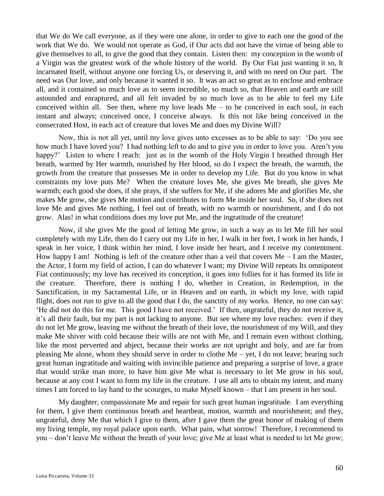that We do We call everyone, as if they were one alone, in order to give to each one the good of the work that We do. We would not operate as God, if Our acts did not have the virtue of being able to give themselves to all, to give the good that they contain. Listen then: my conception in the womb of a Virgin was the greatest work of the whole history of the world. By Our Fiat just wanting it so, It incarnated Itself, without anyone one forcing Us, or deserving it, and with no need on Our part. The need was Our love, and only because it wanted it so. It was an act so great as to enclose and embrace all, and it contained so much love as to seem incredible, so much so, that Heaven and earth are still astounded and enraptured, and all felt invaded by so much love as to be able to feel my Life conceived within all. See then, where my love leads Me – to be conceived in each soul, in each instant and always; conceived once, I conceive always. Is this not like being conceived in the consecrated Host, in each act of creature that loves Me and does my Divine Will?

Now, this is not all yet, until my love gives unto excesses as to be able to say: 'Do you see how much I have loved you? I had nothing left to do and to give you in order to love you. Aren't you happy?' Listen to where I reach: just as in the womb of the Holy Virgin I breathed through Her breath, warmed by Her warmth, nourished by Her blood, so do I expect the breath, the warmth, the growth from the creature that possesses Me in order to develop my Life. But do you know in what constraints my love puts Me? When the creature loves Me, she gives Me breath, she gives Me warmth; each good she does, if she prays, if she suffers for Me, if she adores Me and glorifies Me, she makes Me grow, she gives Me motion and contributes to form Me inside her soul. So, if she does not love Me and gives Me nothing, I feel out of breath, with no warmth or nourishment, and I do not grow. Alas! in what conditions does my love put Me, and the ingratitude of the creature!

Now, if she gives Me the good of letting Me grow, in such a way as to let Me fill her soul completely with my Life, then do I carry out my Life in her, I walk in her feet, I work in her hands, I speak in her voice, I think within her mind, I love inside her heart, and I receive my contentment. How happy I am! Nothing is left of the creature other than a veil that covers  $Me - I$  am the Master, the Actor, I form my field of action, I can do whatever I want; my Divine Will repeats Its omnipotent Fiat continuously; my love has received its conception, it goes into follies for it has formed its life in the creature. Therefore, there is nothing I do, whether in Creation, in Redemption, in the Sanctification, in my Sacramental Life, or in Heaven and on earth, in which my love, with rapid flight, does not run to give to all the good that I do, the sanctity of my works. Hence, no one can say: 'He did not do this for me. This good I have not received.' If then, ungrateful, they do not receive it, it's all their fault, but my part is not lacking to anyone. But see where my love reaches: even if they do not let Me grow, leaving me without the breath of their love, the nourishment of my Will, and they make Me shiver with cold because their wills are not with Me, and I remain even without clothing, like the most perverted and abject, because their works are not upright and holy, and are far from pleasing Me alone, whom they should serve in order to clothe Me – yet, I do not leave; bearing such great human ingratitude and waiting with invincible patience and preparing a surprise of love, a grace that would strike man more, to have him give Me what is necessary to let Me grow in his soul, because at any cost I want to form my life in the creature. I use all arts to obtain my intent, and many times I am forced to lay hand to the scourges, to make Myself known – that I am present in her soul.

My daughter, compassionate Me and repair for such great human ingratitude. I am everything for them, I give them continuous breath and heartbeat, motion, warmth and nourishment; and they, ungrateful, deny Me that which I give to them, after I gave them the great honor of making of them my living temple, my royal palace upon earth. What pain, what sorrow! Therefore, I recommend to you – don't leave Me without the breath of your love; give Me at least what is needed to let Me grow;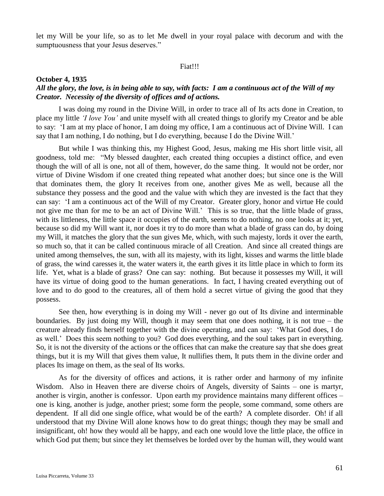let my Will be your life, so as to let Me dwell in your royal palace with decorum and with the sumptuousness that your Jesus deserves."

#### Fiat!!!

#### **October 4, 1935**

## *All the glory, the love, is in being able to say, with facts: I am a continuous act of the Will of my Creator. Necessity of the diversity of offices and of actions.*

I was doing my round in the Divine Will, in order to trace all of Its acts done in Creation, to place my little *'I love You'* and unite myself with all created things to glorify my Creator and be able to say: 'I am at my place of honor, I am doing my office, I am a continuous act of Divine Will. I can say that I am nothing, I do nothing, but I do everything, because I do the Divine Will.'

But while I was thinking this, my Highest Good, Jesus, making me His short little visit, all goodness, told me: "My blessed daughter, each created thing occupies a distinct office, and even though the will of all is one, not all of them, however, do the same thing. It would not be order, nor virtue of Divine Wisdom if one created thing repeated what another does; but since one is the Will that dominates them, the glory It receives from one, another gives Me as well, because all the substance they possess and the good and the value with which they are invested is the fact that they can say: 'I am a continuous act of the Will of my Creator. Greater glory, honor and virtue He could not give me than for me to be an act of Divine Will.' This is so true, that the little blade of grass, with its littleness, the little space it occupies of the earth, seems to do nothing, no one looks at it; yet, because so did my Will want it, nor does it try to do more than what a blade of grass can do, by doing my Will, it matches the glory that the sun gives Me, which, with such majesty, lords it over the earth, so much so, that it can be called continuous miracle of all Creation. And since all created things are united among themselves, the sun, with all its majesty, with its light, kisses and warms the little blade of grass, the wind caresses it, the water waters it, the earth gives it its little place in which to form its life. Yet, what is a blade of grass? One can say: nothing. But because it possesses my Will, it will have its virtue of doing good to the human generations. In fact, I having created everything out of love and to do good to the creatures, all of them hold a secret virtue of giving the good that they possess.

See then, how everything is in doing my Will - never go out of Its divine and interminable boundaries. By just doing my Will, though it may seem that one does nothing, it is not true – the creature already finds herself together with the divine operating, and can say: 'What God does, I do as well.' Does this seem nothing to you? God does everything, and the soul takes part in everything. So, it is not the diversity of the actions or the offices that can make the creature say that she does great things, but it is my Will that gives them value, It nullifies them, It puts them in the divine order and places Its image on them, as the seal of Its works.

As for the diversity of offices and actions, it is rather order and harmony of my infinite Wisdom. Also in Heaven there are diverse choirs of Angels, diversity of Saints – one is martyr, another is virgin, another is confessor. Upon earth my providence maintains many different offices – one is king, another is judge, another priest; some form the people, some command, some others are dependent. If all did one single office, what would be of the earth? A complete disorder. Oh! if all understood that my Divine Will alone knows how to do great things; though they may be small and insignificant, oh! how they would all be happy, and each one would love the little place, the office in which God put them; but since they let themselves be lorded over by the human will, they would want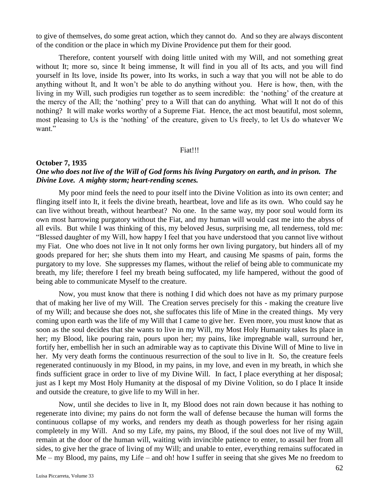to give of themselves, do some great action, which they cannot do. And so they are always discontent of the condition or the place in which my Divine Providence put them for their good.

Therefore, content yourself with doing little united with my Will, and not something great without It; more so, since It being immense, It will find in you all of Its acts, and you will find yourself in Its love, inside Its power, into Its works, in such a way that you will not be able to do anything without It, and It won't be able to do anything without you. Here is how, then, with the living in my Will, such prodigies run together as to seem incredible: the 'nothing' of the creature at the mercy of the All; the 'nothing' prey to a Will that can do anything. What will It not do of this nothing? It will make works worthy of a Supreme Fiat. Hence, the act most beautiful, most solemn, most pleasing to Us is the 'nothing' of the creature, given to Us freely, to let Us do whatever We want."

#### Fiat!!!

#### **October 7, 1935**

## *One who does not live of the Will of God forms his living Purgatory on earth, and in prison. The Divine Love. A mighty storm; heart-rending scenes.*

My poor mind feels the need to pour itself into the Divine Volition as into its own center; and flinging itself into It, it feels the divine breath, heartbeat, love and life as its own. Who could say he can live without breath, without heartbeat? No one. In the same way, my poor soul would form its own most harrowing purgatory without the Fiat, and my human will would cast me into the abyss of all evils. But while I was thinking of this, my beloved Jesus, surprising me, all tenderness, told me: "Blessed daughter of my Will, how happy I feel that you have understood that you cannot live without my Fiat. One who does not live in It not only forms her own living purgatory, but hinders all of my goods prepared for her; she shuts them into my Heart, and causing Me spasms of pain, forms the purgatory to my love. She suppresses my flames, without the relief of being able to communicate my breath, my life; therefore I feel my breath being suffocated, my life hampered, without the good of being able to communicate Myself to the creature.

Now, you must know that there is nothing I did which does not have as my primary purpose that of making her live of my Will. The Creation serves precisely for this - making the creature live of my Will; and because she does not, she suffocates this life of Mine in the created things. My very coming upon earth was the life of my Will that I came to give her. Even more, you must know that as soon as the soul decides that she wants to live in my Will, my Most Holy Humanity takes Its place in her; my Blood, like pouring rain, pours upon her; my pains, like impregnable wall, surround her, fortify her, embellish her in such an admirable way as to captivate this Divine Will of Mine to live in her. My very death forms the continuous resurrection of the soul to live in It. So, the creature feels regenerated continuously in my Blood, in my pains, in my love, and even in my breath, in which she finds sufficient grace in order to live of my Divine Will. In fact, I place everything at her disposal; just as I kept my Most Holy Humanity at the disposal of my Divine Volition, so do I place It inside and outside the creature, to give life to my Will in her.

Now, until she decides to live in It, my Blood does not rain down because it has nothing to regenerate into divine; my pains do not form the wall of defense because the human will forms the continuous collapse of my works, and renders my death as though powerless for her rising again completely in my Will. And so my Life, my pains, my Blood, if the soul does not live of my Will, remain at the door of the human will, waiting with invincible patience to enter, to assail her from all sides, to give her the grace of living of my Will; and unable to enter, everything remains suffocated in Me – my Blood, my pains, my Life – and oh! how I suffer in seeing that she gives Me no freedom to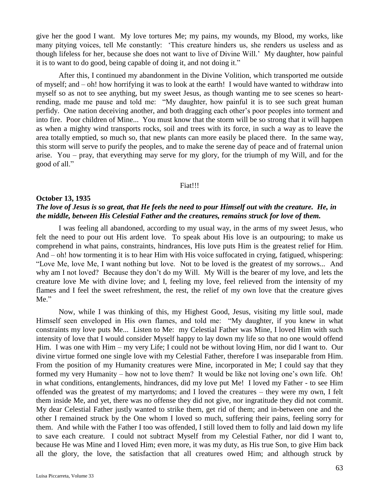give her the good I want. My love tortures Me; my pains, my wounds, my Blood, my works, like many pitying voices, tell Me constantly: 'This creature hinders us, she renders us useless and as though lifeless for her, because she does not want to live of Divine Will.' My daughter, how painful it is to want to do good, being capable of doing it, and not doing it."

After this, I continued my abandonment in the Divine Volition, which transported me outside of myself; and – oh! how horrifying it was to look at the earth! I would have wanted to withdraw into myself so as not to see anything, but my sweet Jesus, as though wanting me to see scenes so heartrending, made me pause and told me: "My daughter, how painful it is to see such great human perfidy. One nation deceiving another, and both dragging each other's poor peoples into torment and into fire. Poor children of Mine... You must know that the storm will be so strong that it will happen as when a mighty wind transports rocks, soil and trees with its force, in such a way as to leave the area totally emptied, so much so, that new plants can more easily be placed there. In the same way, this storm will serve to purify the peoples, and to make the serene day of peace and of fraternal union arise. You – pray, that everything may serve for my glory, for the triumph of my Will, and for the good of all."

#### Fiat!!!

## **October 13, 1935** *The love of Jesus is so great, that He feels the need to pour Himself out with the creature. He, in the middle, between His Celestial Father and the creatures, remains struck for love of them.*

I was feeling all abandoned, according to my usual way, in the arms of my sweet Jesus, who felt the need to pour out His ardent love. To speak about His love is an outpouring; to make us comprehend in what pains, constraints, hindrances, His love puts Him is the greatest relief for Him. And – oh! how tormenting it is to hear Him with His voice suffocated in crying, fatigued, whispering: "Love Me, love Me, I want nothing but love. Not to be loved is the greatest of my sorrows... And why am I not loved? Because they don't do my Will. My Will is the bearer of my love, and lets the creature love Me with divine love; and I, feeling my love, feel relieved from the intensity of my flames and I feel the sweet refreshment, the rest, the relief of my own love that the creature gives Me."

Now, while I was thinking of this, my Highest Good, Jesus, visiting my little soul, made Himself seen enveloped in His own flames, and told me: "My daughter, if you knew in what constraints my love puts Me... Listen to Me: my Celestial Father was Mine, I loved Him with such intensity of love that I would consider Myself happy to lay down my life so that no one would offend Him. I was one with Him – my very Life; I could not be without loving Him, nor did I want to. Our divine virtue formed one single love with my Celestial Father, therefore I was inseparable from Him. From the position of my Humanity creatures were Mine, incorporated in Me; I could say that they formed my very Humanity – how not to love them? It would be like not loving one's own life. Oh! in what conditions, entanglements, hindrances, did my love put Me! I loved my Father - to see Him offended was the greatest of my martyrdoms; and I loved the creatures – they were my own, I felt them inside Me, and yet, there was no offense they did not give, nor ingratitude they did not commit. My dear Celestial Father justly wanted to strike them, get rid of them; and in-between one and the other I remained struck by the One whom I loved so much, suffering their pains, feeling sorry for them. And while with the Father I too was offended, I still loved them to folly and laid down my life to save each creature. I could not subtract Myself from my Celestial Father, nor did I want to, because He was Mine and I loved Him; even more, it was my duty, as His true Son, to give Him back all the glory, the love, the satisfaction that all creatures owed Him; and although struck by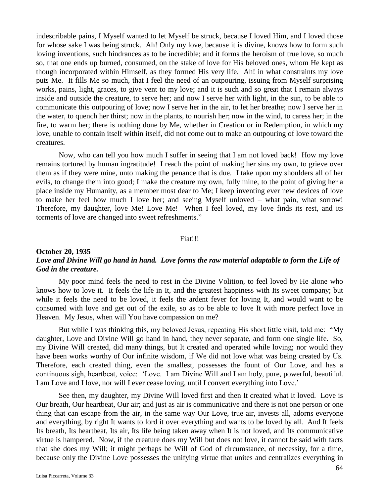indescribable pains, I Myself wanted to let Myself be struck, because I loved Him, and I loved those for whose sake I was being struck. Ah! Only my love, because it is divine, knows how to form such loving inventions, such hindrances as to be incredible; and it forms the heroism of true love, so much so, that one ends up burned, consumed, on the stake of love for His beloved ones, whom He kept as though incorporated within Himself, as they formed His very life. Ah! in what constraints my love puts Me. It fills Me so much, that I feel the need of an outpouring, issuing from Myself surprising works, pains, light, graces, to give vent to my love; and it is such and so great that I remain always inside and outside the creature, to serve her; and now I serve her with light, in the sun, to be able to communicate this outpouring of love; now I serve her in the air, to let her breathe; now I serve her in the water, to quench her thirst; now in the plants, to nourish her; now in the wind, to caress her; in the fire, to warm her; there is nothing done by Me, whether in Creation or in Redemption, in which my love, unable to contain itself within itself, did not come out to make an outpouring of love toward the creatures.

Now, who can tell you how much I suffer in seeing that I am not loved back! How my love remains tortured by human ingratitude! I reach the point of making her sins my own, to grieve over them as if they were mine, unto making the penance that is due. I take upon my shoulders all of her evils, to change them into good; I make the creature my own, fully mine, to the point of giving her a place inside my Humanity, as a member most dear to Me; I keep inventing ever new devices of love to make her feel how much I love her; and seeing Myself unloved – what pain, what sorrow! Therefore, my daughter, love Me! Love Me! When I feel loved, my love finds its rest, and its torments of love are changed into sweet refreshments."

#### Fiat!!!

### **October 20, 1935** *Love and Divine Will go hand in hand. Love forms the raw material adaptable to form the Life of God in the creature.*

My poor mind feels the need to rest in the Divine Volition, to feel loved by He alone who knows how to love it. It feels the life in It, and the greatest happiness with Its sweet company; but while it feels the need to be loved, it feels the ardent fever for loving It, and would want to be consumed with love and get out of the exile, so as to be able to love It with more perfect love in Heaven. My Jesus, when will You have compassion on me?

But while I was thinking this, my beloved Jesus, repeating His short little visit, told me: "My daughter, Love and Divine Will go hand in hand, they never separate, and form one single life. So, my Divine Will created, did many things, but It created and operated while loving; nor would they have been works worthy of Our infinite wisdom, if We did not love what was being created by Us. Therefore, each created thing, even the smallest, possesses the fount of Our Love, and has a continuous sigh, heartbeat, voice: 'Love. I am Divine Will and I am holy, pure, powerful, beautiful. I am Love and I love, nor will I ever cease loving, until I convert everything into Love.'

See then, my daughter, my Divine Will loved first and then It created what It loved. Love is Our breath, Our heartbeat, Our air; and just as air is communicative and there is not one person or one thing that can escape from the air, in the same way Our Love, true air, invests all, adorns everyone and everything, by right It wants to lord it over everything and wants to be loved by all. And It feels Its breath, Its heartbeat, Its air, Its life being taken away when It is not loved, and Its communicative virtue is hampered. Now, if the creature does my Will but does not love, it cannot be said with facts that she does my Will; it might perhaps be Will of God of circumstance, of necessity, for a time, because only the Divine Love possesses the unifying virtue that unites and centralizes everything in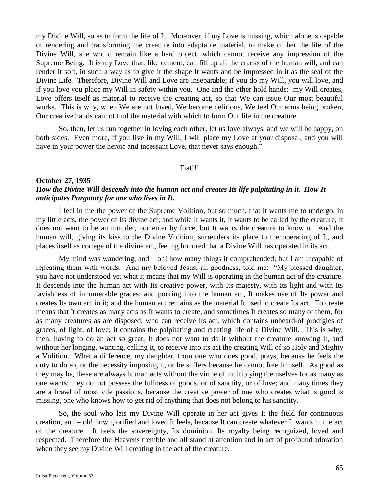my Divine Will, so as to form the life of It. Moreover, if my Love is missing, which alone is capable of rendering and transforming the creature into adaptable material, to make of her the life of the Divine Will, she would remain like a hard object, which cannot receive any impression of the Supreme Being. It is my Love that, like cement, can fill up all the cracks of the human will, and can render it soft, in such a way as to give it the shape It wants and be impressed in it as the seal of the Divine Life. Therefore, Divine Will and Love are inseparable; if you do my Will, you will love, and if you love you place my Will in safety within you. One and the other hold hands: my Will creates, Love offers Itself as material to receive the creating act, so that We can issue Our most beautiful works. This is why, when We are not loved, We become delirious, We feel Our arms being broken, Our creative hands cannot find the material with which to form Our life in the creature.

So, then, let us run together in loving each other, let us love always, and we will be happy, on both sides. Even more, if you live in my Will, I will place my Love at your disposal, and you will have in your power the heroic and incessant Love, that never says enough."

#### Fiat!!!

### **October 27, 1935** *How the Divine Will descends into the human act and creates Its life palpitating in it. How It anticipates Purgatory for one who lives in It.*

I feel in me the power of the Supreme Volition, but so much, that It wants me to undergo, in my little acts, the power of Its divine act; and while It wants it, It wants to be called by the creature, It does not want to be an intruder, nor enter by force, but It wants the creature to know it. And the human will, giving its kiss to the Divine Volition, surrenders its place to the operating of It, and places itself as cortege of the divine act, feeling honored that a Divine Will has operated in its act.

My mind was wandering, and  $-$  oh! how many things it comprehended; but I am incapable of repeating them with words. And my beloved Jesus, all goodness, told me: "My blessed daughter, you have not understood yet what it means that my Will is operating in the human act of the creature. It descends into the human act with Its creative power, with Its majesty, with Its light and with Its lavishness of innumerable graces; and pouring into the human act, It makes use of Its power and creates Its own act in it; and the human act remains as the material It used to create Its act. To create means that It creates as many acts as It wants to create, and sometimes It creates so many of them, for as many creatures as are disposed, who can receive Its act, which contains unheard-of prodigies of graces, of light, of love; it contains the palpitating and creating life of a Divine Will. This is why, then, having to do an act so great, It does not want to do it without the creature knowing it, and without her longing, wanting, calling It, to receive into its act the creating Will of so Holy and Mighty a Volition. What a difference, my daughter, from one who does good, prays, because he feels the duty to do so, or the necessity imposing it, or he suffers because he cannot free himself. As good as they may be, these are always human acts without the virtue of multiplying themselves for as many as one wants; they do not possess the fullness of goods, or of sanctity, or of love; and many times they are a brawl of most vile passions, because the creative power of one who creates what is good is missing, one who knows how to get rid of anything that does not belong to his sanctity.

So, the soul who lets my Divine Will operate in her act gives It the field for continuous creation, and – oh! how glorified and loved It feels, because It can create whatever It wants in the act of the creature. It feels the sovereignty, Its dominion, Its royalty being recognized, loved and respected. Therefore the Heavens tremble and all stand at attention and in act of profound adoration when they see my Divine Will creating in the act of the creature.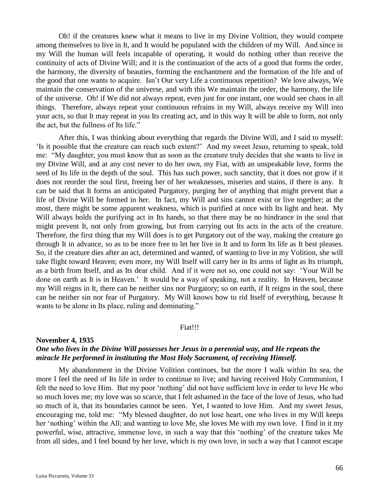Oh! if the creatures knew what it means to live in my Divine Volition, they would compete among themselves to live in It, and It would be populated with the children of my Will. And since in my Will the human will feels incapable of operating, it would do nothing other than receive the continuity of acts of Divine Will; and it is the continuation of the acts of a good that forms the order, the harmony, the diversity of beauties, forming the enchantment and the formation of the life and of the good that one wants to acquire. Isn't Our very Life a continuous repetition? We love always, We maintain the conservation of the universe, and with this We maintain the order, the harmony, the life of the universe. Oh! if We did not always repeat, even just for one instant, one would see chaos in all things. Therefore, always repeat your continuous refrains in my Will, always receive my Will into your acts, so that It may repeat in you Its creating act, and in this way It will be able to form, not only the act, but the fullness of Its life."

After this, I was thinking about everything that regards the Divine Will, and I said to myself: 'Is it possible that the creature can reach such extent?' And my sweet Jesus, returning to speak, told me: "My daughter, you must know that as soon as the creature truly decides that she wants to live in my Divine Will, and at any cost never to do her own, my Fiat, with an unspeakable love, forms the seed of Its life in the depth of the soul. This has such power, such sanctity, that it does not grow if it does not reorder the soul first, freeing her of her weaknesses, miseries and stains, if there is any. It can be said that It forms an anticipated Purgatory, purging her of anything that might prevent that a life of Divine Will be formed in her. In fact, my Will and sins cannot exist or live together; at the most, there might be some apparent weakness, which is purified at once with Its light and heat. My Will always holds the purifying act in Its hands, so that there may be no hindrance in the soul that might prevent It, not only from growing, but from carrying out Its acts in the acts of the creature. Therefore, the first thing that my Will does is to get Purgatory out of the way, making the creature go through It in advance, so as to be more free to let her live in It and to form Its life as It best pleases. So, if the creature dies after an act, determined and wanted, of wanting to live in my Volition, she will take flight toward Heaven; even more, my Will Itself will carry her in Its arms of light as Its triumph, as a birth from Itself, and as Its dear child. And if it were not so, one could not say: 'Your Will be done on earth as It is in Heaven.' It would be a way of speaking, not a reality. In Heaven, because my Will reigns in It, there can be neither sins nor Purgatory; so on earth, if It reigns in the soul, there can be neither sin nor fear of Purgatory. My Will knows how to rid Itself of everything, because It wants to be alone in Its place, ruling and dominating."

### Fiat!!!

## **November 4, 1935** *One who lives in the Divine Will possesses her Jesus in a perennial way, and He repeats the miracle He performed in instituting the Most Holy Sacrament, of receiving Himself.*

My abandonment in the Divine Volition continues, but the more I walk within Its sea, the more I feel the need of Its life in order to continue to live; and having received Holy Communion, I felt the need to love Him. But my poor 'nothing' did not have sufficient love in order to love He who so much loves me; my love was so scarce, that I felt ashamed in the face of the love of Jesus, who had so much of it, that its boundaries cannot be seen. Yet, I wanted to love Him. And my sweet Jesus, encouraging me, told me: "My blessed daughter, do not lose heart, one who lives in my Will keeps her 'nothing' within the All; and wanting to love Me, she loves Me with my own love. I find in it my powerful, wise, attractive, immense love, in such a way that this 'nothing' of the creature takes Me from all sides, and I feel bound by her love, which is my own love, in such a way that I cannot escape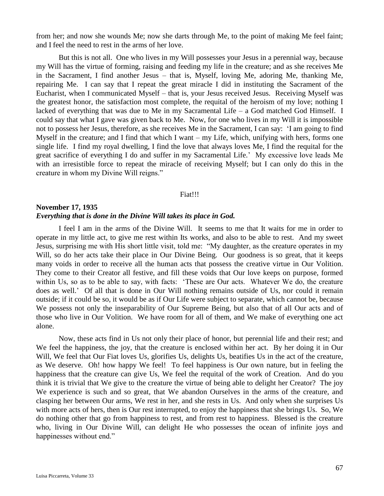from her; and now she wounds Me; now she darts through Me, to the point of making Me feel faint; and I feel the need to rest in the arms of her love.

But this is not all. One who lives in my Will possesses your Jesus in a perennial way, because my Will has the virtue of forming, raising and feeding my life in the creature; and as she receives Me in the Sacrament, I find another Jesus – that is, Myself, loving Me, adoring Me, thanking Me, repairing Me. I can say that I repeat the great miracle I did in instituting the Sacrament of the Eucharist, when I communicated Myself – that is, your Jesus received Jesus. Receiving Myself was the greatest honor, the satisfaction most complete, the requital of the heroism of my love; nothing I lacked of everything that was due to Me in my Sacramental Life – a God matched God Himself. I could say that what I gave was given back to Me. Now, for one who lives in my Will it is impossible not to possess her Jesus, therefore, as she receives Me in the Sacrament, I can say: 'I am going to find Myself in the creature; and I find that which I want – my Life, which, unifying with hers, forms one single life. I find my royal dwelling, I find the love that always loves Me, I find the requital for the great sacrifice of everything I do and suffer in my Sacramental Life.' My excessive love leads Me with an irresistible force to repeat the miracle of receiving Myself; but I can only do this in the creature in whom my Divine Will reigns."

#### Fiat!!!

## **November 17, 1935** *Everything that is done in the Divine Will takes its place in God.*

I feel I am in the arms of the Divine Will. It seems to me that It waits for me in order to operate in my little act, to give me rest within Its works, and also to be able to rest. And my sweet Jesus, surprising me with His short little visit, told me: "My daughter, as the creature operates in my Will, so do her acts take their place in Our Divine Being. Our goodness is so great, that it keeps many voids in order to receive all the human acts that possess the creative virtue in Our Volition. They come to their Creator all festive, and fill these voids that Our love keeps on purpose, formed within Us, so as to be able to say, with facts: 'These are Our acts. Whatever We do, the creature does as well.' Of all that is done in Our Will nothing remains outside of Us, nor could it remain outside; if it could be so, it would be as if Our Life were subject to separate, which cannot be, because We possess not only the inseparability of Our Supreme Being, but also that of all Our acts and of those who live in Our Volition. We have room for all of them, and We make of everything one act alone.

Now, these acts find in Us not only their place of honor, but perennial life and their rest; and We feel the happiness, the joy, that the creature is enclosed within her act. By her doing it in Our Will, We feel that Our Fiat loves Us, glorifies Us, delights Us, beatifies Us in the act of the creature, as We deserve. Oh! how happy We feel! To feel happiness is Our own nature, but in feeling the happiness that the creature can give Us, We feel the requital of the work of Creation. And do you think it is trivial that We give to the creature the virtue of being able to delight her Creator? The joy We experience is such and so great, that We abandon Ourselves in the arms of the creature, and clasping her between Our arms, We rest in her, and she rests in Us. And only when she surprises Us with more acts of hers, then is Our rest interrupted, to enjoy the happiness that she brings Us. So, We do nothing other that go from happiness to rest, and from rest to happiness. Blessed is the creature who, living in Our Divine Will, can delight He who possesses the ocean of infinite joys and happinesses without end."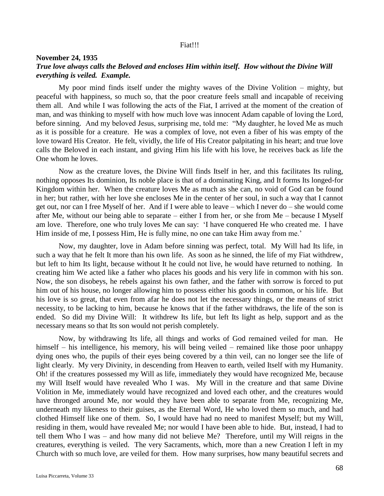#### Fiat!!!

#### **November 24, 1935**

### *True love always calls the Beloved and encloses Him within itself. How without the Divine Will everything is veiled. Example.*

My poor mind finds itself under the mighty waves of the Divine Volition – mighty, but peaceful with happiness, so much so, that the poor creature feels small and incapable of receiving them all. And while I was following the acts of the Fiat, I arrived at the moment of the creation of man, and was thinking to myself with how much love was innocent Adam capable of loving the Lord, before sinning. And my beloved Jesus, surprising me, told me: "My daughter, he loved Me as much as it is possible for a creature. He was a complex of love, not even a fiber of his was empty of the love toward His Creator. He felt, vividly, the life of His Creator palpitating in his heart; and true love calls the Beloved in each instant, and giving Him his life with his love, he receives back as life the One whom he loves.

Now as the creature loves, the Divine Will finds Itself in her, and this facilitates Its ruling, nothing opposes Its dominion, Its noble place is that of a dominating King, and It forms Its longed-for Kingdom within her. When the creature loves Me as much as she can, no void of God can be found in her; but rather, with her love she encloses Me in the center of her soul, in such a way that I cannot get out, nor can I free Myself of her. And if I were able to leave – which I never do – she would come after Me, without our being able to separate – either I from her, or she from Me – because I Myself am love. Therefore, one who truly loves Me can say: 'I have conquered He who created me. I have Him inside of me, I possess Him, He is fully mine, no one can take Him away from me.'

Now, my daughter, love in Adam before sinning was perfect, total. My Will had Its life, in such a way that he felt It more than his own life. As soon as he sinned, the life of my Fiat withdrew, but left to him Its light, because without It he could not live, he would have returned to nothing. In creating him We acted like a father who places his goods and his very life in common with his son. Now, the son disobeys, he rebels against his own father, and the father with sorrow is forced to put him out of his house, no longer allowing him to possess either his goods in common, or his life. But his love is so great, that even from afar he does not let the necessary things, or the means of strict necessity, to be lacking to him, because he knows that if the father withdraws, the life of the son is ended. So did my Divine Will: It withdrew Its life, but left Its light as help, support and as the necessary means so that Its son would not perish completely.

Now, by withdrawing Its life, all things and works of God remained veiled for man. He himself – his intelligence, his memory, his will being veiled – remained like those poor unhappy dying ones who, the pupils of their eyes being covered by a thin veil, can no longer see the life of light clearly. My very Divinity, in descending from Heaven to earth, veiled Itself with my Humanity. Oh! if the creatures possessed my Will as life, immediately they would have recognized Me, because my Will Itself would have revealed Who I was. My Will in the creature and that same Divine Volition in Me, immediately would have recognized and loved each other, and the creatures would have thronged around Me, nor would they have been able to separate from Me, recognizing Me, underneath my likeness to their guises, as the Eternal Word, He who loved them so much, and had clothed Himself like one of them. So, I would have had no need to manifest Myself; but my Will, residing in them, would have revealed Me; nor would I have been able to hide. But, instead, I had to tell them Who I was – and how many did not believe Me? Therefore, until my Will reigns in the creatures, everything is veiled. The very Sacraments, which, more than a new Creation I left in my Church with so much love, are veiled for them. How many surprises, how many beautiful secrets and